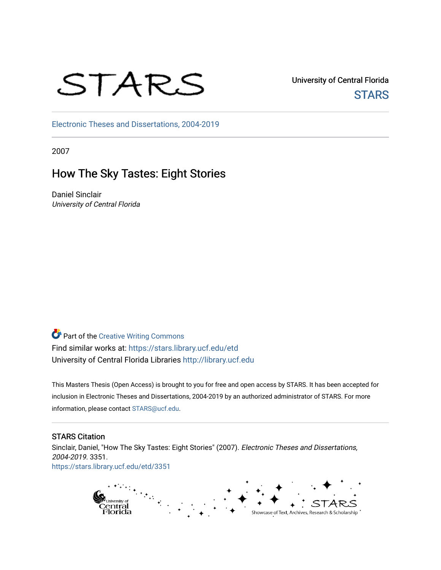# STARS

University of Central Florida **STARS** 

[Electronic Theses and Dissertations, 2004-2019](https://stars.library.ucf.edu/etd) 

2007

# How The Sky Tastes: Eight Stories

Daniel Sinclair University of Central Florida

**Part of the Creative Writing Commons** Find similar works at: <https://stars.library.ucf.edu/etd> University of Central Florida Libraries [http://library.ucf.edu](http://library.ucf.edu/) 

This Masters Thesis (Open Access) is brought to you for free and open access by STARS. It has been accepted for inclusion in Electronic Theses and Dissertations, 2004-2019 by an authorized administrator of STARS. For more information, please contact [STARS@ucf.edu.](mailto:STARS@ucf.edu)

#### STARS Citation

Sinclair, Daniel, "How The Sky Tastes: Eight Stories" (2007). Electronic Theses and Dissertations, 2004-2019. 3351. [https://stars.library.ucf.edu/etd/3351](https://stars.library.ucf.edu/etd/3351?utm_source=stars.library.ucf.edu%2Fetd%2F3351&utm_medium=PDF&utm_campaign=PDFCoverPages) 

> $\mathcal{F}_{\mathcal{F}_{\mathcal{A},\mathcal{C}}^{\mathcal{A}}}$ g<br>Central<br>Florida Showcase of Text, Archives, Research & Scholarship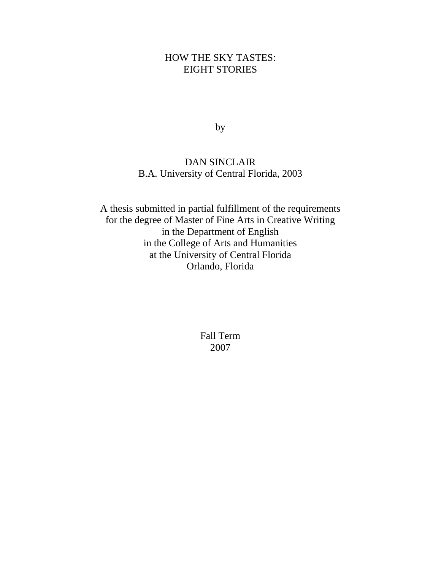# HOW THE SKY TASTES: EIGHT STORIES

by

# DAN SINCLAIR B.A. University of Central Florida, 2003

A thesis submitted in partial fulfillment of the requirements for the degree of Master of Fine Arts in Creative Writing in the Department of English in the College of Arts and Humanities at the University of Central Florida Orlando, Florida

> Fall Term 2007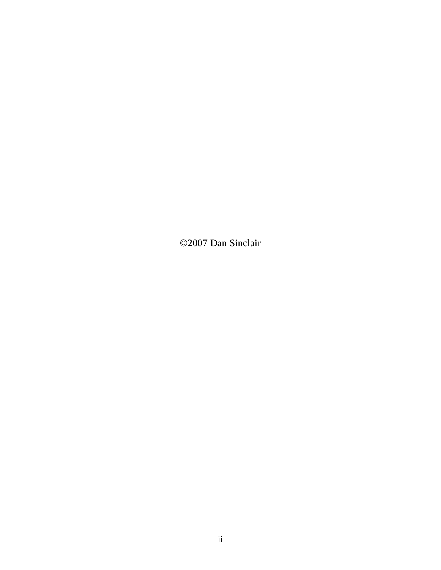©2007 Dan Sinclair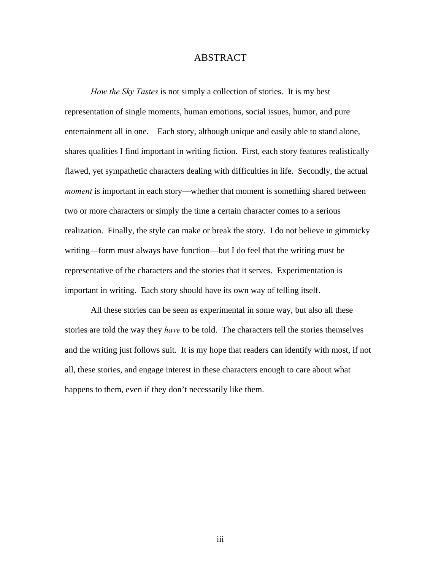## ABSTRACT

*How the Sky Tastes* is not simply a collection of stories. It is my best representation of single moments, human emotions, social issues, humor, and pure entertainment all in one. Each story, although unique and easily able to stand alone, shares qualities I find important in writing fiction. First, each story features realistically flawed, yet sympathetic characters dealing with difficulties in life. Secondly, the actual *moment* is important in each story—whether that moment is something shared between two or more characters or simply the time a certain character comes to a serious realization. Finally, the style can make or break the story. I do not believe in gimmicky writing—form must always have function—but I do feel that the writing must be representative of the characters and the stories that it serves. Experimentation is important in writing. Each story should have its own way of telling itself.

 All these stories can be seen as experimental in some way, but also all these stories are told the way they *have* to be told. The characters tell the stories themselves and the writing just follows suit. It is my hope that readers can identify with most, if not all, these stories, and engage interest in these characters enough to care about what happens to them, even if they don't necessarily like them.

iii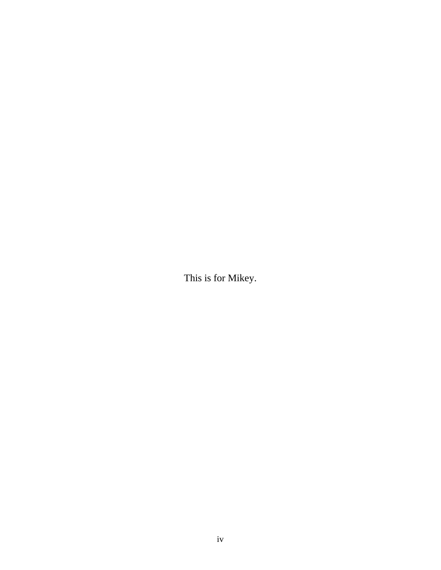This is for Mikey.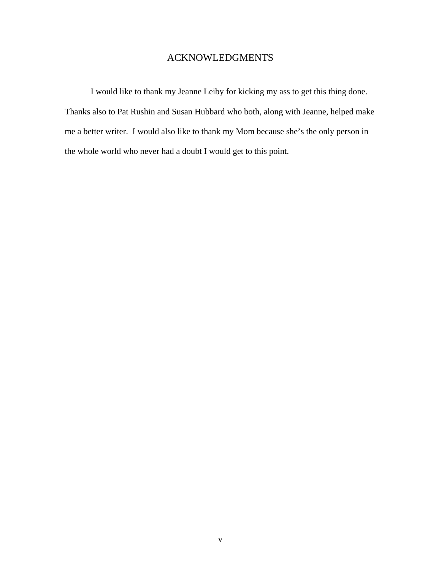# ACKNOWLEDGMENTS

I would like to thank my Jeanne Leiby for kicking my ass to get this thing done. Thanks also to Pat Rushin and Susan Hubbard who both, along with Jeanne, helped make me a better writer. I would also like to thank my Mom because she's the only person in the whole world who never had a doubt I would get to this point.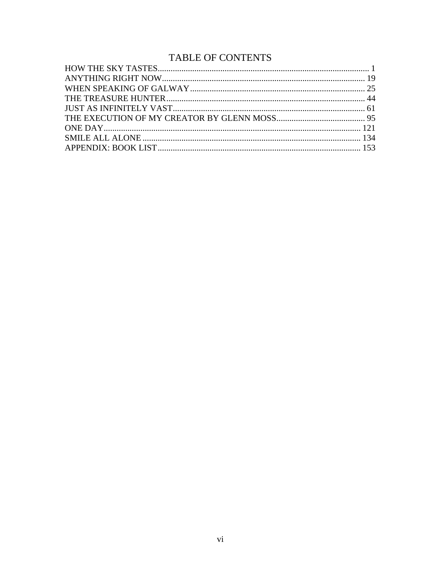# TABLE OF CONTENTS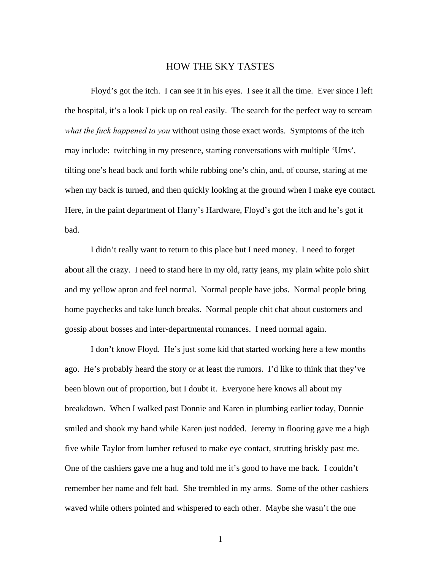## HOW THE SKY TASTES

Floyd's got the itch. I can see it in his eyes. I see it all the time. Ever since I left the hospital, it's a look I pick up on real easily. The search for the perfect way to scream *what the fuck happened to you* without using those exact words. Symptoms of the itch may include: twitching in my presence, starting conversations with multiple 'Ums', tilting one's head back and forth while rubbing one's chin, and, of course, staring at me when my back is turned, and then quickly looking at the ground when I make eye contact. Here, in the paint department of Harry's Hardware, Floyd's got the itch and he's got it bad.

 I didn't really want to return to this place but I need money. I need to forget about all the crazy. I need to stand here in my old, ratty jeans, my plain white polo shirt and my yellow apron and feel normal. Normal people have jobs. Normal people bring home paychecks and take lunch breaks. Normal people chit chat about customers and gossip about bosses and inter-departmental romances. I need normal again.

 I don't know Floyd. He's just some kid that started working here a few months ago. He's probably heard the story or at least the rumors. I'd like to think that they've been blown out of proportion, but I doubt it. Everyone here knows all about my breakdown. When I walked past Donnie and Karen in plumbing earlier today, Donnie smiled and shook my hand while Karen just nodded. Jeremy in flooring gave me a high five while Taylor from lumber refused to make eye contact, strutting briskly past me. One of the cashiers gave me a hug and told me it's good to have me back. I couldn't remember her name and felt bad. She trembled in my arms. Some of the other cashiers waved while others pointed and whispered to each other. Maybe she wasn't the one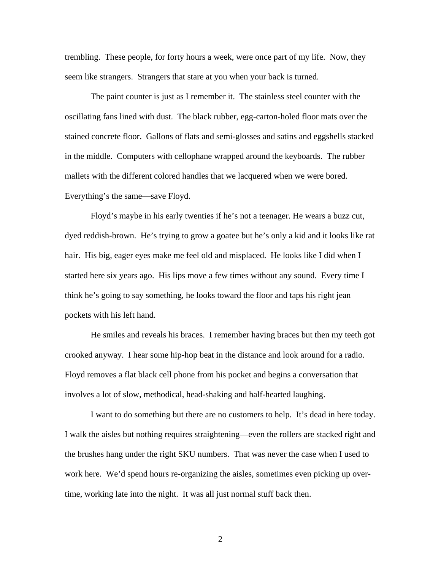trembling. These people, for forty hours a week, were once part of my life. Now, they seem like strangers. Strangers that stare at you when your back is turned.

 The paint counter is just as I remember it. The stainless steel counter with the oscillating fans lined with dust. The black rubber, egg-carton-holed floor mats over the stained concrete floor. Gallons of flats and semi-glosses and satins and eggshells stacked in the middle. Computers with cellophane wrapped around the keyboards. The rubber mallets with the different colored handles that we lacquered when we were bored. Everything's the same—save Floyd.

 Floyd's maybe in his early twenties if he's not a teenager. He wears a buzz cut, dyed reddish-brown. He's trying to grow a goatee but he's only a kid and it looks like rat hair. His big, eager eyes make me feel old and misplaced. He looks like I did when I started here six years ago. His lips move a few times without any sound. Every time I think he's going to say something, he looks toward the floor and taps his right jean pockets with his left hand.

 He smiles and reveals his braces. I remember having braces but then my teeth got crooked anyway. I hear some hip-hop beat in the distance and look around for a radio. Floyd removes a flat black cell phone from his pocket and begins a conversation that involves a lot of slow, methodical, head-shaking and half-hearted laughing.

 I want to do something but there are no customers to help. It's dead in here today. I walk the aisles but nothing requires straightening—even the rollers are stacked right and the brushes hang under the right SKU numbers. That was never the case when I used to work here. We'd spend hours re-organizing the aisles, sometimes even picking up overtime, working late into the night. It was all just normal stuff back then.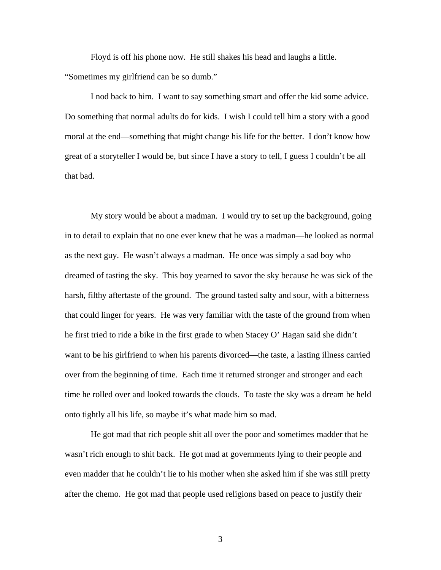Floyd is off his phone now. He still shakes his head and laughs a little. "Sometimes my girlfriend can be so dumb."

 I nod back to him. I want to say something smart and offer the kid some advice. Do something that normal adults do for kids. I wish I could tell him a story with a good moral at the end—something that might change his life for the better. I don't know how great of a storyteller I would be, but since I have a story to tell, I guess I couldn't be all that bad.

My story would be about a madman. I would try to set up the background, going in to detail to explain that no one ever knew that he was a madman—he looked as normal as the next guy. He wasn't always a madman. He once was simply a sad boy who dreamed of tasting the sky. This boy yearned to savor the sky because he was sick of the harsh, filthy aftertaste of the ground. The ground tasted salty and sour, with a bitterness that could linger for years. He was very familiar with the taste of the ground from when he first tried to ride a bike in the first grade to when Stacey O' Hagan said she didn't want to be his girlfriend to when his parents divorced—the taste, a lasting illness carried over from the beginning of time. Each time it returned stronger and stronger and each time he rolled over and looked towards the clouds. To taste the sky was a dream he held onto tightly all his life, so maybe it's what made him so mad.

 He got mad that rich people shit all over the poor and sometimes madder that he wasn't rich enough to shit back. He got mad at governments lying to their people and even madder that he couldn't lie to his mother when she asked him if she was still pretty after the chemo. He got mad that people used religions based on peace to justify their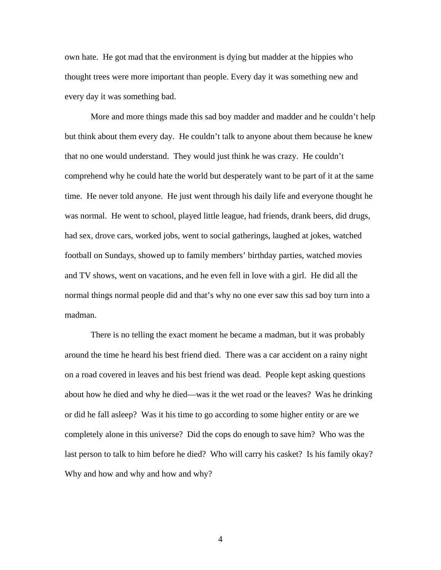own hate. He got mad that the environment is dying but madder at the hippies who thought trees were more important than people. Every day it was something new and every day it was something bad.

 More and more things made this sad boy madder and madder and he couldn't help but think about them every day. He couldn't talk to anyone about them because he knew that no one would understand. They would just think he was crazy. He couldn't comprehend why he could hate the world but desperately want to be part of it at the same time. He never told anyone. He just went through his daily life and everyone thought he was normal. He went to school, played little league, had friends, drank beers, did drugs, had sex, drove cars, worked jobs, went to social gatherings, laughed at jokes, watched football on Sundays, showed up to family members' birthday parties, watched movies and TV shows, went on vacations, and he even fell in love with a girl. He did all the normal things normal people did and that's why no one ever saw this sad boy turn into a madman.

 There is no telling the exact moment he became a madman, but it was probably around the time he heard his best friend died. There was a car accident on a rainy night on a road covered in leaves and his best friend was dead. People kept asking questions about how he died and why he died—was it the wet road or the leaves? Was he drinking or did he fall asleep? Was it his time to go according to some higher entity or are we completely alone in this universe? Did the cops do enough to save him? Who was the last person to talk to him before he died? Who will carry his casket? Is his family okay? Why and how and why and how and why?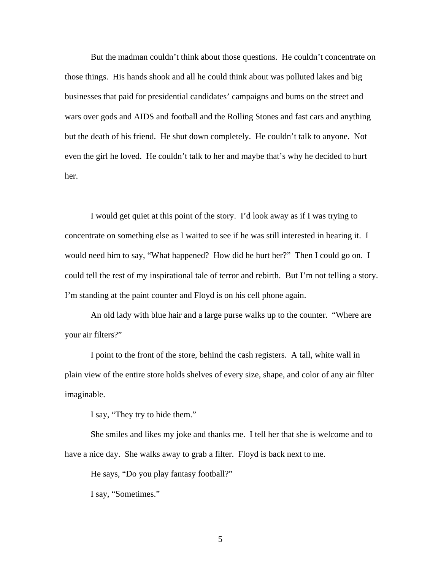But the madman couldn't think about those questions. He couldn't concentrate on those things. His hands shook and all he could think about was polluted lakes and big businesses that paid for presidential candidates' campaigns and bums on the street and wars over gods and AIDS and football and the Rolling Stones and fast cars and anything but the death of his friend. He shut down completely. He couldn't talk to anyone. Not even the girl he loved. He couldn't talk to her and maybe that's why he decided to hurt her.

I would get quiet at this point of the story. I'd look away as if I was trying to concentrate on something else as I waited to see if he was still interested in hearing it. I would need him to say, "What happened? How did he hurt her?" Then I could go on. I could tell the rest of my inspirational tale of terror and rebirth. But I'm not telling a story. I'm standing at the paint counter and Floyd is on his cell phone again.

 An old lady with blue hair and a large purse walks up to the counter. "Where are your air filters?"

 I point to the front of the store, behind the cash registers. A tall, white wall in plain view of the entire store holds shelves of every size, shape, and color of any air filter imaginable.

I say, "They try to hide them."

 She smiles and likes my joke and thanks me. I tell her that she is welcome and to have a nice day. She walks away to grab a filter. Floyd is back next to me.

He says, "Do you play fantasy football?"

I say, "Sometimes."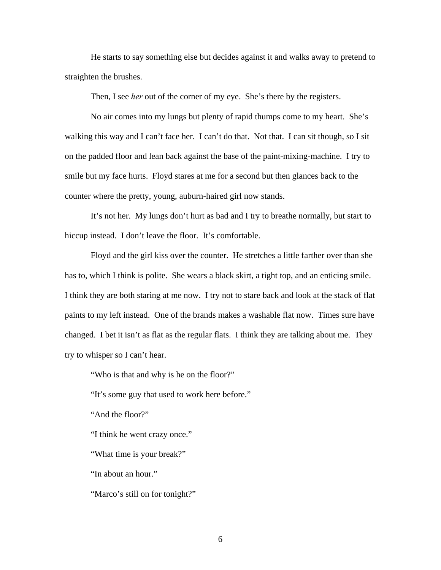He starts to say something else but decides against it and walks away to pretend to straighten the brushes.

Then, I see *her* out of the corner of my eye. She's there by the registers.

No air comes into my lungs but plenty of rapid thumps come to my heart. She's walking this way and I can't face her. I can't do that. Not that. I can sit though, so I sit on the padded floor and lean back against the base of the paint-mixing-machine. I try to smile but my face hurts. Floyd stares at me for a second but then glances back to the counter where the pretty, young, auburn-haired girl now stands.

It's not her. My lungs don't hurt as bad and I try to breathe normally, but start to hiccup instead. I don't leave the floor. It's comfortable.

Floyd and the girl kiss over the counter. He stretches a little farther over than she has to, which I think is polite. She wears a black skirt, a tight top, and an enticing smile. I think they are both staring at me now. I try not to stare back and look at the stack of flat paints to my left instead. One of the brands makes a washable flat now. Times sure have changed. I bet it isn't as flat as the regular flats. I think they are talking about me. They try to whisper so I can't hear.

"Who is that and why is he on the floor?"

"It's some guy that used to work here before."

"And the floor?"

"I think he went crazy once."

"What time is your break?"

"In about an hour."

"Marco's still on for tonight?"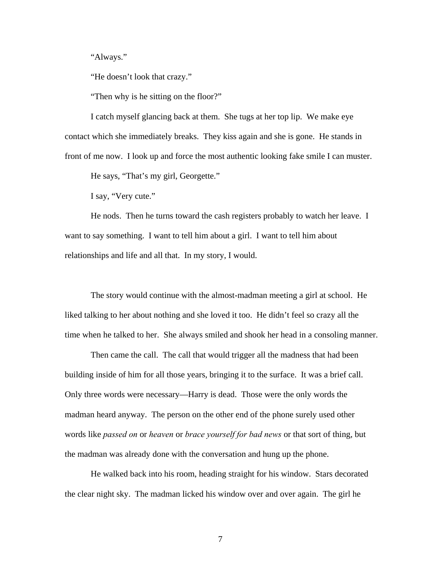"Always."

"He doesn't look that crazy."

"Then why is he sitting on the floor?"

I catch myself glancing back at them. She tugs at her top lip. We make eye contact which she immediately breaks. They kiss again and she is gone. He stands in front of me now. I look up and force the most authentic looking fake smile I can muster.

He says, "That's my girl, Georgette."

I say, "Very cute."

He nods. Then he turns toward the cash registers probably to watch her leave. I want to say something. I want to tell him about a girl. I want to tell him about relationships and life and all that. In my story, I would.

The story would continue with the almost-madman meeting a girl at school. He liked talking to her about nothing and she loved it too. He didn't feel so crazy all the time when he talked to her. She always smiled and shook her head in a consoling manner.

Then came the call. The call that would trigger all the madness that had been building inside of him for all those years, bringing it to the surface. It was a brief call. Only three words were necessary—Harry is dead. Those were the only words the madman heard anyway. The person on the other end of the phone surely used other words like *passed on* or *heaven* or *brace yourself for bad news* or that sort of thing, but the madman was already done with the conversation and hung up the phone.

He walked back into his room, heading straight for his window. Stars decorated the clear night sky. The madman licked his window over and over again. The girl he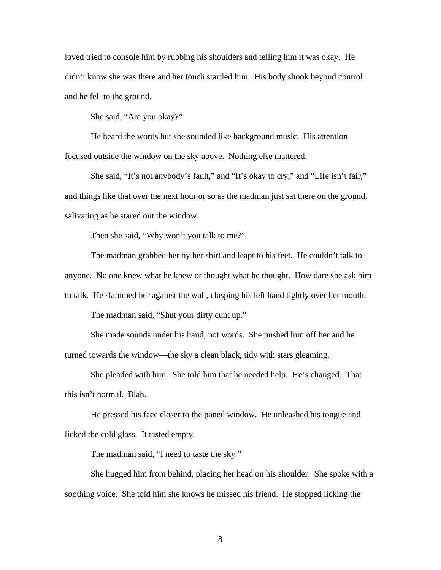loved tried to console him by rubbing his shoulders and telling him it was okay. He didn't know she was there and her touch startled him. His body shook beyond control and he fell to the ground.

She said, "Are you okay?"

He heard the words but she sounded like background music. His attention focused outside the window on the sky above. Nothing else mattered.

She said, "It's not anybody's fault," and "It's okay to cry," and "Life isn't fair," and things like that over the next hour or so as the madman just sat there on the ground, salivating as he stared out the window.

Then she said, "Why won't you talk to me?"

The madman grabbed her by her shirt and leapt to his feet. He couldn't talk to anyone. No one knew what he knew or thought what he thought. How dare she ask him to talk. He slammed her against the wall, clasping his left hand tightly over her mouth.

The madman said, "Shut your dirty cunt up."

 She made sounds under his hand, not words. She pushed him off her and he turned towards the window—the sky a clean black, tidy with stars gleaming.

 She pleaded with him. She told him that he needed help. He's changed. That this isn't normal. Blah.

 He pressed his face closer to the paned window. He unleashed his tongue and licked the cold glass. It tasted empty.

The madman said, "I need to taste the sky*.*"

 She hugged him from behind, placing her head on his shoulder. She spoke with a soothing voice. She told him she knows he missed his friend. He stopped licking the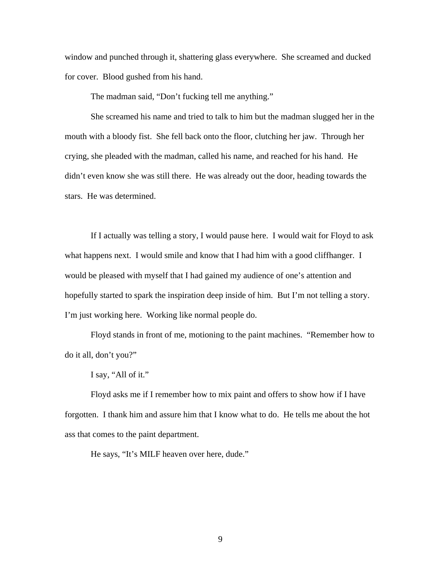window and punched through it, shattering glass everywhere. She screamed and ducked for cover. Blood gushed from his hand.

The madman said, "Don't fucking tell me anything."

 She screamed his name and tried to talk to him but the madman slugged her in the mouth with a bloody fist. She fell back onto the floor, clutching her jaw. Through her crying, she pleaded with the madman, called his name, and reached for his hand. He didn't even know she was still there. He was already out the door, heading towards the stars. He was determined.

 If I actually was telling a story, I would pause here. I would wait for Floyd to ask what happens next. I would smile and know that I had him with a good cliffhanger. I would be pleased with myself that I had gained my audience of one's attention and hopefully started to spark the inspiration deep inside of him. But I'm not telling a story. I'm just working here. Working like normal people do.

 Floyd stands in front of me, motioning to the paint machines. "Remember how to do it all, don't you?"

I say, "All of it."

Floyd asks me if I remember how to mix paint and offers to show how if I have forgotten. I thank him and assure him that I know what to do. He tells me about the hot ass that comes to the paint department.

He says, "It's MILF heaven over here, dude."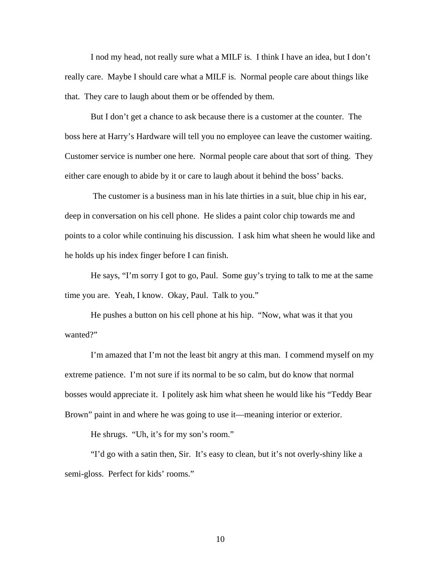I nod my head, not really sure what a MILF is. I think I have an idea, but I don't really care. Maybe I should care what a MILF is. Normal people care about things like that. They care to laugh about them or be offended by them.

 But I don't get a chance to ask because there is a customer at the counter. The boss here at Harry's Hardware will tell you no employee can leave the customer waiting. Customer service is number one here. Normal people care about that sort of thing. They either care enough to abide by it or care to laugh about it behind the boss' backs.

 The customer is a business man in his late thirties in a suit, blue chip in his ear, deep in conversation on his cell phone. He slides a paint color chip towards me and points to a color while continuing his discussion. I ask him what sheen he would like and he holds up his index finger before I can finish.

 He says, "I'm sorry I got to go, Paul. Some guy's trying to talk to me at the same time you are. Yeah, I know. Okay, Paul. Talk to you."

 He pushes a button on his cell phone at his hip. "Now, what was it that you wanted?"

 I'm amazed that I'm not the least bit angry at this man. I commend myself on my extreme patience. I'm not sure if its normal to be so calm, but do know that normal bosses would appreciate it. I politely ask him what sheen he would like his "Teddy Bear Brown" paint in and where he was going to use it—meaning interior or exterior.

He shrugs. "Uh, it's for my son's room."

 "I'd go with a satin then, Sir. It's easy to clean, but it's not overly-shiny like a semi-gloss. Perfect for kids' rooms."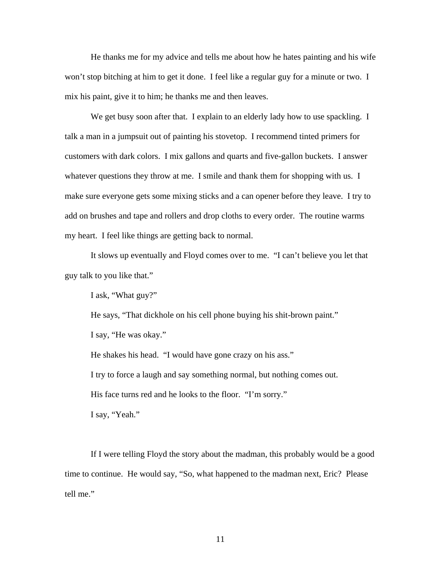He thanks me for my advice and tells me about how he hates painting and his wife won't stop bitching at him to get it done. I feel like a regular guy for a minute or two. I mix his paint, give it to him; he thanks me and then leaves.

We get busy soon after that. I explain to an elderly lady how to use spackling. I talk a man in a jumpsuit out of painting his stovetop. I recommend tinted primers for customers with dark colors. I mix gallons and quarts and five-gallon buckets. I answer whatever questions they throw at me. I smile and thank them for shopping with us. I make sure everyone gets some mixing sticks and a can opener before they leave. I try to add on brushes and tape and rollers and drop cloths to every order. The routine warms my heart. I feel like things are getting back to normal.

 It slows up eventually and Floyd comes over to me. "I can't believe you let that guy talk to you like that."

I ask, "What guy?"

 He says, "That dickhole on his cell phone buying his shit-brown paint." I say, "He was okay."

He shakes his head. "I would have gone crazy on his ass."

I try to force a laugh and say something normal, but nothing comes out.

His face turns red and he looks to the floor. "I'm sorry."

I say, "Yeah."

If I were telling Floyd the story about the madman, this probably would be a good time to continue. He would say, "So, what happened to the madman next, Eric? Please tell me."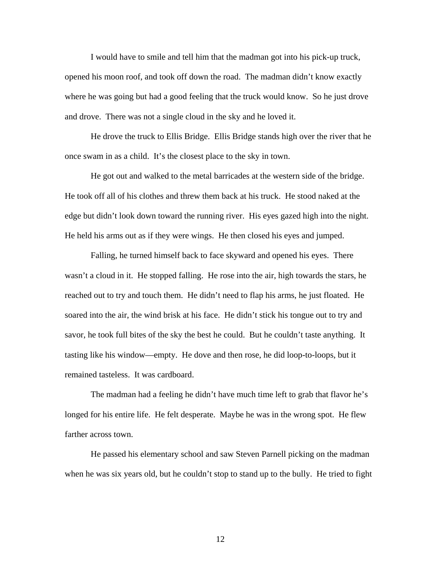I would have to smile and tell him that the madman got into his pick-up truck, opened his moon roof, and took off down the road. The madman didn't know exactly where he was going but had a good feeling that the truck would know. So he just drove and drove. There was not a single cloud in the sky and he loved it.

He drove the truck to Ellis Bridge. Ellis Bridge stands high over the river that he once swam in as a child. It's the closest place to the sky in town.

He got out and walked to the metal barricades at the western side of the bridge. He took off all of his clothes and threw them back at his truck. He stood naked at the edge but didn't look down toward the running river. His eyes gazed high into the night. He held his arms out as if they were wings. He then closed his eyes and jumped.

 Falling, he turned himself back to face skyward and opened his eyes. There wasn't a cloud in it. He stopped falling. He rose into the air, high towards the stars, he reached out to try and touch them. He didn't need to flap his arms, he just floated. He soared into the air, the wind brisk at his face. He didn't stick his tongue out to try and savor, he took full bites of the sky the best he could. But he couldn't taste anything. It tasting like his window—empty. He dove and then rose, he did loop-to-loops, but it remained tasteless. It was cardboard.

 The madman had a feeling he didn't have much time left to grab that flavor he's longed for his entire life. He felt desperate. Maybe he was in the wrong spot. He flew farther across town.

 He passed his elementary school and saw Steven Parnell picking on the madman when he was six years old, but he couldn't stop to stand up to the bully. He tried to fight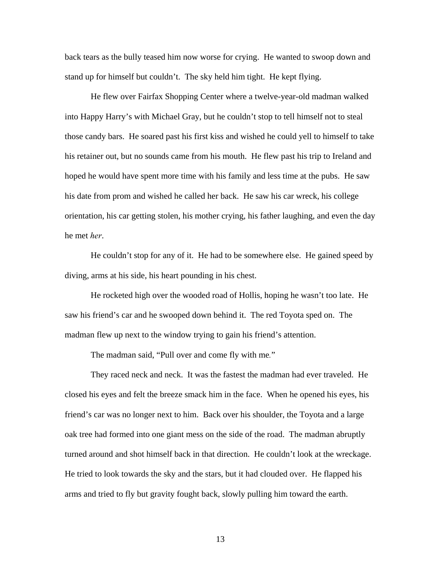back tears as the bully teased him now worse for crying. He wanted to swoop down and stand up for himself but couldn't. The sky held him tight. He kept flying.

He flew over Fairfax Shopping Center where a twelve-year-old madman walked into Happy Harry's with Michael Gray, but he couldn't stop to tell himself not to steal those candy bars. He soared past his first kiss and wished he could yell to himself to take his retainer out, but no sounds came from his mouth. He flew past his trip to Ireland and hoped he would have spent more time with his family and less time at the pubs. He saw his date from prom and wished he called her back. He saw his car wreck, his college orientation, his car getting stolen, his mother crying, his father laughing, and even the day he met *her*.

 He couldn't stop for any of it. He had to be somewhere else. He gained speed by diving, arms at his side, his heart pounding in his chest.

 He rocketed high over the wooded road of Hollis, hoping he wasn't too late. He saw his friend's car and he swooped down behind it. The red Toyota sped on. The madman flew up next to the window trying to gain his friend's attention.

The madman said, "Pull over and come fly with me*.*"

They raced neck and neck. It was the fastest the madman had ever traveled. He closed his eyes and felt the breeze smack him in the face. When he opened his eyes, his friend's car was no longer next to him. Back over his shoulder, the Toyota and a large oak tree had formed into one giant mess on the side of the road. The madman abruptly turned around and shot himself back in that direction. He couldn't look at the wreckage. He tried to look towards the sky and the stars, but it had clouded over. He flapped his arms and tried to fly but gravity fought back, slowly pulling him toward the earth.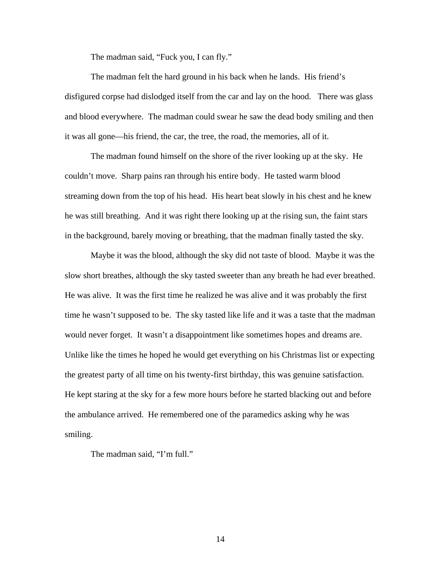The madman said, "Fuck you, I can fly."

The madman felt the hard ground in his back when he lands. His friend's disfigured corpse had dislodged itself from the car and lay on the hood. There was glass and blood everywhere. The madman could swear he saw the dead body smiling and then it was all gone—his friend, the car, the tree, the road, the memories, all of it.

The madman found himself on the shore of the river looking up at the sky. He couldn't move. Sharp pains ran through his entire body. He tasted warm blood streaming down from the top of his head. His heart beat slowly in his chest and he knew he was still breathing. And it was right there looking up at the rising sun, the faint stars in the background, barely moving or breathing, that the madman finally tasted the sky.

Maybe it was the blood, although the sky did not taste of blood. Maybe it was the slow short breathes, although the sky tasted sweeter than any breath he had ever breathed. He was alive. It was the first time he realized he was alive and it was probably the first time he wasn't supposed to be. The sky tasted like life and it was a taste that the madman would never forget. It wasn't a disappointment like sometimes hopes and dreams are. Unlike like the times he hoped he would get everything on his Christmas list or expecting the greatest party of all time on his twenty-first birthday, this was genuine satisfaction. He kept staring at the sky for a few more hours before he started blacking out and before the ambulance arrived. He remembered one of the paramedics asking why he was smiling.

The madman said, "I'm full."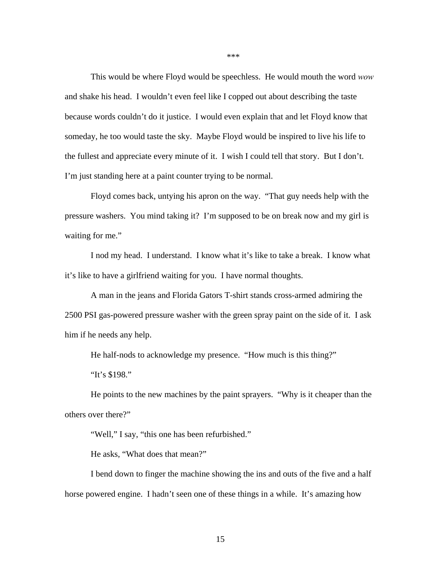This would be where Floyd would be speechless. He would mouth the word *wow* and shake his head. I wouldn't even feel like I copped out about describing the taste because words couldn't do it justice. I would even explain that and let Floyd know that someday, he too would taste the sky. Maybe Floyd would be inspired to live his life to the fullest and appreciate every minute of it. I wish I could tell that story. But I don't. I'm just standing here at a paint counter trying to be normal.

Floyd comes back, untying his apron on the way. "That guy needs help with the pressure washers. You mind taking it? I'm supposed to be on break now and my girl is waiting for me."

 I nod my head. I understand. I know what it's like to take a break. I know what it's like to have a girlfriend waiting for you. I have normal thoughts.

A man in the jeans and Florida Gators T-shirt stands cross-armed admiring the 2500 PSI gas-powered pressure washer with the green spray paint on the side of it. I ask him if he needs any help.

He half-nods to acknowledge my presence. "How much is this thing?"

"It's \$198."

 He points to the new machines by the paint sprayers. "Why is it cheaper than the others over there?"

"Well," I say, "this one has been refurbished."

He asks, "What does that mean?"

 I bend down to finger the machine showing the ins and outs of the five and a half horse powered engine. I hadn't seen one of these things in a while. It's amazing how

\*\*\*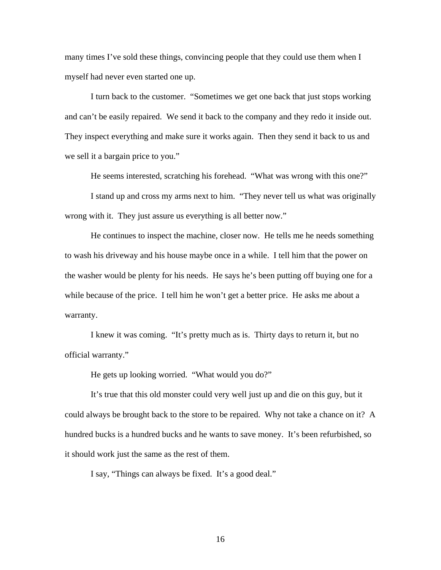many times I've sold these things, convincing people that they could use them when I myself had never even started one up.

I turn back to the customer. "Sometimes we get one back that just stops working and can't be easily repaired. We send it back to the company and they redo it inside out. They inspect everything and make sure it works again. Then they send it back to us and we sell it a bargain price to you."

He seems interested, scratching his forehead. "What was wrong with this one?"

 I stand up and cross my arms next to him. "They never tell us what was originally wrong with it. They just assure us everything is all better now."

 He continues to inspect the machine, closer now. He tells me he needs something to wash his driveway and his house maybe once in a while. I tell him that the power on the washer would be plenty for his needs. He says he's been putting off buying one for a while because of the price. I tell him he won't get a better price. He asks me about a warranty.

 I knew it was coming. "It's pretty much as is. Thirty days to return it, but no official warranty."

He gets up looking worried. "What would you do?"

 It's true that this old monster could very well just up and die on this guy, but it could always be brought back to the store to be repaired. Why not take a chance on it? A hundred bucks is a hundred bucks and he wants to save money. It's been refurbished, so it should work just the same as the rest of them.

I say, "Things can always be fixed. It's a good deal."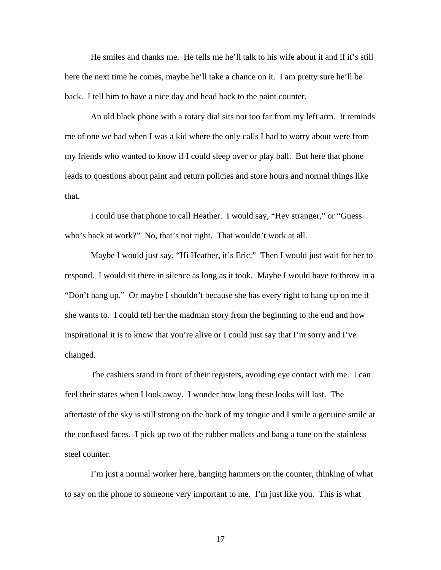He smiles and thanks me. He tells me he'll talk to his wife about it and if it's still here the next time he comes, maybe he'll take a chance on it. I am pretty sure he'll be back. I tell him to have a nice day and head back to the paint counter.

 An old black phone with a rotary dial sits not too far from my left arm. It reminds me of one we had when I was a kid where the only calls I had to worry about were from my friends who wanted to know if I could sleep over or play ball. But here that phone leads to questions about paint and return policies and store hours and normal things like that.

I could use that phone to call Heather. I would say, "Hey stranger," or "Guess who's back at work?" No, that's not right. That wouldn't work at all.

Maybe I would just say, "Hi Heather, it's Eric." Then I would just wait for her to respond. I would sit there in silence as long as it took. Maybe I would have to throw in a "Don't hang up." Or maybe I shouldn't because she has every right to hang up on me if she wants to. I could tell her the madman story from the beginning to the end and how inspirational it is to know that you're alive or I could just say that I'm sorry and I've changed.

The cashiers stand in front of their registers, avoiding eye contact with me. I can feel their stares when I look away. I wonder how long these looks will last. The aftertaste of the sky is still strong on the back of my tongue and I smile a genuine smile at the confused faces. I pick up two of the rubber mallets and bang a tune on the stainless steel counter.

I'm just a normal worker here, banging hammers on the counter, thinking of what to say on the phone to someone very important to me. I'm just like you. This is what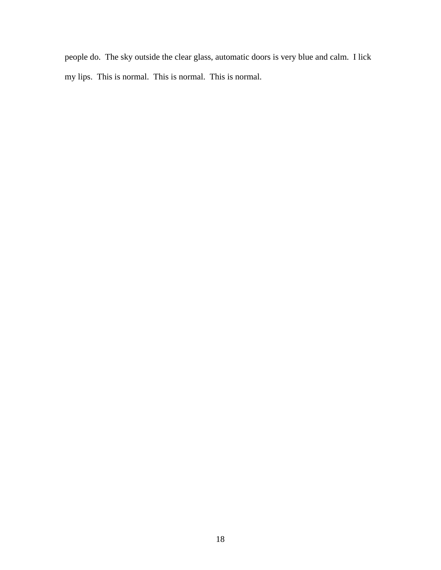people do. The sky outside the clear glass, automatic doors is very blue and calm. I lick my lips. This is normal. This is normal. This is normal.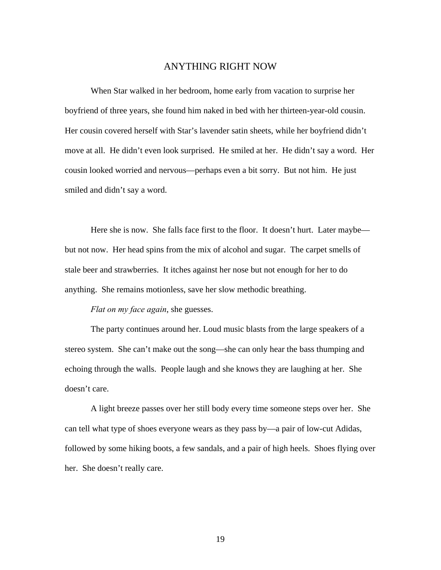## ANYTHING RIGHT NOW

 When Star walked in her bedroom, home early from vacation to surprise her boyfriend of three years, she found him naked in bed with her thirteen-year-old cousin. Her cousin covered herself with Star's lavender satin sheets, while her boyfriend didn't move at all. He didn't even look surprised. He smiled at her. He didn't say a word. Her cousin looked worried and nervous—perhaps even a bit sorry. But not him. He just smiled and didn't say a word.

Here she is now. She falls face first to the floor. It doesn't hurt. Later maybe but not now. Her head spins from the mix of alcohol and sugar. The carpet smells of stale beer and strawberries. It itches against her nose but not enough for her to do anything. She remains motionless, save her slow methodic breathing.

*Flat on my face again*, she guesses.

 The party continues around her. Loud music blasts from the large speakers of a stereo system. She can't make out the song—she can only hear the bass thumping and echoing through the walls. People laugh and she knows they are laughing at her. She doesn't care.

 A light breeze passes over her still body every time someone steps over her. She can tell what type of shoes everyone wears as they pass by—a pair of low-cut Adidas, followed by some hiking boots, a few sandals, and a pair of high heels. Shoes flying over her. She doesn't really care.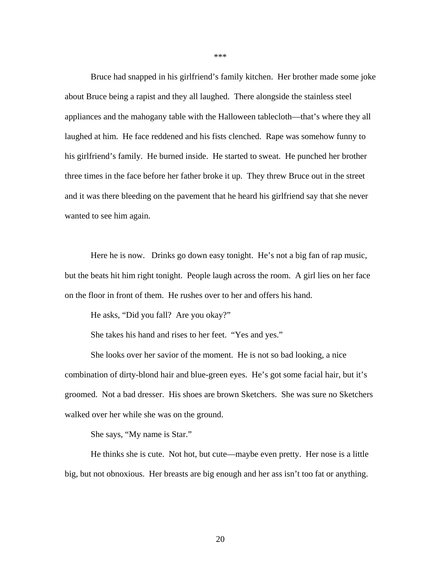Bruce had snapped in his girlfriend's family kitchen. Her brother made some joke about Bruce being a rapist and they all laughed. There alongside the stainless steel appliances and the mahogany table with the Halloween tablecloth—that's where they all laughed at him. He face reddened and his fists clenched. Rape was somehow funny to his girlfriend's family. He burned inside. He started to sweat. He punched her brother three times in the face before her father broke it up. They threw Bruce out in the street and it was there bleeding on the pavement that he heard his girlfriend say that she never wanted to see him again.

Here he is now. Drinks go down easy tonight. He's not a big fan of rap music, but the beats hit him right tonight. People laugh across the room. A girl lies on her face on the floor in front of them. He rushes over to her and offers his hand.

He asks, "Did you fall? Are you okay?"

She takes his hand and rises to her feet. "Yes and yes."

 She looks over her savior of the moment. He is not so bad looking, a nice combination of dirty-blond hair and blue-green eyes. He's got some facial hair, but it's groomed. Not a bad dresser. His shoes are brown Sketchers. She was sure no Sketchers walked over her while she was on the ground.

She says, "My name is Star."

 He thinks she is cute. Not hot, but cute—maybe even pretty. Her nose is a little big, but not obnoxious. Her breasts are big enough and her ass isn't too fat or anything.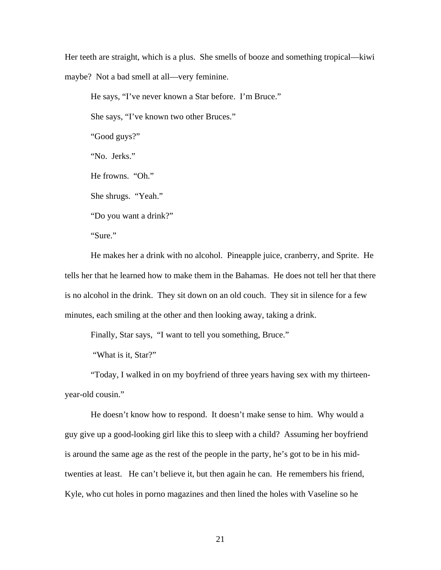Her teeth are straight, which is a plus. She smells of booze and something tropical—kiwi maybe? Not a bad smell at all—very feminine.

He says, "I've never known a Star before. I'm Bruce."

She says, "I've known two other Bruces."

"Good guys?"

"No. Jerks."

He frowns. "Oh."

She shrugs. "Yeah."

"Do you want a drink?"

"Sure."

 He makes her a drink with no alcohol. Pineapple juice, cranberry, and Sprite. He tells her that he learned how to make them in the Bahamas. He does not tell her that there is no alcohol in the drink. They sit down on an old couch. They sit in silence for a few minutes, each smiling at the other and then looking away, taking a drink.

Finally, Star says, "I want to tell you something, Bruce."

"What is it, Star?"

 "Today, I walked in on my boyfriend of three years having sex with my thirteenyear-old cousin."

 He doesn't know how to respond. It doesn't make sense to him. Why would a guy give up a good-looking girl like this to sleep with a child? Assuming her boyfriend is around the same age as the rest of the people in the party, he's got to be in his midtwenties at least. He can't believe it, but then again he can. He remembers his friend, Kyle, who cut holes in porno magazines and then lined the holes with Vaseline so he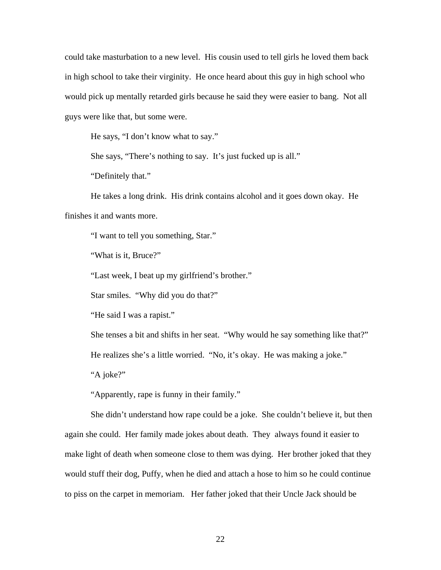could take masturbation to a new level. His cousin used to tell girls he loved them back in high school to take their virginity. He once heard about this guy in high school who would pick up mentally retarded girls because he said they were easier to bang. Not all guys were like that, but some were.

He says, "I don't know what to say."

She says, "There's nothing to say. It's just fucked up is all."

"Definitely that."

 He takes a long drink. His drink contains alcohol and it goes down okay. He finishes it and wants more.

"I want to tell you something, Star."

"What is it, Bruce?"

"Last week, I beat up my girlfriend's brother."

Star smiles. "Why did you do that?"

"He said I was a rapist."

She tenses a bit and shifts in her seat. "Why would he say something like that?"

He realizes she's a little worried. "No, it's okay. He was making a joke."

"A joke?"

"Apparently, rape is funny in their family."

 She didn't understand how rape could be a joke. She couldn't believe it, but then again she could. Her family made jokes about death. They always found it easier to make light of death when someone close to them was dying. Her brother joked that they would stuff their dog, Puffy, when he died and attach a hose to him so he could continue to piss on the carpet in memoriam. Her father joked that their Uncle Jack should be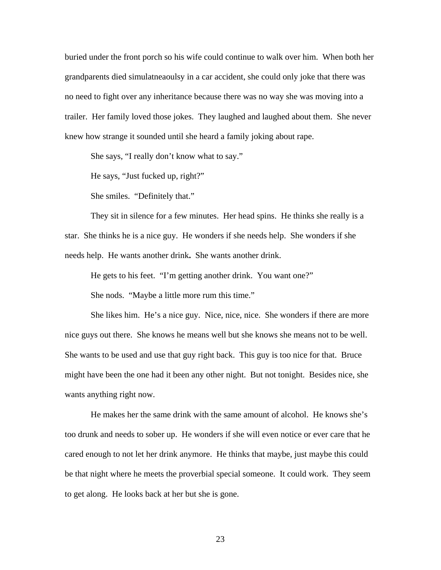buried under the front porch so his wife could continue to walk over him. When both her grandparents died simulatneaoulsy in a car accident, she could only joke that there was no need to fight over any inheritance because there was no way she was moving into a trailer. Her family loved those jokes. They laughed and laughed about them. She never knew how strange it sounded until she heard a family joking about rape.

She says, "I really don't know what to say."

He says, "Just fucked up, right?"

She smiles. "Definitely that."

 They sit in silence for a few minutes. Her head spins. He thinks she really is a star. She thinks he is a nice guy. He wonders if she needs help. She wonders if she needs help. He wants another drink**.** She wants another drink.

He gets to his feet. "I'm getting another drink. You want one?"

She nods. "Maybe a little more rum this time."

 She likes him. He's a nice guy. Nice, nice, nice. She wonders if there are more nice guys out there. She knows he means well but she knows she means not to be well. She wants to be used and use that guy right back. This guy is too nice for that. Bruce might have been the one had it been any other night. But not tonight. Besides nice, she wants anything right now.

 He makes her the same drink with the same amount of alcohol. He knows she's too drunk and needs to sober up. He wonders if she will even notice or ever care that he cared enough to not let her drink anymore. He thinks that maybe, just maybe this could be that night where he meets the proverbial special someone. It could work. They seem to get along. He looks back at her but she is gone.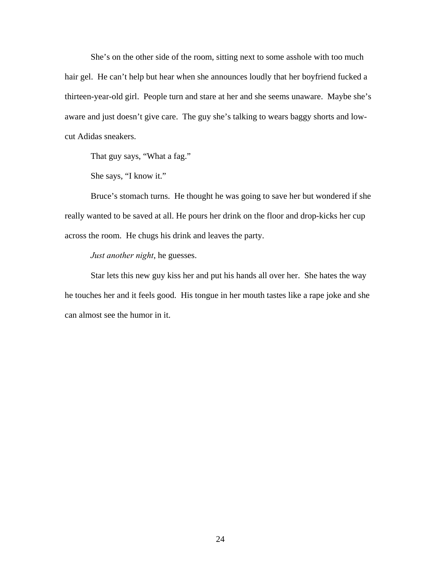She's on the other side of the room, sitting next to some asshole with too much hair gel. He can't help but hear when she announces loudly that her boyfriend fucked a thirteen-year-old girl. People turn and stare at her and she seems unaware. Maybe she's aware and just doesn't give care. The guy she's talking to wears baggy shorts and lowcut Adidas sneakers.

That guy says, "What a fag."

She says, "I know it."

 Bruce's stomach turns. He thought he was going to save her but wondered if she really wanted to be saved at all. He pours her drink on the floor and drop-kicks her cup across the room. He chugs his drink and leaves the party.

#### *Just another night*, he guesses.

Star lets this new guy kiss her and put his hands all over her. She hates the way he touches her and it feels good. His tongue in her mouth tastes like a rape joke and she can almost see the humor in it.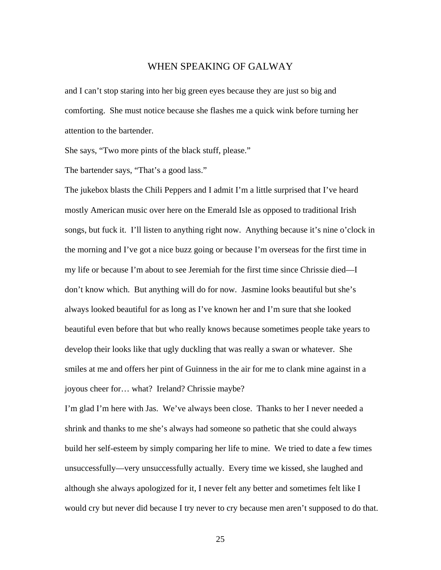## WHEN SPEAKING OF GALWAY

and I can't stop staring into her big green eyes because they are just so big and comforting. She must notice because she flashes me a quick wink before turning her attention to the bartender.

She says, "Two more pints of the black stuff, please."

The bartender says, "That's a good lass."

The jukebox blasts the Chili Peppers and I admit I'm a little surprised that I've heard mostly American music over here on the Emerald Isle as opposed to traditional Irish songs, but fuck it. I'll listen to anything right now. Anything because it's nine o'clock in the morning and I've got a nice buzz going or because I'm overseas for the first time in my life or because I'm about to see Jeremiah for the first time since Chrissie died—I don't know which. But anything will do for now. Jasmine looks beautiful but she's always looked beautiful for as long as I've known her and I'm sure that she looked beautiful even before that but who really knows because sometimes people take years to develop their looks like that ugly duckling that was really a swan or whatever. She smiles at me and offers her pint of Guinness in the air for me to clank mine against in a joyous cheer for… what? Ireland? Chrissie maybe?

I'm glad I'm here with Jas. We've always been close. Thanks to her I never needed a shrink and thanks to me she's always had someone so pathetic that she could always build her self-esteem by simply comparing her life to mine. We tried to date a few times unsuccessfully—very unsuccessfully actually. Every time we kissed, she laughed and although she always apologized for it, I never felt any better and sometimes felt like I would cry but never did because I try never to cry because men aren't supposed to do that.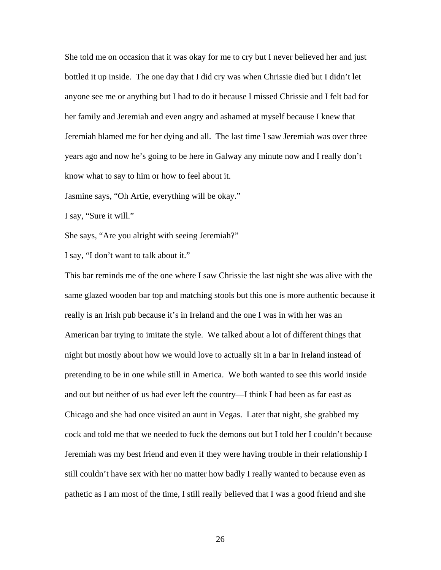She told me on occasion that it was okay for me to cry but I never believed her and just bottled it up inside. The one day that I did cry was when Chrissie died but I didn't let anyone see me or anything but I had to do it because I missed Chrissie and I felt bad for her family and Jeremiah and even angry and ashamed at myself because I knew that Jeremiah blamed me for her dying and all. The last time I saw Jeremiah was over three years ago and now he's going to be here in Galway any minute now and I really don't know what to say to him or how to feel about it.

Jasmine says, "Oh Artie, everything will be okay."

I say, "Sure it will."

She says, "Are you alright with seeing Jeremiah?"

I say, "I don't want to talk about it."

This bar reminds me of the one where I saw Chrissie the last night she was alive with the same glazed wooden bar top and matching stools but this one is more authentic because it really is an Irish pub because it's in Ireland and the one I was in with her was an American bar trying to imitate the style. We talked about a lot of different things that night but mostly about how we would love to actually sit in a bar in Ireland instead of pretending to be in one while still in America. We both wanted to see this world inside and out but neither of us had ever left the country—I think I had been as far east as Chicago and she had once visited an aunt in Vegas. Later that night, she grabbed my cock and told me that we needed to fuck the demons out but I told her I couldn't because Jeremiah was my best friend and even if they were having trouble in their relationship I still couldn't have sex with her no matter how badly I really wanted to because even as pathetic as I am most of the time, I still really believed that I was a good friend and she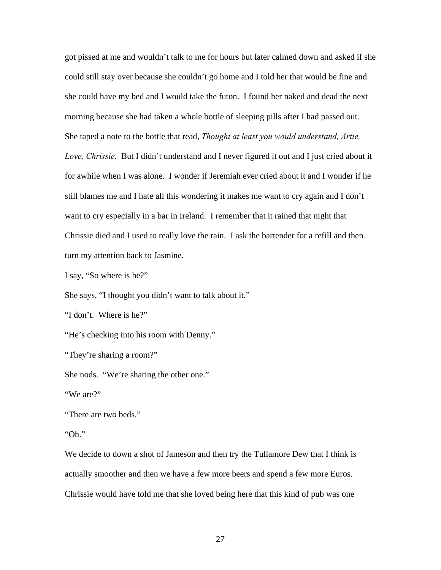got pissed at me and wouldn't talk to me for hours but later calmed down and asked if she could still stay over because she couldn't go home and I told her that would be fine and she could have my bed and I would take the futon. I found her naked and dead the next morning because she had taken a whole bottle of sleeping pills after I had passed out. She taped a note to the bottle that read, *Thought at least you would understand, Artie. Love, Chrissie.* But I didn't understand and I never figured it out and I just cried about it for awhile when I was alone. I wonder if Jeremiah ever cried about it and I wonder if he still blames me and I hate all this wondering it makes me want to cry again and I don't want to cry especially in a bar in Ireland. I remember that it rained that night that Chrissie died and I used to really love the rain. I ask the bartender for a refill and then turn my attention back to Jasmine.

I say, "So where is he?"

She says, "I thought you didn't want to talk about it."

"I don't. Where is he?"

"He's checking into his room with Denny."

"They're sharing a room?"

She nods. "We're sharing the other one."

"We are?"

"There are two beds."

"Oh."

We decide to down a shot of Jameson and then try the Tullamore Dew that I think is actually smoother and then we have a few more beers and spend a few more Euros. Chrissie would have told me that she loved being here that this kind of pub was one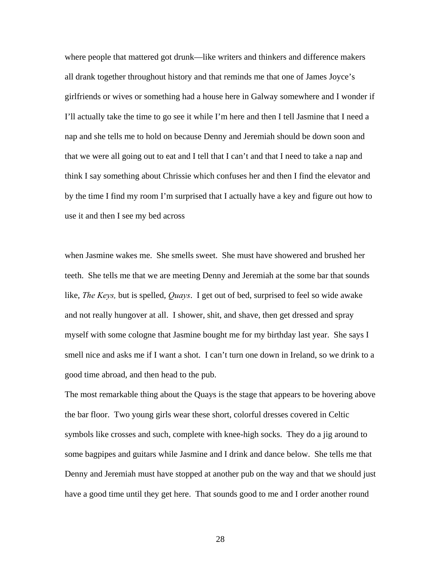where people that mattered got drunk—like writers and thinkers and difference makers all drank together throughout history and that reminds me that one of James Joyce's girlfriends or wives or something had a house here in Galway somewhere and I wonder if I'll actually take the time to go see it while I'm here and then I tell Jasmine that I need a nap and she tells me to hold on because Denny and Jeremiah should be down soon and that we were all going out to eat and I tell that I can't and that I need to take a nap and think I say something about Chrissie which confuses her and then I find the elevator and by the time I find my room I'm surprised that I actually have a key and figure out how to use it and then I see my bed across

when Jasmine wakes me. She smells sweet. She must have showered and brushed her teeth. She tells me that we are meeting Denny and Jeremiah at the some bar that sounds like, *The Keys,* but is spelled, *Quays*. I get out of bed, surprised to feel so wide awake and not really hungover at all. I shower, shit, and shave, then get dressed and spray myself with some cologne that Jasmine bought me for my birthday last year. She says I smell nice and asks me if I want a shot. I can't turn one down in Ireland, so we drink to a good time abroad, and then head to the pub.

The most remarkable thing about the Quays is the stage that appears to be hovering above the bar floor. Two young girls wear these short, colorful dresses covered in Celtic symbols like crosses and such, complete with knee-high socks. They do a jig around to some bagpipes and guitars while Jasmine and I drink and dance below. She tells me that Denny and Jeremiah must have stopped at another pub on the way and that we should just have a good time until they get here. That sounds good to me and I order another round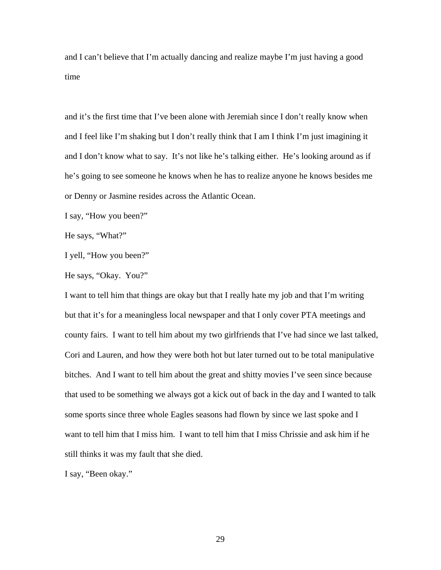and I can't believe that I'm actually dancing and realize maybe I'm just having a good time

and it's the first time that I've been alone with Jeremiah since I don't really know when and I feel like I'm shaking but I don't really think that I am I think I'm just imagining it and I don't know what to say. It's not like he's talking either. He's looking around as if he's going to see someone he knows when he has to realize anyone he knows besides me or Denny or Jasmine resides across the Atlantic Ocean.

I say, "How you been?"

He says, "What?"

I yell, "How you been?"

He says, "Okay. You?"

I want to tell him that things are okay but that I really hate my job and that I'm writing but that it's for a meaningless local newspaper and that I only cover PTA meetings and county fairs. I want to tell him about my two girlfriends that I've had since we last talked, Cori and Lauren, and how they were both hot but later turned out to be total manipulative bitches. And I want to tell him about the great and shitty movies I've seen since because that used to be something we always got a kick out of back in the day and I wanted to talk some sports since three whole Eagles seasons had flown by since we last spoke and I want to tell him that I miss him. I want to tell him that I miss Chrissie and ask him if he still thinks it was my fault that she died.

I say, "Been okay."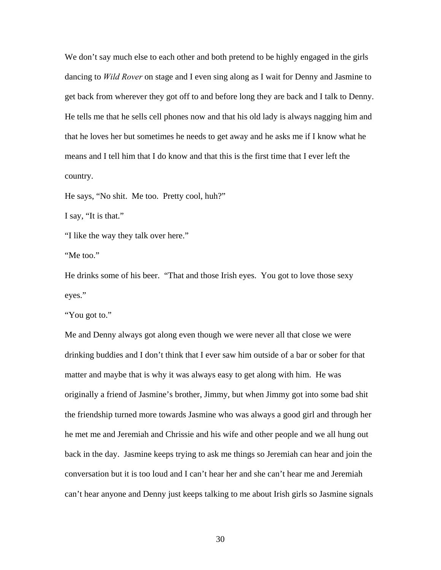We don't say much else to each other and both pretend to be highly engaged in the girls dancing to *Wild Rover* on stage and I even sing along as I wait for Denny and Jasmine to get back from wherever they got off to and before long they are back and I talk to Denny. He tells me that he sells cell phones now and that his old lady is always nagging him and that he loves her but sometimes he needs to get away and he asks me if I know what he means and I tell him that I do know and that this is the first time that I ever left the country.

He says, "No shit. Me too. Pretty cool, huh?"

I say, "It is that."

"I like the way they talk over here."

"Me too."

He drinks some of his beer. "That and those Irish eyes. You got to love those sexy eyes."

"You got to."

Me and Denny always got along even though we were never all that close we were drinking buddies and I don't think that I ever saw him outside of a bar or sober for that matter and maybe that is why it was always easy to get along with him. He was originally a friend of Jasmine's brother, Jimmy, but when Jimmy got into some bad shit the friendship turned more towards Jasmine who was always a good girl and through her he met me and Jeremiah and Chrissie and his wife and other people and we all hung out back in the day. Jasmine keeps trying to ask me things so Jeremiah can hear and join the conversation but it is too loud and I can't hear her and she can't hear me and Jeremiah can't hear anyone and Denny just keeps talking to me about Irish girls so Jasmine signals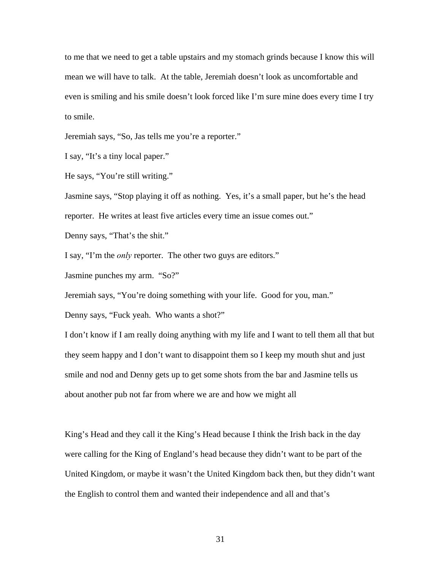to me that we need to get a table upstairs and my stomach grinds because I know this will mean we will have to talk. At the table, Jeremiah doesn't look as uncomfortable and even is smiling and his smile doesn't look forced like I'm sure mine does every time I try to smile.

Jeremiah says, "So, Jas tells me you're a reporter."

I say, "It's a tiny local paper."

He says, "You're still writing."

Jasmine says, "Stop playing it off as nothing. Yes, it's a small paper, but he's the head reporter. He writes at least five articles every time an issue comes out."

Denny says, "That's the shit."

I say, "I'm the *only* reporter. The other two guys are editors."

Jasmine punches my arm. "So?"

Jeremiah says, "You're doing something with your life. Good for you, man."

Denny says, "Fuck yeah. Who wants a shot?"

I don't know if I am really doing anything with my life and I want to tell them all that but they seem happy and I don't want to disappoint them so I keep my mouth shut and just smile and nod and Denny gets up to get some shots from the bar and Jasmine tells us about another pub not far from where we are and how we might all

King's Head and they call it the King's Head because I think the Irish back in the day were calling for the King of England's head because they didn't want to be part of the United Kingdom, or maybe it wasn't the United Kingdom back then, but they didn't want the English to control them and wanted their independence and all and that's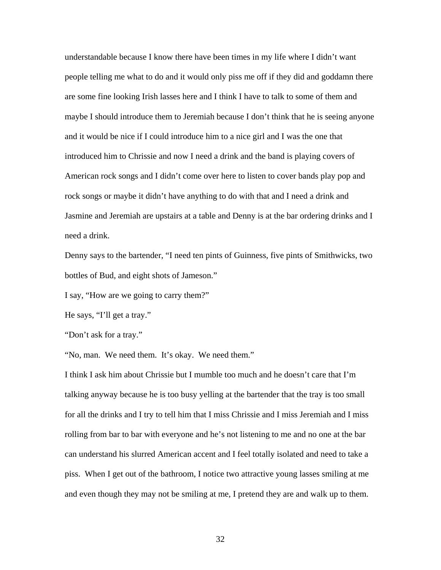understandable because I know there have been times in my life where I didn't want people telling me what to do and it would only piss me off if they did and goddamn there are some fine looking Irish lasses here and I think I have to talk to some of them and maybe I should introduce them to Jeremiah because I don't think that he is seeing anyone and it would be nice if I could introduce him to a nice girl and I was the one that introduced him to Chrissie and now I need a drink and the band is playing covers of American rock songs and I didn't come over here to listen to cover bands play pop and rock songs or maybe it didn't have anything to do with that and I need a drink and Jasmine and Jeremiah are upstairs at a table and Denny is at the bar ordering drinks and I need a drink.

Denny says to the bartender, "I need ten pints of Guinness, five pints of Smithwicks, two bottles of Bud, and eight shots of Jameson."

I say, "How are we going to carry them?"

He says, "I'll get a tray."

"Don't ask for a tray."

"No, man. We need them. It's okay. We need them."

I think I ask him about Chrissie but I mumble too much and he doesn't care that I'm talking anyway because he is too busy yelling at the bartender that the tray is too small for all the drinks and I try to tell him that I miss Chrissie and I miss Jeremiah and I miss rolling from bar to bar with everyone and he's not listening to me and no one at the bar can understand his slurred American accent and I feel totally isolated and need to take a piss. When I get out of the bathroom, I notice two attractive young lasses smiling at me and even though they may not be smiling at me, I pretend they are and walk up to them.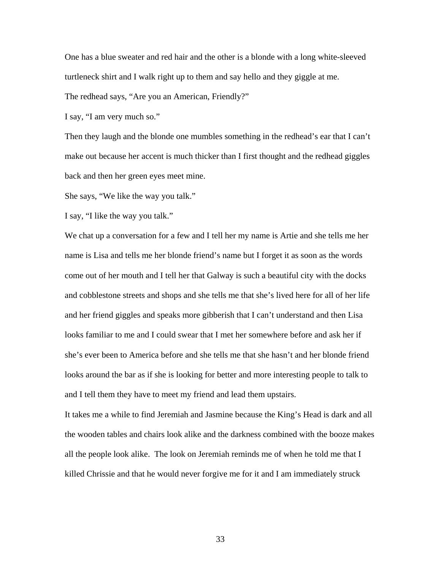One has a blue sweater and red hair and the other is a blonde with a long white-sleeved turtleneck shirt and I walk right up to them and say hello and they giggle at me. The redhead says, "Are you an American, Friendly?"

I say, "I am very much so."

Then they laugh and the blonde one mumbles something in the redhead's ear that I can't make out because her accent is much thicker than I first thought and the redhead giggles back and then her green eyes meet mine.

She says, "We like the way you talk."

I say, "I like the way you talk."

We chat up a conversation for a few and I tell her my name is Artie and she tells me her name is Lisa and tells me her blonde friend's name but I forget it as soon as the words come out of her mouth and I tell her that Galway is such a beautiful city with the docks and cobblestone streets and shops and she tells me that she's lived here for all of her life and her friend giggles and speaks more gibberish that I can't understand and then Lisa looks familiar to me and I could swear that I met her somewhere before and ask her if she's ever been to America before and she tells me that she hasn't and her blonde friend looks around the bar as if she is looking for better and more interesting people to talk to and I tell them they have to meet my friend and lead them upstairs.

It takes me a while to find Jeremiah and Jasmine because the King's Head is dark and all the wooden tables and chairs look alike and the darkness combined with the booze makes all the people look alike. The look on Jeremiah reminds me of when he told me that I killed Chrissie and that he would never forgive me for it and I am immediately struck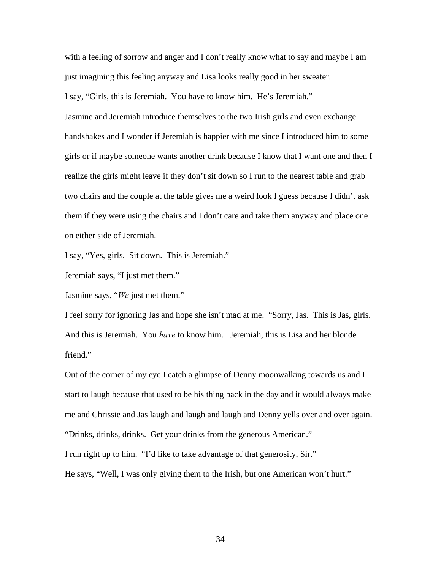with a feeling of sorrow and anger and I don't really know what to say and maybe I am just imagining this feeling anyway and Lisa looks really good in her sweater. I say, "Girls, this is Jeremiah. You have to know him. He's Jeremiah." Jasmine and Jeremiah introduce themselves to the two Irish girls and even exchange handshakes and I wonder if Jeremiah is happier with me since I introduced him to some girls or if maybe someone wants another drink because I know that I want one and then I realize the girls might leave if they don't sit down so I run to the nearest table and grab two chairs and the couple at the table gives me a weird look I guess because I didn't ask them if they were using the chairs and I don't care and take them anyway and place one on either side of Jeremiah.

I say, "Yes, girls. Sit down. This is Jeremiah."

Jeremiah says, "I just met them."

Jasmine says, "*We* just met them."

I feel sorry for ignoring Jas and hope she isn't mad at me. "Sorry, Jas. This is Jas, girls. And this is Jeremiah. You *have* to know him. Jeremiah, this is Lisa and her blonde friend."

Out of the corner of my eye I catch a glimpse of Denny moonwalking towards us and I start to laugh because that used to be his thing back in the day and it would always make me and Chrissie and Jas laugh and laugh and laugh and Denny yells over and over again. "Drinks, drinks, drinks. Get your drinks from the generous American."

I run right up to him. "I'd like to take advantage of that generosity, Sir."

He says, "Well, I was only giving them to the Irish, but one American won't hurt."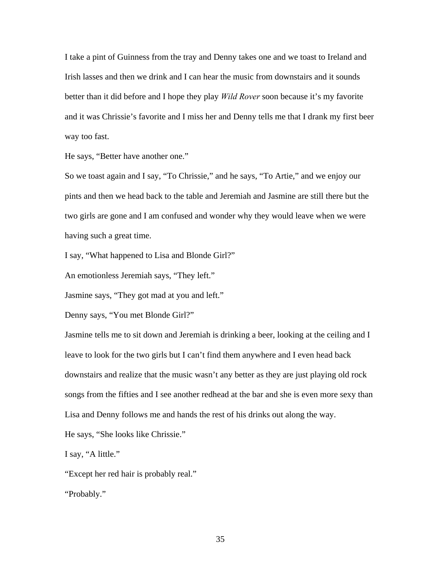I take a pint of Guinness from the tray and Denny takes one and we toast to Ireland and Irish lasses and then we drink and I can hear the music from downstairs and it sounds better than it did before and I hope they play *Wild Rover* soon because it's my favorite and it was Chrissie's favorite and I miss her and Denny tells me that I drank my first beer way too fast.

He says, "Better have another one."

So we toast again and I say, "To Chrissie," and he says, "To Artie," and we enjoy our pints and then we head back to the table and Jeremiah and Jasmine are still there but the two girls are gone and I am confused and wonder why they would leave when we were having such a great time.

I say, "What happened to Lisa and Blonde Girl?"

An emotionless Jeremiah says, "They left."

Jasmine says, "They got mad at you and left."

Denny says, "You met Blonde Girl?"

Jasmine tells me to sit down and Jeremiah is drinking a beer, looking at the ceiling and I leave to look for the two girls but I can't find them anywhere and I even head back downstairs and realize that the music wasn't any better as they are just playing old rock songs from the fifties and I see another redhead at the bar and she is even more sexy than Lisa and Denny follows me and hands the rest of his drinks out along the way.

He says, "She looks like Chrissie."

I say, "A little."

"Except her red hair is probably real."

"Probably."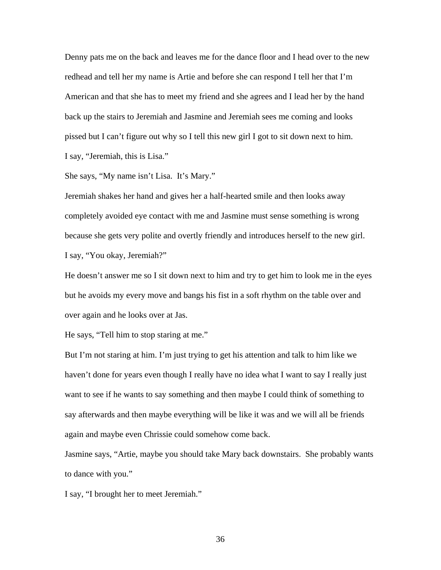Denny pats me on the back and leaves me for the dance floor and I head over to the new redhead and tell her my name is Artie and before she can respond I tell her that I'm American and that she has to meet my friend and she agrees and I lead her by the hand back up the stairs to Jeremiah and Jasmine and Jeremiah sees me coming and looks pissed but I can't figure out why so I tell this new girl I got to sit down next to him. I say, "Jeremiah, this is Lisa."

She says, "My name isn't Lisa. It's Mary."

Jeremiah shakes her hand and gives her a half-hearted smile and then looks away completely avoided eye contact with me and Jasmine must sense something is wrong because she gets very polite and overtly friendly and introduces herself to the new girl. I say, "You okay, Jeremiah?"

He doesn't answer me so I sit down next to him and try to get him to look me in the eyes but he avoids my every move and bangs his fist in a soft rhythm on the table over and over again and he looks over at Jas.

He says, "Tell him to stop staring at me."

But I'm not staring at him. I'm just trying to get his attention and talk to him like we haven't done for years even though I really have no idea what I want to say I really just want to see if he wants to say something and then maybe I could think of something to say afterwards and then maybe everything will be like it was and we will all be friends again and maybe even Chrissie could somehow come back.

Jasmine says, "Artie, maybe you should take Mary back downstairs. She probably wants to dance with you."

I say, "I brought her to meet Jeremiah."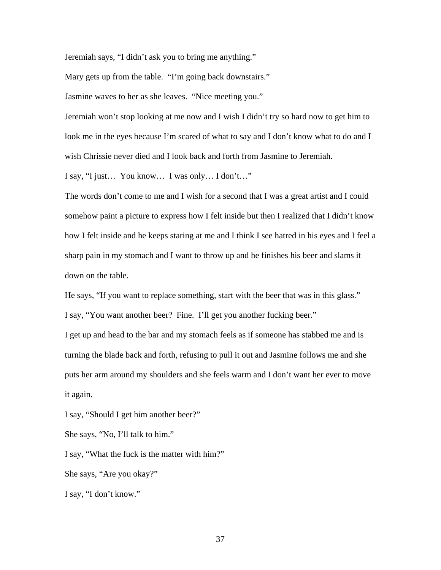Jeremiah says, "I didn't ask you to bring me anything."

Mary gets up from the table. "I'm going back downstairs."

Jasmine waves to her as she leaves. "Nice meeting you."

Jeremiah won't stop looking at me now and I wish I didn't try so hard now to get him to look me in the eyes because I'm scared of what to say and I don't know what to do and I wish Chrissie never died and I look back and forth from Jasmine to Jeremiah.

I say, "I just… You know… I was only… I don't…"

The words don't come to me and I wish for a second that I was a great artist and I could somehow paint a picture to express how I felt inside but then I realized that I didn't know how I felt inside and he keeps staring at me and I think I see hatred in his eyes and I feel a sharp pain in my stomach and I want to throw up and he finishes his beer and slams it down on the table.

He says, "If you want to replace something, start with the beer that was in this glass." I say, "You want another beer? Fine. I'll get you another fucking beer."

I get up and head to the bar and my stomach feels as if someone has stabbed me and is turning the blade back and forth, refusing to pull it out and Jasmine follows me and she puts her arm around my shoulders and she feels warm and I don't want her ever to move it again.

I say, "Should I get him another beer?"

She says, "No, I'll talk to him."

I say, "What the fuck is the matter with him?"

She says, "Are you okay?"

I say, "I don't know."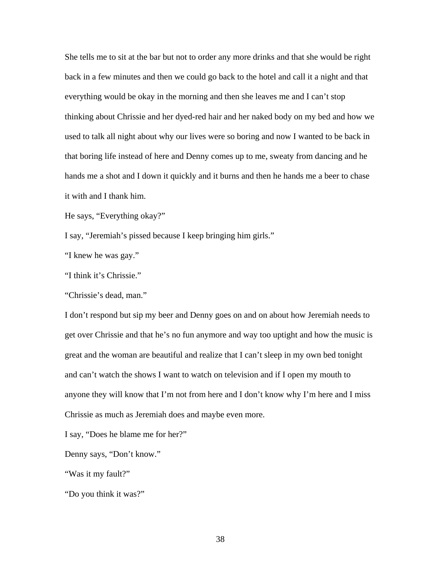She tells me to sit at the bar but not to order any more drinks and that she would be right back in a few minutes and then we could go back to the hotel and call it a night and that everything would be okay in the morning and then she leaves me and I can't stop thinking about Chrissie and her dyed-red hair and her naked body on my bed and how we used to talk all night about why our lives were so boring and now I wanted to be back in that boring life instead of here and Denny comes up to me, sweaty from dancing and he hands me a shot and I down it quickly and it burns and then he hands me a beer to chase it with and I thank him.

He says, "Everything okay?"

I say, "Jeremiah's pissed because I keep bringing him girls."

"I knew he was gay."

"I think it's Chrissie."

"Chrissie's dead, man."

I don't respond but sip my beer and Denny goes on and on about how Jeremiah needs to get over Chrissie and that he's no fun anymore and way too uptight and how the music is great and the woman are beautiful and realize that I can't sleep in my own bed tonight and can't watch the shows I want to watch on television and if I open my mouth to anyone they will know that I'm not from here and I don't know why I'm here and I miss Chrissie as much as Jeremiah does and maybe even more.

I say, "Does he blame me for her?"

Denny says, "Don't know."

"Was it my fault?"

"Do you think it was?"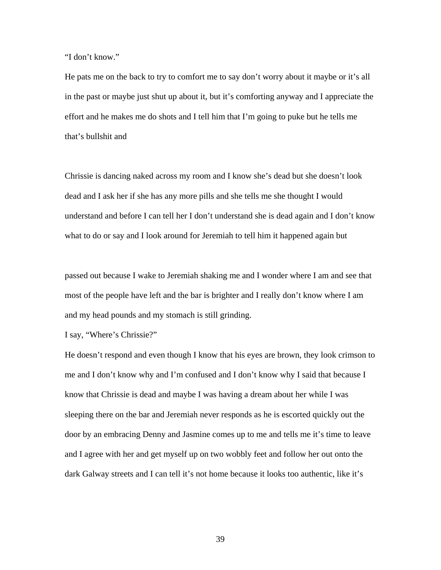"I don't know."

He pats me on the back to try to comfort me to say don't worry about it maybe or it's all in the past or maybe just shut up about it, but it's comforting anyway and I appreciate the effort and he makes me do shots and I tell him that I'm going to puke but he tells me that's bullshit and

Chrissie is dancing naked across my room and I know she's dead but she doesn't look dead and I ask her if she has any more pills and she tells me she thought I would understand and before I can tell her I don't understand she is dead again and I don't know what to do or say and I look around for Jeremiah to tell him it happened again but

passed out because I wake to Jeremiah shaking me and I wonder where I am and see that most of the people have left and the bar is brighter and I really don't know where I am and my head pounds and my stomach is still grinding.

I say, "Where's Chrissie?"

He doesn't respond and even though I know that his eyes are brown, they look crimson to me and I don't know why and I'm confused and I don't know why I said that because I know that Chrissie is dead and maybe I was having a dream about her while I was sleeping there on the bar and Jeremiah never responds as he is escorted quickly out the door by an embracing Denny and Jasmine comes up to me and tells me it's time to leave and I agree with her and get myself up on two wobbly feet and follow her out onto the dark Galway streets and I can tell it's not home because it looks too authentic, like it's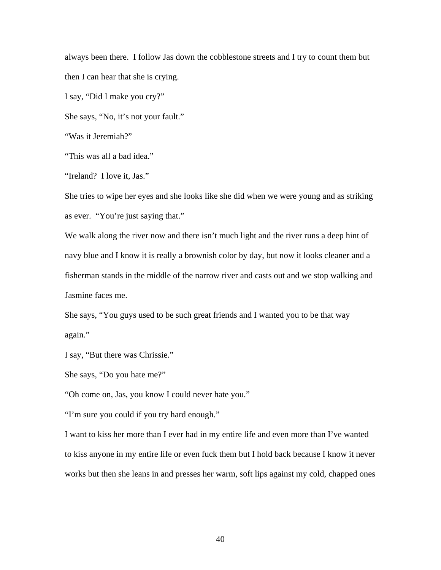always been there. I follow Jas down the cobblestone streets and I try to count them but then I can hear that she is crying.

I say, "Did I make you cry?"

She says, "No, it's not your fault."

"Was it Jeremiah?"

"This was all a bad idea."

"Ireland? I love it, Jas."

She tries to wipe her eyes and she looks like she did when we were young and as striking as ever. "You're just saying that."

We walk along the river now and there isn't much light and the river runs a deep hint of navy blue and I know it is really a brownish color by day, but now it looks cleaner and a fisherman stands in the middle of the narrow river and casts out and we stop walking and Jasmine faces me.

She says, "You guys used to be such great friends and I wanted you to be that way again."

I say, "But there was Chrissie."

She says, "Do you hate me?"

"Oh come on, Jas, you know I could never hate you."

"I'm sure you could if you try hard enough."

I want to kiss her more than I ever had in my entire life and even more than I've wanted to kiss anyone in my entire life or even fuck them but I hold back because I know it never works but then she leans in and presses her warm, soft lips against my cold, chapped ones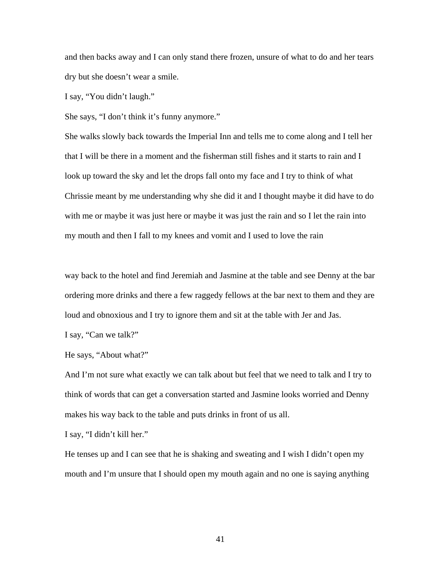and then backs away and I can only stand there frozen, unsure of what to do and her tears dry but she doesn't wear a smile.

I say, "You didn't laugh."

She says, "I don't think it's funny anymore."

She walks slowly back towards the Imperial Inn and tells me to come along and I tell her that I will be there in a moment and the fisherman still fishes and it starts to rain and I look up toward the sky and let the drops fall onto my face and I try to think of what Chrissie meant by me understanding why she did it and I thought maybe it did have to do with me or maybe it was just here or maybe it was just the rain and so I let the rain into my mouth and then I fall to my knees and vomit and I used to love the rain

way back to the hotel and find Jeremiah and Jasmine at the table and see Denny at the bar ordering more drinks and there a few raggedy fellows at the bar next to them and they are loud and obnoxious and I try to ignore them and sit at the table with Jer and Jas.

I say, "Can we talk?"

He says, "About what?"

And I'm not sure what exactly we can talk about but feel that we need to talk and I try to think of words that can get a conversation started and Jasmine looks worried and Denny makes his way back to the table and puts drinks in front of us all.

I say, "I didn't kill her."

He tenses up and I can see that he is shaking and sweating and I wish I didn't open my mouth and I'm unsure that I should open my mouth again and no one is saying anything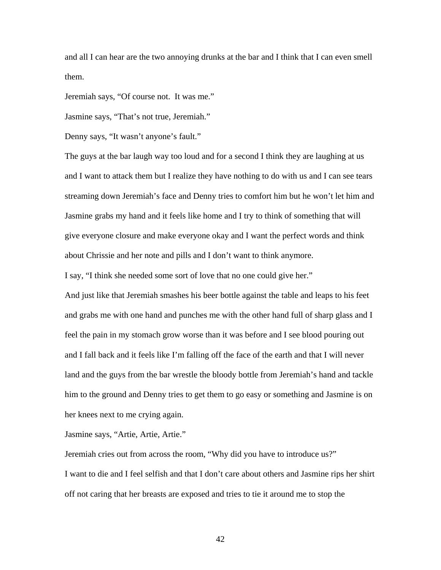and all I can hear are the two annoying drunks at the bar and I think that I can even smell them.

Jeremiah says, "Of course not. It was me."

Jasmine says, "That's not true, Jeremiah."

Denny says, "It wasn't anyone's fault."

The guys at the bar laugh way too loud and for a second I think they are laughing at us and I want to attack them but I realize they have nothing to do with us and I can see tears streaming down Jeremiah's face and Denny tries to comfort him but he won't let him and Jasmine grabs my hand and it feels like home and I try to think of something that will give everyone closure and make everyone okay and I want the perfect words and think about Chrissie and her note and pills and I don't want to think anymore.

I say, "I think she needed some sort of love that no one could give her."

And just like that Jeremiah smashes his beer bottle against the table and leaps to his feet and grabs me with one hand and punches me with the other hand full of sharp glass and I feel the pain in my stomach grow worse than it was before and I see blood pouring out and I fall back and it feels like I'm falling off the face of the earth and that I will never land and the guys from the bar wrestle the bloody bottle from Jeremiah's hand and tackle him to the ground and Denny tries to get them to go easy or something and Jasmine is on her knees next to me crying again.

Jasmine says, "Artie, Artie, Artie."

Jeremiah cries out from across the room, "Why did you have to introduce us?" I want to die and I feel selfish and that I don't care about others and Jasmine rips her shirt off not caring that her breasts are exposed and tries to tie it around me to stop the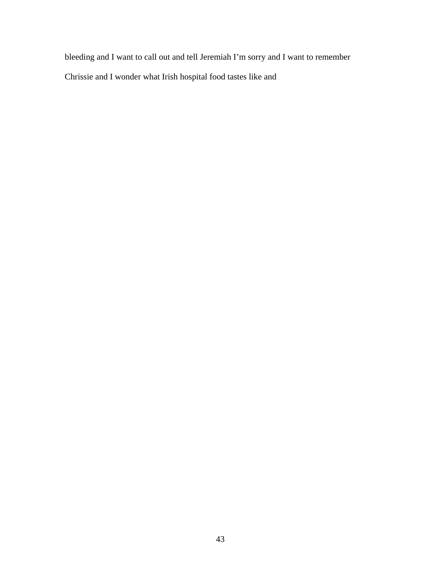bleeding and I want to call out and tell Jeremiah I'm sorry and I want to remember

Chrissie and I wonder what Irish hospital food tastes like and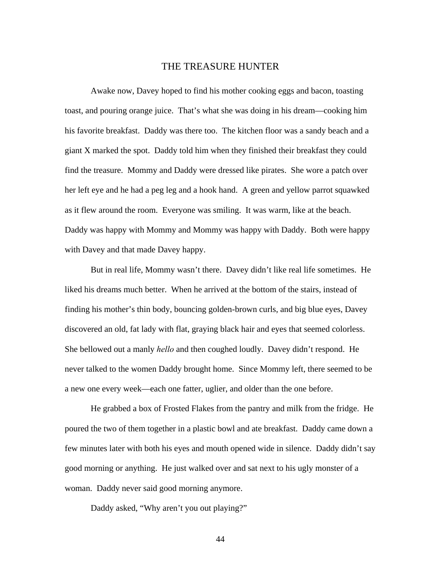## THE TREASURE HUNTER

Awake now, Davey hoped to find his mother cooking eggs and bacon, toasting toast, and pouring orange juice. That's what she was doing in his dream—cooking him his favorite breakfast. Daddy was there too. The kitchen floor was a sandy beach and a giant X marked the spot. Daddy told him when they finished their breakfast they could find the treasure. Mommy and Daddy were dressed like pirates. She wore a patch over her left eye and he had a peg leg and a hook hand. A green and yellow parrot squawked as it flew around the room. Everyone was smiling. It was warm, like at the beach. Daddy was happy with Mommy and Mommy was happy with Daddy. Both were happy with Davey and that made Davey happy.

 But in real life, Mommy wasn't there. Davey didn't like real life sometimes. He liked his dreams much better. When he arrived at the bottom of the stairs, instead of finding his mother's thin body, bouncing golden-brown curls, and big blue eyes, Davey discovered an old, fat lady with flat, graying black hair and eyes that seemed colorless. She bellowed out a manly *hello* and then coughed loudly. Davey didn't respond. He never talked to the women Daddy brought home. Since Mommy left, there seemed to be a new one every week—each one fatter, uglier, and older than the one before.

He grabbed a box of Frosted Flakes from the pantry and milk from the fridge. He poured the two of them together in a plastic bowl and ate breakfast. Daddy came down a few minutes later with both his eyes and mouth opened wide in silence. Daddy didn't say good morning or anything. He just walked over and sat next to his ugly monster of a woman. Daddy never said good morning anymore.

Daddy asked, "Why aren't you out playing?"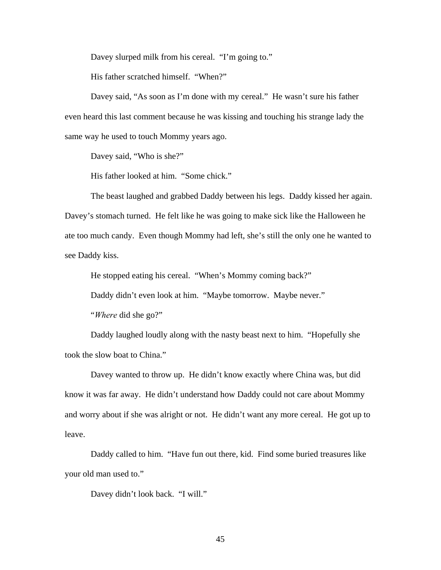Davey slurped milk from his cereal. "I'm going to."

His father scratched himself. "When?"

 Davey said, "As soon as I'm done with my cereal." He wasn't sure his father even heard this last comment because he was kissing and touching his strange lady the same way he used to touch Mommy years ago.

Davey said, "Who is she?"

His father looked at him. "Some chick."

The beast laughed and grabbed Daddy between his legs. Daddy kissed her again. Davey's stomach turned. He felt like he was going to make sick like the Halloween he ate too much candy.Even though Mommy had left, she's still the only one he wanted to see Daddy kiss.

He stopped eating his cereal. "When's Mommy coming back?"

Daddy didn't even look at him. "Maybe tomorrow. Maybe never."

"*Where* did she go?"

 Daddy laughed loudly along with the nasty beast next to him. "Hopefully she took the slow boat to China."

Davey wanted to throw up. He didn't know exactly where China was, but did know it was far away. He didn't understand how Daddy could not care about Mommy and worry about if she was alright or not. He didn't want any more cereal. He got up to leave.

 Daddy called to him. "Have fun out there, kid. Find some buried treasures like your old man used to."

Davey didn't look back. "I will."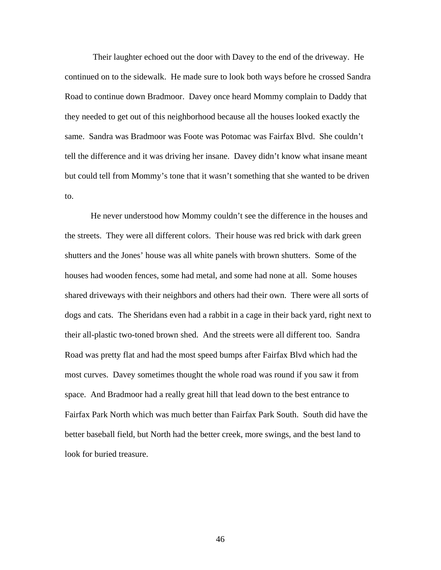Their laughter echoed out the door with Davey to the end of the driveway. He continued on to the sidewalk. He made sure to look both ways before he crossed Sandra Road to continue down Bradmoor. Davey once heard Mommy complain to Daddy that they needed to get out of this neighborhood because all the houses looked exactly the same. Sandra was Bradmoor was Foote was Potomac was Fairfax Blvd. She couldn't tell the difference and it was driving her insane. Davey didn't know what insane meant but could tell from Mommy's tone that it wasn't something that she wanted to be driven to.

He never understood how Mommy couldn't see the difference in the houses and the streets. They were all different colors. Their house was red brick with dark green shutters and the Jones' house was all white panels with brown shutters. Some of the houses had wooden fences, some had metal, and some had none at all. Some houses shared driveways with their neighbors and others had their own. There were all sorts of dogs and cats. The Sheridans even had a rabbit in a cage in their back yard, right next to their all-plastic two-toned brown shed. And the streets were all different too. Sandra Road was pretty flat and had the most speed bumps after Fairfax Blvd which had the most curves. Davey sometimes thought the whole road was round if you saw it from space. And Bradmoor had a really great hill that lead down to the best entrance to Fairfax Park North which was much better than Fairfax Park South. South did have the better baseball field, but North had the better creek, more swings, and the best land to look for buried treasure.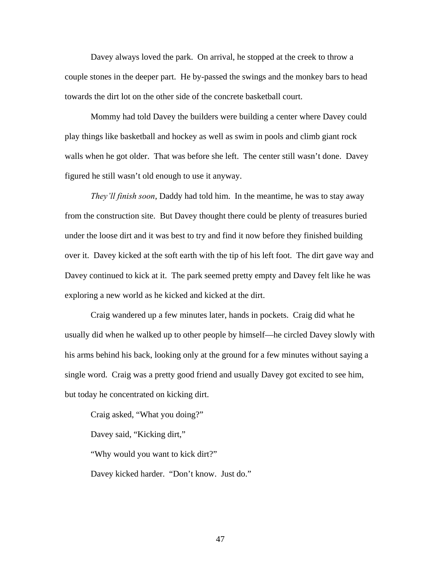Davey always loved the park. On arrival, he stopped at the creek to throw a couple stones in the deeper part. He by-passed the swings and the monkey bars to head towards the dirt lot on the other side of the concrete basketball court.

Mommy had told Davey the builders were building a center where Davey could play things like basketball and hockey as well as swim in pools and climb giant rock walls when he got older. That was before she left. The center still wasn't done. Davey figured he still wasn't old enough to use it anyway.

*They'll finish soon*, Daddy had told him. In the meantime, he was to stay away from the construction site. But Davey thought there could be plenty of treasures buried under the loose dirt and it was best to try and find it now before they finished building over it. Davey kicked at the soft earth with the tip of his left foot. The dirt gave way and Davey continued to kick at it. The park seemed pretty empty and Davey felt like he was exploring a new world as he kicked and kicked at the dirt.

Craig wandered up a few minutes later, hands in pockets. Craig did what he usually did when he walked up to other people by himself—he circled Davey slowly with his arms behind his back, looking only at the ground for a few minutes without saying a single word. Craig was a pretty good friend and usually Davey got excited to see him, but today he concentrated on kicking dirt.

Craig asked, "What you doing?"

Davey said, "Kicking dirt,"

"Why would you want to kick dirt?"

Davey kicked harder. "Don't know. Just do."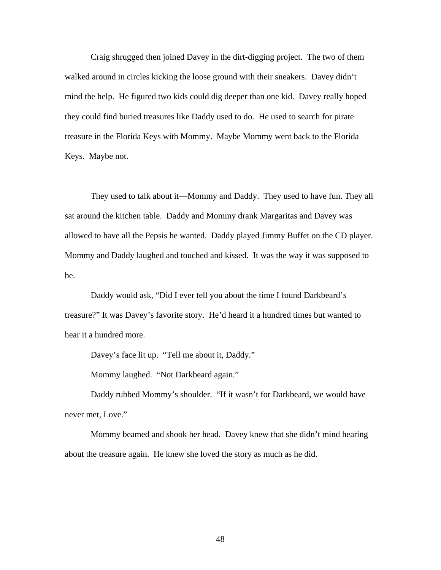Craig shrugged then joined Davey in the dirt-digging project. The two of them walked around in circles kicking the loose ground with their sneakers. Davey didn't mind the help. He figured two kids could dig deeper than one kid. Davey really hoped they could find buried treasures like Daddy used to do. He used to search for pirate treasure in the Florida Keys with Mommy. Maybe Mommy went back to the Florida Keys. Maybe not.

They used to talk about it—Mommy and Daddy. They used to have fun. They all sat around the kitchen table. Daddy and Mommy drank Margaritas and Davey was allowed to have all the Pepsis he wanted. Daddy played Jimmy Buffet on the CD player. Mommy and Daddy laughed and touched and kissed. It was the way it was supposed to be.

Daddy would ask, "Did I ever tell you about the time I found Darkbeard's treasure?" It was Davey's favorite story. He'd heard it a hundred times but wanted to hear it a hundred more.

Davey's face lit up. "Tell me about it, Daddy."

Mommy laughed. "Not Darkbeard again."

 Daddy rubbed Mommy's shoulder. "If it wasn't for Darkbeard, we would have never met, Love."

 Mommy beamed and shook her head. Davey knew that she didn't mind hearing about the treasure again. He knew she loved the story as much as he did.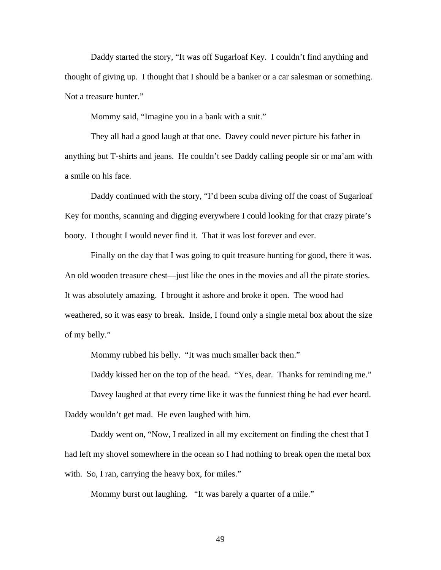Daddy started the story, "It was off Sugarloaf Key. I couldn't find anything and thought of giving up. I thought that I should be a banker or a car salesman or something. Not a treasure hunter."

Mommy said, "Imagine you in a bank with a suit."

They all had a good laugh at that one. Davey could never picture his father in anything but T-shirts and jeans. He couldn't see Daddy calling people sir or ma'am with a smile on his face.

Daddy continued with the story, "I'd been scuba diving off the coast of Sugarloaf Key for months, scanning and digging everywhere I could looking for that crazy pirate's booty. I thought I would never find it. That it was lost forever and ever.

Finally on the day that I was going to quit treasure hunting for good, there it was. An old wooden treasure chest—just like the ones in the movies and all the pirate stories. It was absolutely amazing. I brought it ashore and broke it open. The wood had weathered, so it was easy to break. Inside, I found only a single metal box about the size of my belly."

Mommy rubbed his belly. "It was much smaller back then."

Daddy kissed her on the top of the head. "Yes, dear. Thanks for reminding me."

Davey laughed at that every time like it was the funniest thing he had ever heard. Daddy wouldn't get mad. He even laughed with him.

Daddy went on, "Now, I realized in all my excitement on finding the chest that I had left my shovel somewhere in the ocean so I had nothing to break open the metal box with. So, I ran, carrying the heavy box, for miles."

Mommy burst out laughing. "It was barely a quarter of a mile."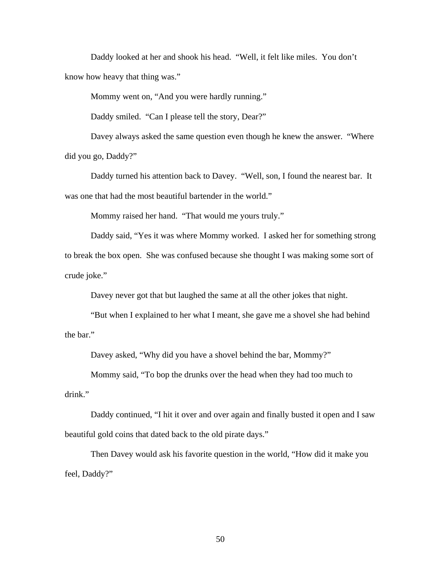Daddy looked at her and shook his head. "Well, it felt like miles. You don't know how heavy that thing was."

Mommy went on, "And you were hardly running."

Daddy smiled. "Can I please tell the story, Dear?"

Davey always asked the same question even though he knew the answer. "Where did you go, Daddy?"

Daddy turned his attention back to Davey. "Well, son, I found the nearest bar. It was one that had the most beautiful bartender in the world."

Mommy raised her hand. "That would me yours truly."

Daddy said, "Yes it was where Mommy worked. I asked her for something strong to break the box open. She was confused because she thought I was making some sort of crude joke."

Davey never got that but laughed the same at all the other jokes that night.

"But when I explained to her what I meant, she gave me a shovel she had behind the bar."

Davey asked, "Why did you have a shovel behind the bar, Mommy?"

Mommy said, "To bop the drunks over the head when they had too much to

drink."

Daddy continued, "I hit it over and over again and finally busted it open and I saw beautiful gold coins that dated back to the old pirate days."

Then Davey would ask his favorite question in the world, "How did it make you feel, Daddy?"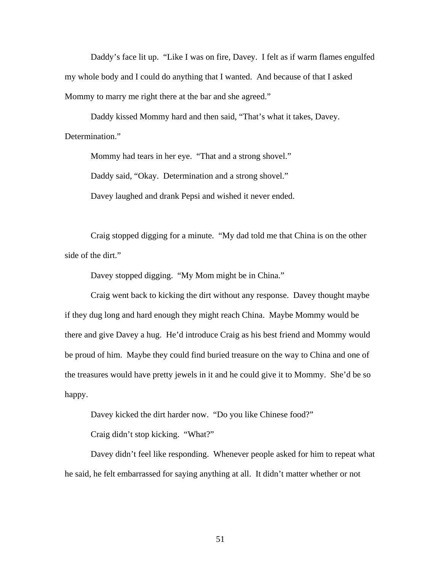Daddy's face lit up. "Like I was on fire, Davey. I felt as if warm flames engulfed my whole body and I could do anything that I wanted. And because of that I asked Mommy to marry me right there at the bar and she agreed."

Daddy kissed Mommy hard and then said, "That's what it takes, Davey. Determination."

Mommy had tears in her eye. "That and a strong shovel." Daddy said, "Okay. Determination and a strong shovel." Davey laughed and drank Pepsi and wished it never ended.

Craig stopped digging for a minute. "My dad told me that China is on the other side of the dirt."

Davey stopped digging. "My Mom might be in China."

 Craig went back to kicking the dirt without any response. Davey thought maybe if they dug long and hard enough they might reach China. Maybe Mommy would be there and give Davey a hug. He'd introduce Craig as his best friend and Mommy would be proud of him. Maybe they could find buried treasure on the way to China and one of the treasures would have pretty jewels in it and he could give it to Mommy. She'd be so happy.

Davey kicked the dirt harder now. "Do you like Chinese food?"

Craig didn't stop kicking. "What?"

 Davey didn't feel like responding. Whenever people asked for him to repeat what he said, he felt embarrassed for saying anything at all. It didn't matter whether or not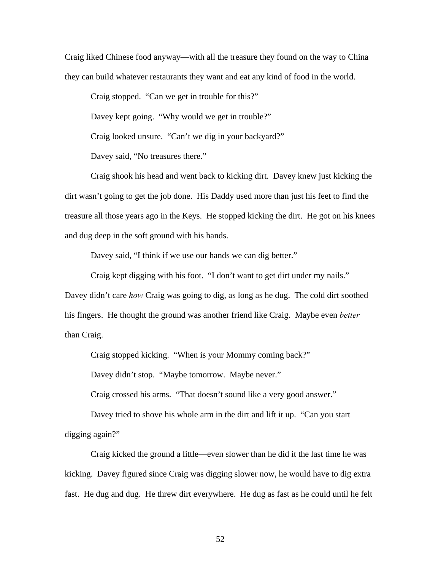Craig liked Chinese food anyway—with all the treasure they found on the way to China they can build whatever restaurants they want and eat any kind of food in the world.

 Craig stopped. "Can we get in trouble for this?" Davey kept going. "Why would we get in trouble?" Craig looked unsure. "Can't we dig in your backyard?" Davey said, "No treasures there."

Craig shook his head and went back to kicking dirt. Davey knew just kicking the dirt wasn't going to get the job done. His Daddy used more than just his feet to find the treasure all those years ago in the Keys. He stopped kicking the dirt. He got on his knees and dug deep in the soft ground with his hands.

Davey said, "I think if we use our hands we can dig better."

 Craig kept digging with his foot. "I don't want to get dirt under my nails." Davey didn't care *how* Craig was going to dig, as long as he dug. The cold dirt soothed his fingers. He thought the ground was another friend like Craig. Maybe even *better* than Craig.

Craig stopped kicking. "When is your Mommy coming back?"

Davey didn't stop. "Maybe tomorrow. Maybe never."

Craig crossed his arms. "That doesn't sound like a very good answer."

 Davey tried to shove his whole arm in the dirt and lift it up. "Can you start digging again?"

 Craig kicked the ground a little—even slower than he did it the last time he was kicking. Davey figured since Craig was digging slower now, he would have to dig extra fast. He dug and dug. He threw dirt everywhere. He dug as fast as he could until he felt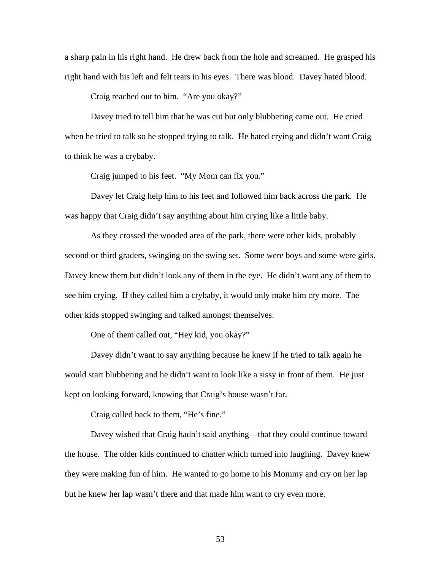a sharp pain in his right hand. He drew back from the hole and screamed. He grasped his right hand with his left and felt tears in his eyes. There was blood. Davey hated blood.

Craig reached out to him. "Are you okay?"

 Davey tried to tell him that he was cut but only blubbering came out. He cried when he tried to talk so he stopped trying to talk. He hated crying and didn't want Craig to think he was a crybaby.

Craig jumped to his feet. "My Mom can fix you."

Davey let Craig help him to his feet and followed him back across the park. He was happy that Craig didn't say anything about him crying like a little baby.

 As they crossed the wooded area of the park, there were other kids, probably second or third graders, swinging on the swing set. Some were boys and some were girls. Davey knew them but didn't look any of them in the eye. He didn't want any of them to see him crying. If they called him a crybaby, it would only make him cry more. The other kids stopped swinging and talked amongst themselves.

One of them called out, "Hey kid, you okay?"

 Davey didn't want to say anything because he knew if he tried to talk again he would start blubbering and he didn't want to look like a sissy in front of them. He just kept on looking forward, knowing that Craig's house wasn't far.

Craig called back to them, "He's fine."

 Davey wished that Craig hadn't said anything—that they could continue toward the house. The older kids continued to chatter which turned into laughing. Davey knew they were making fun of him. He wanted to go home to his Mommy and cry on her lap but he knew her lap wasn't there and that made him want to cry even more.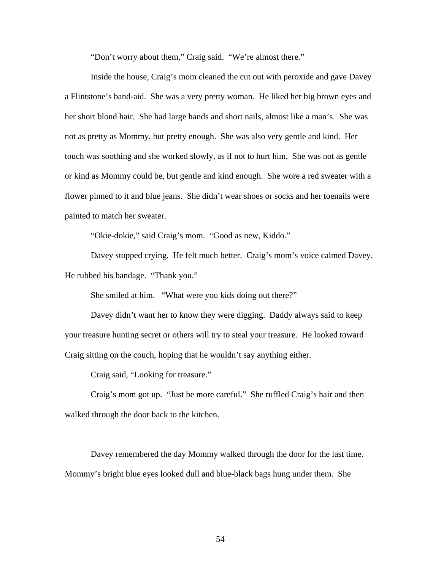"Don't worry about them," Craig said. "We're almost there."

Inside the house, Craig's mom cleaned the cut out with peroxide and gave Davey a Flintstone's band-aid. She was a very pretty woman. He liked her big brown eyes and her short blond hair. She had large hands and short nails, almost like a man's. She was not as pretty as Mommy, but pretty enough. She was also very gentle and kind. Her touch was soothing and she worked slowly, as if not to hurt him. She was not as gentle or kind as Mommy could be, but gentle and kind enough. She wore a red sweater with a flower pinned to it and blue jeans. She didn't wear shoes or socks and her toenails were painted to match her sweater.

"Okie-dokie," said Craig's mom. "Good as new, Kiddo."

 Davey stopped crying. He felt much better. Craig's mom's voice calmed Davey. He rubbed his bandage. "Thank you."

She smiled at him. "What were you kids doing out there?"

 Davey didn't want her to know they were digging. Daddy always said to keep your treasure hunting secret or others will try to steal your treasure. He looked toward Craig sitting on the couch, hoping that he wouldn't say anything either.

Craig said, "Looking for treasure."

Craig's mom got up. "Just be more careful." She ruffled Craig's hair and then walked through the door back to the kitchen.

Davey remembered the day Mommy walked through the door for the last time. Mommy's bright blue eyes looked dull and blue-black bags hung under them. She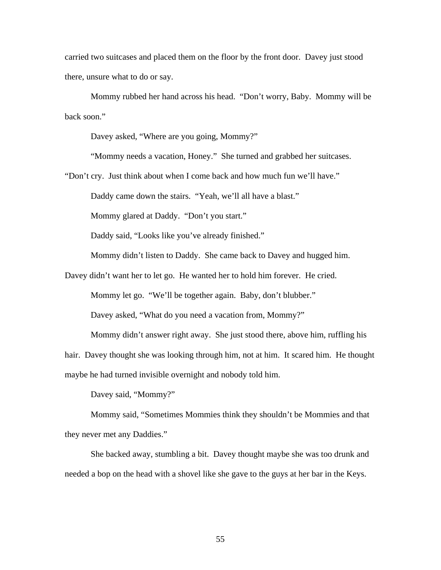carried two suitcases and placed them on the floor by the front door. Davey just stood there, unsure what to do or say.

 Mommy rubbed her hand across his head. "Don't worry, Baby. Mommy will be back soon."

Davey asked, "Where are you going, Mommy?"

"Mommy needs a vacation, Honey." She turned and grabbed her suitcases.

"Don't cry. Just think about when I come back and how much fun we'll have."

Daddy came down the stairs. "Yeah, we'll all have a blast."

Mommy glared at Daddy. "Don't you start."

Daddy said, "Looks like you've already finished."

Mommy didn't listen to Daddy. She came back to Davey and hugged him.

Davey didn't want her to let go. He wanted her to hold him forever. He cried.

Mommy let go. "We'll be together again. Baby, don't blubber."

Davey asked, "What do you need a vacation from, Mommy?"

Mommy didn't answer right away. She just stood there, above him, ruffling his

hair. Davey thought she was looking through him, not at him. It scared him. He thought maybe he had turned invisible overnight and nobody told him.

Davey said, "Mommy?"

Mommy said, "Sometimes Mommies think they shouldn't be Mommies and that they never met any Daddies."

She backed away, stumbling a bit. Davey thought maybe she was too drunk and needed a bop on the head with a shovel like she gave to the guys at her bar in the Keys.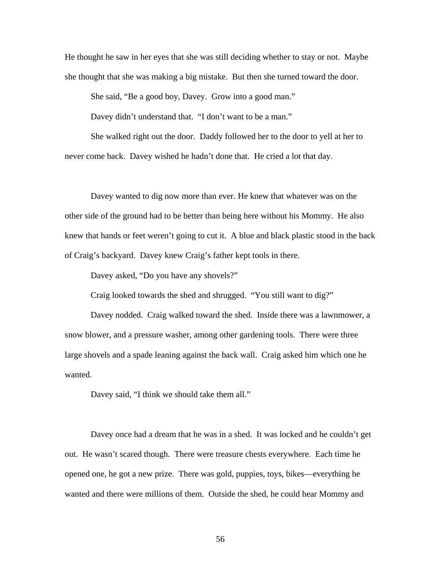He thought he saw in her eyes that she was still deciding whether to stay or not. Maybe she thought that she was making a big mistake. But then she turned toward the door.

She said, "Be a good boy, Davey. Grow into a good man."

Davey didn't understand that. "I don't want to be a man."

She walked right out the door. Daddy followed her to the door to yell at her to never come back. Davey wished he hadn't done that. He cried a lot that day.

Davey wanted to dig now more than ever. He knew that whatever was on the other side of the ground had to be better than being here without his Mommy. He also knew that hands or feet weren't going to cut it. A blue and black plastic stood in the back of Craig's backyard. Davey knew Craig's father kept tools in there.

Davey asked, "Do you have any shovels?"

Craig looked towards the shed and shrugged. "You still want to dig?"

 Davey nodded. Craig walked toward the shed. Inside there was a lawnmower, a snow blower, and a pressure washer, among other gardening tools. There were three large shovels and a spade leaning against the back wall. Craig asked him which one he wanted.

Davey said, "I think we should take them all."

Davey once had a dream that he was in a shed. It was locked and he couldn't get out. He wasn't scared though. There were treasure chests everywhere. Each time he opened one, he got a new prize. There was gold, puppies, toys, bikes—everything he wanted and there were millions of them. Outside the shed, he could hear Mommy and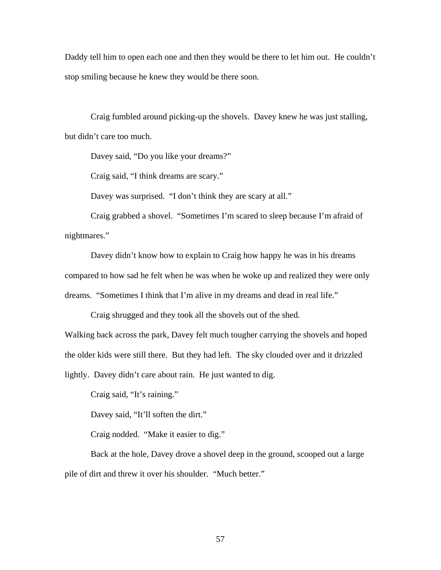Daddy tell him to open each one and then they would be there to let him out. He couldn't stop smiling because he knew they would be there soon.

 Craig fumbled around picking-up the shovels. Davey knew he was just stalling, but didn't care too much.

Davey said, "Do you like your dreams?"

Craig said, "I think dreams are scary."

Davey was surprised. "I don't think they are scary at all."

 Craig grabbed a shovel. "Sometimes I'm scared to sleep because I'm afraid of nightmares."

 Davey didn't know how to explain to Craig how happy he was in his dreams compared to how sad he felt when he was when he woke up and realized they were only dreams. "Sometimes I think that I'm alive in my dreams and dead in real life."

Craig shrugged and they took all the shovels out of the shed. Walking back across the park, Davey felt much tougher carrying the shovels and hoped the older kids were still there. But they had left. The sky clouded over and it drizzled lightly. Davey didn't care about rain. He just wanted to dig.

Craig said, "It's raining."

Davey said, "It'll soften the dirt."

Craig nodded. "Make it easier to dig."

 Back at the hole, Davey drove a shovel deep in the ground, scooped out a large pile of dirt and threw it over his shoulder. "Much better."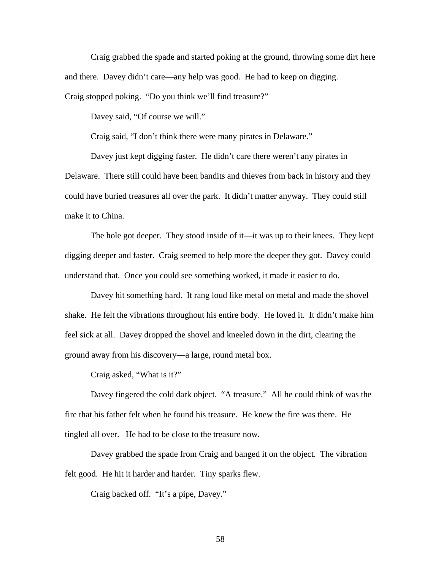Craig grabbed the spade and started poking at the ground, throwing some dirt here and there. Davey didn't care—any help was good. He had to keep on digging. Craig stopped poking. "Do you think we'll find treasure?"

Davey said, "Of course we will."

Craig said, "I don't think there were many pirates in Delaware."

 Davey just kept digging faster. He didn't care there weren't any pirates in Delaware. There still could have been bandits and thieves from back in history and they could have buried treasures all over the park. It didn't matter anyway. They could still make it to China.

 The hole got deeper. They stood inside of it—it was up to their knees. They kept digging deeper and faster. Craig seemed to help more the deeper they got. Davey could understand that. Once you could see something worked, it made it easier to do.

 Davey hit something hard. It rang loud like metal on metal and made the shovel shake. He felt the vibrations throughout his entire body. He loved it. It didn't make him feel sick at all. Davey dropped the shovel and kneeled down in the dirt, clearing the ground away from his discovery—a large, round metal box.

Craig asked, "What is it?"

Davey fingered the cold dark object. "A treasure." All he could think of was the fire that his father felt when he found his treasure. He knew the fire was there. He tingled all over. He had to be close to the treasure now.

Davey grabbed the spade from Craig and banged it on the object. The vibration felt good. He hit it harder and harder. Tiny sparks flew.

Craig backed off. "It's a pipe, Davey."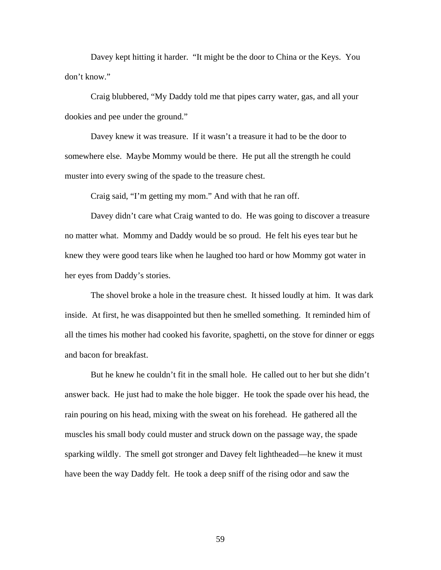Davey kept hitting it harder. "It might be the door to China or the Keys. You don't know."

 Craig blubbered, "My Daddy told me that pipes carry water, gas, and all your dookies and pee under the ground."

 Davey knew it was treasure. If it wasn't a treasure it had to be the door to somewhere else. Maybe Mommy would be there. He put all the strength he could muster into every swing of the spade to the treasure chest.

Craig said, "I'm getting my mom." And with that he ran off.

Davey didn't care what Craig wanted to do. He was going to discover a treasure no matter what. Mommy and Daddy would be so proud. He felt his eyes tear but he knew they were good tears like when he laughed too hard or how Mommy got water in her eyes from Daddy's stories.

The shovel broke a hole in the treasure chest. It hissed loudly at him. It was dark inside. At first, he was disappointed but then he smelled something. It reminded him of all the times his mother had cooked his favorite, spaghetti, on the stove for dinner or eggs and bacon for breakfast.

But he knew he couldn't fit in the small hole. He called out to her but she didn't answer back. He just had to make the hole bigger. He took the spade over his head, the rain pouring on his head, mixing with the sweat on his forehead. He gathered all the muscles his small body could muster and struck down on the passage way, the spade sparking wildly. The smell got stronger and Davey felt lightheaded—he knew it must have been the way Daddy felt. He took a deep sniff of the rising odor and saw the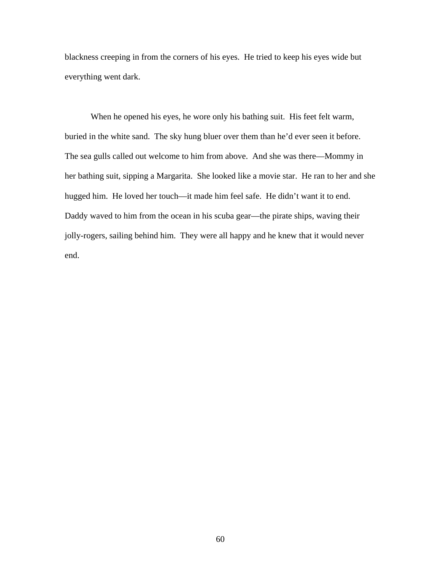blackness creeping in from the corners of his eyes. He tried to keep his eyes wide but everything went dark.

When he opened his eyes, he wore only his bathing suit. His feet felt warm, buried in the white sand. The sky hung bluer over them than he'd ever seen it before. The sea gulls called out welcome to him from above. And she was there—Mommy in her bathing suit, sipping a Margarita. She looked like a movie star. He ran to her and she hugged him. He loved her touch—it made him feel safe. He didn't want it to end. Daddy waved to him from the ocean in his scuba gear—the pirate ships, waving their jolly-rogers, sailing behind him. They were all happy and he knew that it would never end.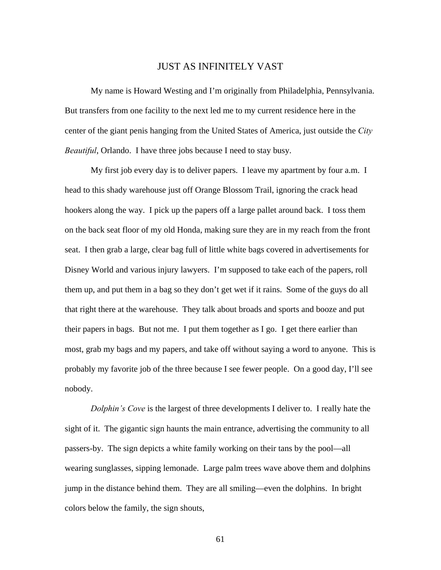## JUST AS INFINITELY VAST

My name is Howard Westing and I'm originally from Philadelphia, Pennsylvania. But transfers from one facility to the next led me to my current residence here in the center of the giant penis hanging from the United States of America, just outside the *City Beautiful*, Orlando. I have three jobs because I need to stay busy.

My first job every day is to deliver papers. I leave my apartment by four a.m. I head to this shady warehouse just off Orange Blossom Trail, ignoring the crack head hookers along the way. I pick up the papers off a large pallet around back. I toss them on the back seat floor of my old Honda, making sure they are in my reach from the front seat. I then grab a large, clear bag full of little white bags covered in advertisements for Disney World and various injury lawyers. I'm supposed to take each of the papers, roll them up, and put them in a bag so they don't get wet if it rains. Some of the guys do all that right there at the warehouse. They talk about broads and sports and booze and put their papers in bags. But not me. I put them together as I go. I get there earlier than most, grab my bags and my papers, and take off without saying a word to anyone. This is probably my favorite job of the three because I see fewer people. On a good day, I'll see nobody.

*Dolphin's Cove* is the largest of three developments I deliver to.I really hate the sight of it. The gigantic sign haunts the main entrance, advertising the community to all passers-by. The sign depicts a white family working on their tans by the pool—all wearing sunglasses, sipping lemonade. Large palm trees wave above them and dolphins jump in the distance behind them. They are all smiling—even the dolphins. In bright colors below the family, the sign shouts,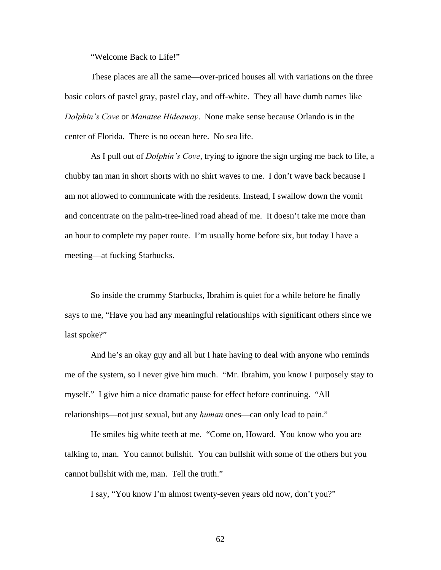"Welcome Back to Life!"

These places are all the same—over-priced houses all with variations on the three basic colors of pastel gray, pastel clay, and off-white. They all have dumb names like *Dolphin's Cove* or *Manatee Hideaway*. None make sense because Orlando is in the center of Florida. There is no ocean here. No sea life.

As I pull out of *Dolphin's Cove*, trying to ignore the sign urging me back to life, a chubby tan man in short shorts with no shirt waves to me. I don't wave back because I am not allowed to communicate with the residents. Instead, I swallow down the vomit and concentrate on the palm-tree-lined road ahead of me. It doesn't take me more than an hour to complete my paper route. I'm usually home before six, but today I have a meeting—at fucking Starbucks.

So inside the crummy Starbucks, Ibrahim is quiet for a while before he finally says to me, "Have you had any meaningful relationships with significant others since we last spoke?"

And he's an okay guy and all but I hate having to deal with anyone who reminds me of the system, so I never give him much. "Mr. Ibrahim, you know I purposely stay to myself." I give him a nice dramatic pause for effect before continuing. "All relationships—not just sexual, but any *human* ones—can only lead to pain."

He smiles big white teeth at me. "Come on, Howard. You know who you are talking to, man. You cannot bullshit. You can bullshit with some of the others but you cannot bullshit with me, man. Tell the truth."

I say, "You know I'm almost twenty-seven years old now, don't you?"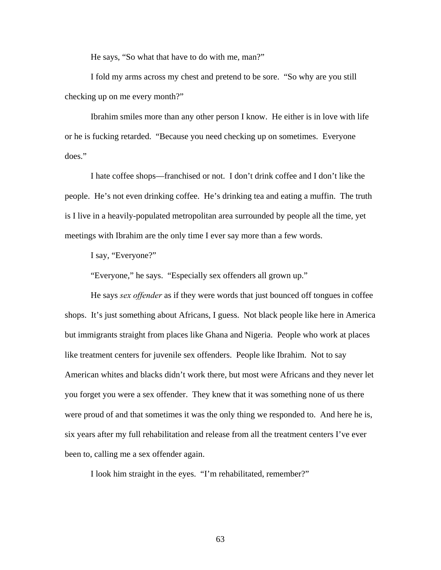He says, "So what that have to do with me, man?"

I fold my arms across my chest and pretend to be sore. "So why are you still checking up on me every month?"

Ibrahim smiles more than any other person I know. He either is in love with life or he is fucking retarded. "Because you need checking up on sometimes. Everyone does."

I hate coffee shops—franchised or not. I don't drink coffee and I don't like the people. He's not even drinking coffee. He's drinking tea and eating a muffin. The truth is I live in a heavily-populated metropolitan area surrounded by people all the time, yet meetings with Ibrahim are the only time I ever say more than a few words.

I say, "Everyone?"

"Everyone," he says. "Especially sex offenders all grown up."

He says *sex offender* as if they were words that just bounced off tongues in coffee shops. It's just something about Africans, I guess. Not black people like here in America but immigrants straight from places like Ghana and Nigeria. People who work at places like treatment centers for juvenile sex offenders. People like Ibrahim. Not to say American whites and blacks didn't work there, but most were Africans and they never let you forget you were a sex offender. They knew that it was something none of us there were proud of and that sometimes it was the only thing we responded to. And here he is, six years after my full rehabilitation and release from all the treatment centers I've ever been to, calling me a sex offender again.

I look him straight in the eyes. "I'm rehabilitated, remember?"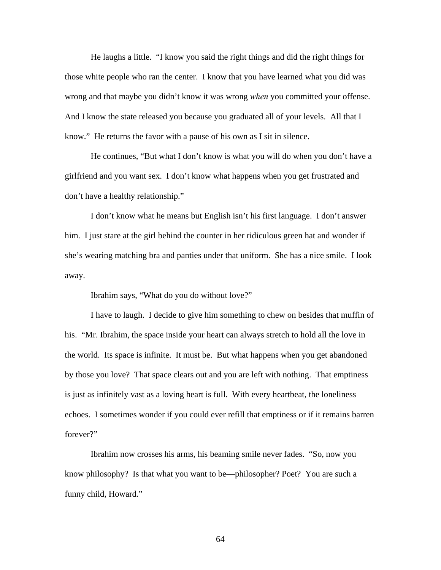He laughs a little. "I know you said the right things and did the right things for those white people who ran the center. I know that you have learned what you did was wrong and that maybe you didn't know it was wrong *when* you committed your offense. And I know the state released you because you graduated all of your levels. All that I know." He returns the favor with a pause of his own as I sit in silence.

He continues, "But what I don't know is what you will do when you don't have a girlfriend and you want sex. I don't know what happens when you get frustrated and don't have a healthy relationship."

I don't know what he means but English isn't his first language. I don't answer him. I just stare at the girl behind the counter in her ridiculous green hat and wonder if she's wearing matching bra and panties under that uniform. She has a nice smile. I look away.

Ibrahim says, "What do you do without love?"

I have to laugh. I decide to give him something to chew on besides that muffin of his. "Mr. Ibrahim, the space inside your heart can always stretch to hold all the love in the world. Its space is infinite. It must be. But what happens when you get abandoned by those you love? That space clears out and you are left with nothing. That emptiness is just as infinitely vast as a loving heart is full. With every heartbeat, the loneliness echoes. I sometimes wonder if you could ever refill that emptiness or if it remains barren forever?"

Ibrahim now crosses his arms, his beaming smile never fades. "So, now you know philosophy? Is that what you want to be—philosopher? Poet? You are such a funny child, Howard."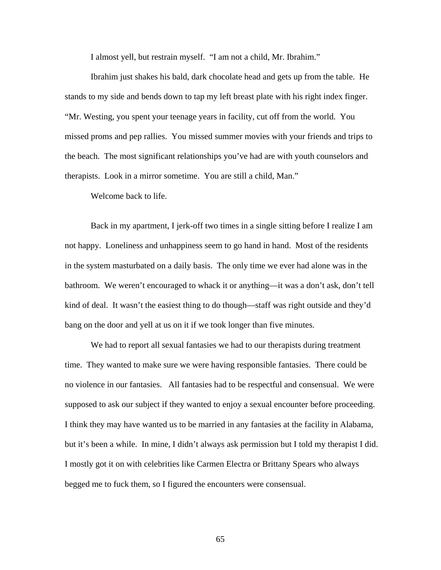I almost yell, but restrain myself. "I am not a child, Mr. Ibrahim."

Ibrahim just shakes his bald, dark chocolate head and gets up from the table. He stands to my side and bends down to tap my left breast plate with his right index finger. "Mr. Westing, you spent your teenage years in facility, cut off from the world. You missed proms and pep rallies. You missed summer movies with your friends and trips to the beach. The most significant relationships you've had are with youth counselors and therapists. Look in a mirror sometime. You are still a child, Man."

Welcome back to life.

Back in my apartment, I jerk-off two times in a single sitting before I realize I am not happy. Loneliness and unhappiness seem to go hand in hand. Most of the residents in the system masturbated on a daily basis. The only time we ever had alone was in the bathroom. We weren't encouraged to whack it or anything—it was a don't ask, don't tell kind of deal. It wasn't the easiest thing to do though—staff was right outside and they'd bang on the door and yell at us on it if we took longer than five minutes.

We had to report all sexual fantasies we had to our therapists during treatment time. They wanted to make sure we were having responsible fantasies. There could be no violence in our fantasies. All fantasies had to be respectful and consensual. We were supposed to ask our subject if they wanted to enjoy a sexual encounter before proceeding. I think they may have wanted us to be married in any fantasies at the facility in Alabama, but it's been a while. In mine, I didn't always ask permission but I told my therapist I did. I mostly got it on with celebrities like Carmen Electra or Brittany Spears who always begged me to fuck them, so I figured the encounters were consensual.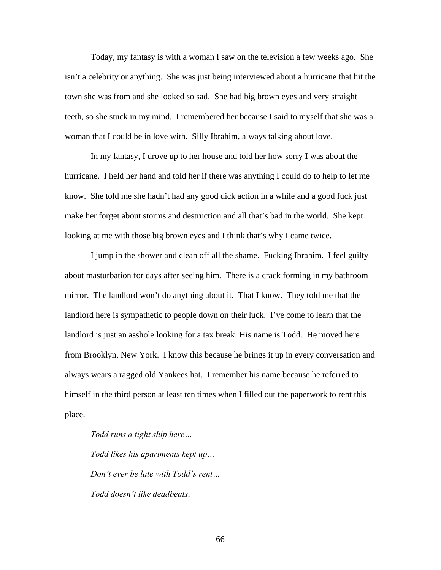Today, my fantasy is with a woman I saw on the television a few weeks ago. She isn't a celebrity or anything. She was just being interviewed about a hurricane that hit the town she was from and she looked so sad. She had big brown eyes and very straight teeth, so she stuck in my mind. I remembered her because I said to myself that she was a woman that I could be in love with. Silly Ibrahim, always talking about love.

In my fantasy, I drove up to her house and told her how sorry I was about the hurricane. I held her hand and told her if there was anything I could do to help to let me know. She told me she hadn't had any good dick action in a while and a good fuck just make her forget about storms and destruction and all that's bad in the world. She kept looking at me with those big brown eyes and I think that's why I came twice.

I jump in the shower and clean off all the shame. Fucking Ibrahim. I feel guilty about masturbation for days after seeing him. There is a crack forming in my bathroom mirror. The landlord won't do anything about it. That I know. They told me that the landlord here is sympathetic to people down on their luck. I've come to learn that the landlord is just an asshole looking for a tax break. His name is Todd. He moved here from Brooklyn, New York. I know this because he brings it up in every conversation and always wears a ragged old Yankees hat. I remember his name because he referred to himself in the third person at least ten times when I filled out the paperwork to rent this place.

*Todd runs a tight ship here… Todd likes his apartments kept up… Don't ever be late with Todd's rent… Todd doesn't like deadbeats*.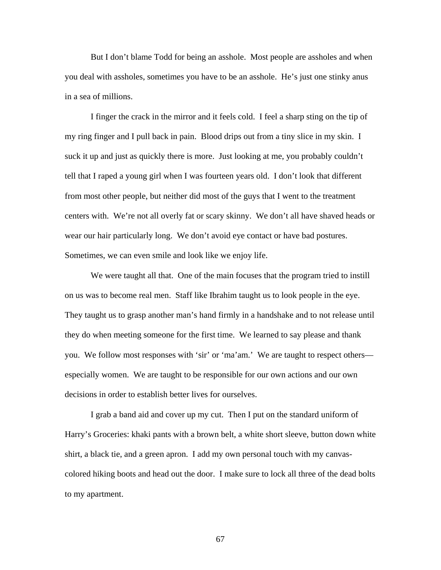But I don't blame Todd for being an asshole. Most people are assholes and when you deal with assholes, sometimes you have to be an asshole. He's just one stinky anus in a sea of millions.

I finger the crack in the mirror and it feels cold. I feel a sharp sting on the tip of my ring finger and I pull back in pain. Blood drips out from a tiny slice in my skin. I suck it up and just as quickly there is more. Just looking at me, you probably couldn't tell that I raped a young girl when I was fourteen years old. I don't look that different from most other people, but neither did most of the guys that I went to the treatment centers with. We're not all overly fat or scary skinny. We don't all have shaved heads or wear our hair particularly long. We don't avoid eye contact or have bad postures. Sometimes, we can even smile and look like we enjoy life.

 We were taught all that. One of the main focuses that the program tried to instill on us was to become real men. Staff like Ibrahim taught us to look people in the eye. They taught us to grasp another man's hand firmly in a handshake and to not release until they do when meeting someone for the first time. We learned to say please and thank you. We follow most responses with 'sir' or 'ma'am.' We are taught to respect others especially women. We are taught to be responsible for our own actions and our own decisions in order to establish better lives for ourselves.

I grab a band aid and cover up my cut. Then I put on the standard uniform of Harry's Groceries: khaki pants with a brown belt, a white short sleeve, button down white shirt, a black tie, and a green apron. I add my own personal touch with my canvascolored hiking boots and head out the door. I make sure to lock all three of the dead bolts to my apartment.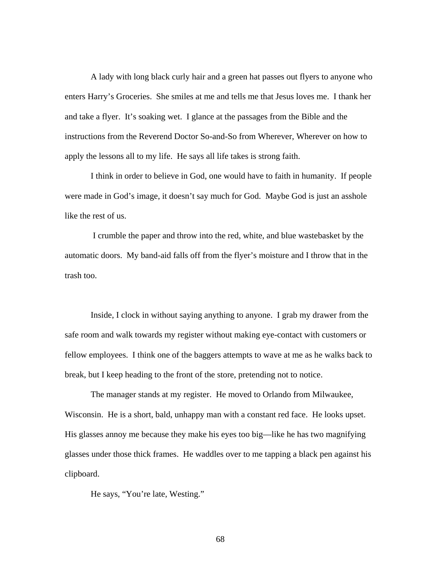A lady with long black curly hair and a green hat passes out flyers to anyone who enters Harry's Groceries. She smiles at me and tells me that Jesus loves me. I thank her and take a flyer. It's soaking wet. I glance at the passages from the Bible and the instructions from the Reverend Doctor So-and-So from Wherever, Wherever on how to apply the lessons all to my life. He says all life takes is strong faith.

I think in order to believe in God, one would have to faith in humanity. If people were made in God's image, it doesn't say much for God. Maybe God is just an asshole like the rest of us.

 I crumble the paper and throw into the red, white, and blue wastebasket by the automatic doors. My band-aid falls off from the flyer's moisture and I throw that in the trash too.

Inside, I clock in without saying anything to anyone. I grab my drawer from the safe room and walk towards my register without making eye-contact with customers or fellow employees. I think one of the baggers attempts to wave at me as he walks back to break, but I keep heading to the front of the store, pretending not to notice.

The manager stands at my register. He moved to Orlando from Milwaukee, Wisconsin. He is a short, bald, unhappy man with a constant red face. He looks upset. His glasses annoy me because they make his eyes too big—like he has two magnifying glasses under those thick frames. He waddles over to me tapping a black pen against his clipboard.

He says, "You're late, Westing."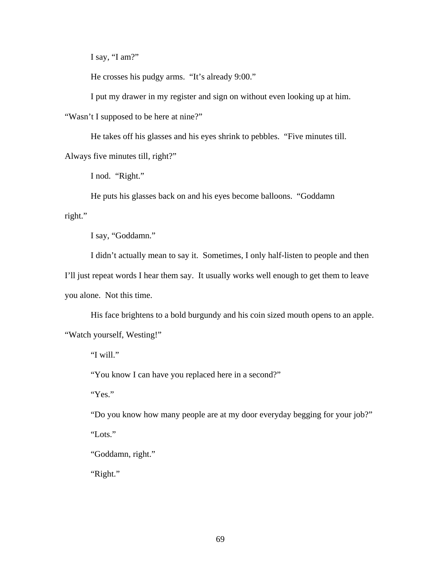I say, "I am?"

He crosses his pudgy arms. "It's already 9:00."

I put my drawer in my register and sign on without even looking up at him.

"Wasn't I supposed to be here at nine?"

He takes off his glasses and his eyes shrink to pebbles. "Five minutes till.

Always five minutes till, right?"

I nod. "Right."

 He puts his glasses back on and his eyes become balloons. "Goddamn right."

I say, "Goddamn."

 I didn't actually mean to say it. Sometimes, I only half-listen to people and then I'll just repeat words I hear them say. It usually works well enough to get them to leave you alone. Not this time.

His face brightens to a bold burgundy and his coin sized mouth opens to an apple. "Watch yourself, Westing!"

"I will."

"You know I can have you replaced here in a second?"

"Yes."

"Do you know how many people are at my door everyday begging for your job?"

"Lots."

"Goddamn, right."

"Right."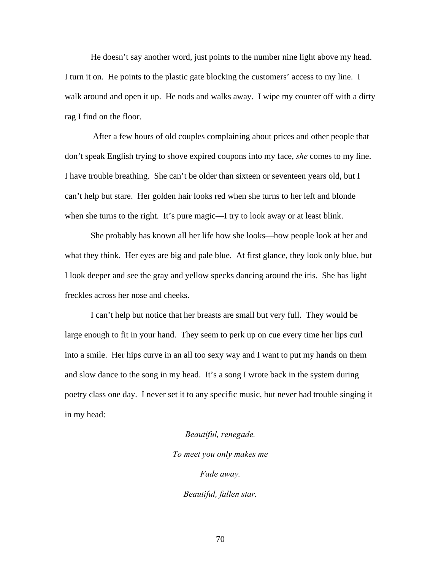He doesn't say another word, just points to the number nine light above my head. I turn it on. He points to the plastic gate blocking the customers' access to my line. I walk around and open it up. He nods and walks away. I wipe my counter off with a dirty rag I find on the floor.

 After a few hours of old couples complaining about prices and other people that don't speak English trying to shove expired coupons into my face, *she* comes to my line. I have trouble breathing. She can't be older than sixteen or seventeen years old, but I can't help but stare. Her golden hair looks red when she turns to her left and blonde when she turns to the right. It's pure magic—I try to look away or at least blink.

She probably has known all her life how she looks—how people look at her and what they think. Her eyes are big and pale blue. At first glance, they look only blue, but I look deeper and see the gray and yellow specks dancing around the iris. She has light freckles across her nose and cheeks.

 I can't help but notice that her breasts are small but very full. They would be large enough to fit in your hand. They seem to perk up on cue every time her lips curl into a smile. Her hips curve in an all too sexy way and I want to put my hands on them and slow dance to the song in my head. It's a song I wrote back in the system during poetry class one day. I never set it to any specific music, but never had trouble singing it in my head:

## *Beautiful, renegade.*

*To meet you only makes me Fade away.* 

*Beautiful, fallen star.*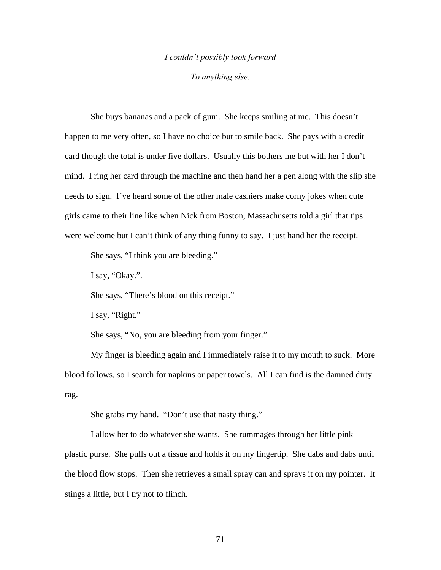## *I couldn't possibly look forward To anything else.*

 She buys bananas and a pack of gum. She keeps smiling at me. This doesn't happen to me very often, so I have no choice but to smile back. She pays with a credit card though the total is under five dollars. Usually this bothers me but with her I don't mind. I ring her card through the machine and then hand her a pen along with the slip she needs to sign. I've heard some of the other male cashiers make corny jokes when cute girls came to their line like when Nick from Boston, Massachusetts told a girl that tips were welcome but I can't think of any thing funny to say. I just hand her the receipt.

She says, "I think you are bleeding."

I say, "Okay.".

She says, "There's blood on this receipt."

I say, "Right."

She says, "No, you are bleeding from your finger."

 My finger is bleeding again and I immediately raise it to my mouth to suck. More blood follows, so I search for napkins or paper towels. All I can find is the damned dirty rag.

She grabs my hand. "Don't use that nasty thing."

 I allow her to do whatever she wants. She rummages through her little pink plastic purse. She pulls out a tissue and holds it on my fingertip. She dabs and dabs until the blood flow stops. Then she retrieves a small spray can and sprays it on my pointer. It stings a little, but I try not to flinch.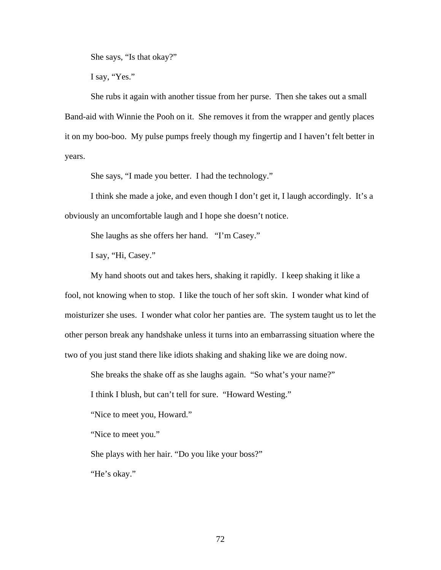She says, "Is that okay?"

I say, "Yes."

 She rubs it again with another tissue from her purse. Then she takes out a small Band-aid with Winnie the Pooh on it. She removes it from the wrapper and gently places it on my boo-boo. My pulse pumps freely though my fingertip and I haven't felt better in years.

She says, "I made you better. I had the technology."

 I think she made a joke, and even though I don't get it, I laugh accordingly. It's a obviously an uncomfortable laugh and I hope she doesn't notice.

She laughs as she offers her hand. "I'm Casey."

I say, "Hi, Casey."

 My hand shoots out and takes hers, shaking it rapidly. I keep shaking it like a fool, not knowing when to stop. I like the touch of her soft skin. I wonder what kind of moisturizer she uses. I wonder what color her panties are. The system taught us to let the other person break any handshake unless it turns into an embarrassing situation where the two of you just stand there like idiots shaking and shaking like we are doing now.

She breaks the shake off as she laughs again. "So what's your name?"

I think I blush, but can't tell for sure. "Howard Westing."

"Nice to meet you, Howard."

"Nice to meet you."

She plays with her hair. "Do you like your boss?"

"He's okay."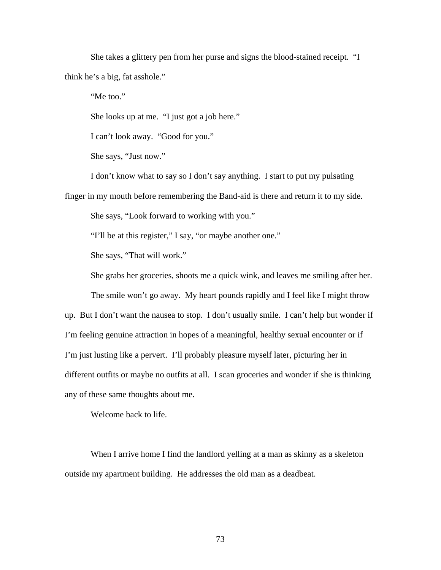She takes a glittery pen from her purse and signs the blood-stained receipt. "I think he's a big, fat asshole."

"Me too."

She looks up at me. "I just got a job here."

I can't look away. "Good for you."

She says, "Just now."

I don't know what to say so I don't say anything. I start to put my pulsating

finger in my mouth before remembering the Band-aid is there and return it to my side.

She says, "Look forward to working with you."

"I'll be at this register," I say, "or maybe another one."

She says, "That will work."

She grabs her groceries, shoots me a quick wink, and leaves me smiling after her.

The smile won't go away. My heart pounds rapidly and I feel like I might throw

up. But I don't want the nausea to stop. I don't usually smile. I can't help but wonder if

I'm feeling genuine attraction in hopes of a meaningful, healthy sexual encounter or if

I'm just lusting like a pervert. I'll probably pleasure myself later, picturing her in

different outfits or maybe no outfits at all. I scan groceries and wonder if she is thinking

any of these same thoughts about me.

Welcome back to life.

When I arrive home I find the landlord yelling at a man as skinny as a skeleton outside my apartment building. He addresses the old man as a deadbeat.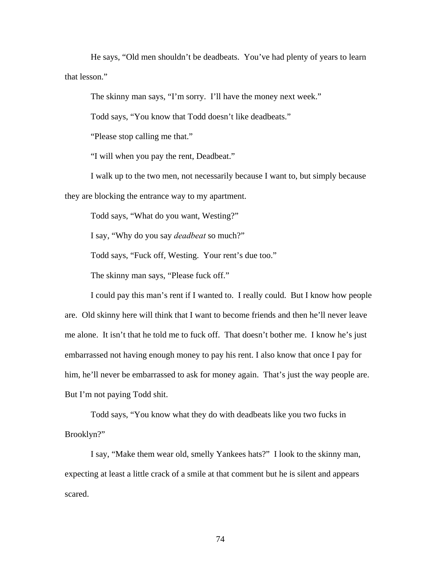He says, "Old men shouldn't be deadbeats. You've had plenty of years to learn that lesson."

The skinny man says, "I'm sorry. I'll have the money next week."

Todd says, "You know that Todd doesn't like deadbeats."

"Please stop calling me that."

"I will when you pay the rent, Deadbeat."

 I walk up to the two men, not necessarily because I want to, but simply because they are blocking the entrance way to my apartment.

Todd says, "What do you want, Westing?"

I say, "Why do you say *deadbeat* so much?"

Todd says, "Fuck off, Westing. Your rent's due too."

The skinny man says, "Please fuck off."

 I could pay this man's rent if I wanted to. I really could. But I know how people are. Old skinny here will think that I want to become friends and then he'll never leave me alone. It isn't that he told me to fuck off. That doesn't bother me. I know he's just embarrassed not having enough money to pay his rent. I also know that once I pay for him, he'll never be embarrassed to ask for money again. That's just the way people are. But I'm not paying Todd shit.

Todd says, "You know what they do with deadbeats like you two fucks in Brooklyn?"

I say, "Make them wear old, smelly Yankees hats?" I look to the skinny man, expecting at least a little crack of a smile at that comment but he is silent and appears scared.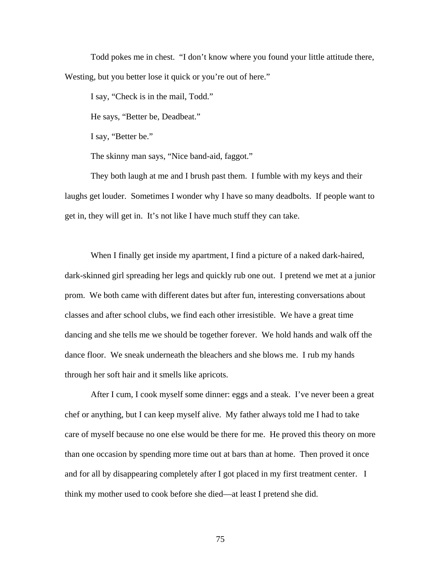Todd pokes me in chest. "I don't know where you found your little attitude there, Westing, but you better lose it quick or you're out of here."

I say, "Check is in the mail, Todd."

He says, "Better be, Deadbeat."

I say, "Better be."

The skinny man says, "Nice band-aid, faggot."

They both laugh at me and I brush past them. I fumble with my keys and their laughs get louder. Sometimes I wonder why I have so many deadbolts. If people want to get in, they will get in. It's not like I have much stuff they can take.

When I finally get inside my apartment, I find a picture of a naked dark-haired, dark-skinned girl spreading her legs and quickly rub one out. I pretend we met at a junior prom. We both came with different dates but after fun, interesting conversations about classes and after school clubs, we find each other irresistible. We have a great time dancing and she tells me we should be together forever. We hold hands and walk off the dance floor. We sneak underneath the bleachers and she blows me. I rub my hands through her soft hair and it smells like apricots.

After I cum, I cook myself some dinner: eggs and a steak. I've never been a great chef or anything, but I can keep myself alive. My father always told me I had to take care of myself because no one else would be there for me. He proved this theory on more than one occasion by spending more time out at bars than at home. Then proved it once and for all by disappearing completely after I got placed in my first treatment center. I think my mother used to cook before she died—at least I pretend she did.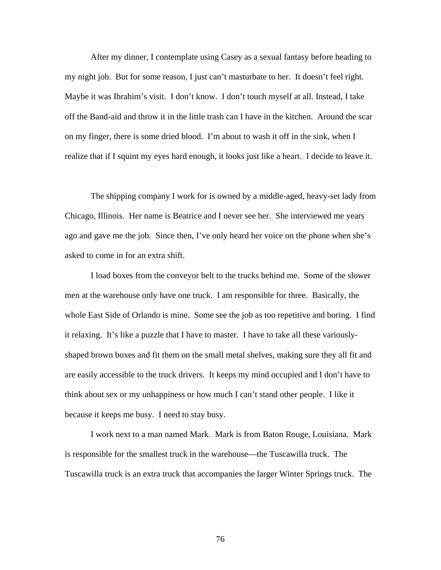After my dinner, I contemplate using Casey as a sexual fantasy before heading to my night job. But for some reason, I just can't masturbate to her. It doesn't feel right. Maybe it was Ibrahim's visit. I don't know. I don't touch myself at all. Instead, I take off the Band-aid and throw it in the little trash can I have in the kitchen. Around the scar on my finger, there is some dried blood. I'm about to wash it off in the sink, when I realize that if I squint my eyes hard enough, it looks just like a heart. I decide to leave it.

The shipping company I work for is owned by a middle-aged, heavy-set lady from Chicago, Illinois. Her name is Beatrice and I never see her. She interviewed me years ago and gave me the job. Since then, I've only heard her voice on the phone when she's asked to come in for an extra shift.

I load boxes from the conveyor belt to the trucks behind me. Some of the slower men at the warehouse only have one truck. I am responsible for three. Basically, the whole East Side of Orlando is mine. Some see the job as too repetitive and boring. I find it relaxing. It's like a puzzle that I have to master. I have to take all these variouslyshaped brown boxes and fit them on the small metal shelves, making sure they all fit and are easily accessible to the truck drivers. It keeps my mind occupied and I don't have to think about sex or my unhappiness or how much I can't stand other people. I like it because it keeps me busy. I need to stay busy.

 I work next to a man named Mark. Mark is from Baton Rouge, Louisiana. Mark is responsible for the smallest truck in the warehouse—the Tuscawilla truck. The Tuscawilla truck is an extra truck that accompanies the larger Winter Springs truck. The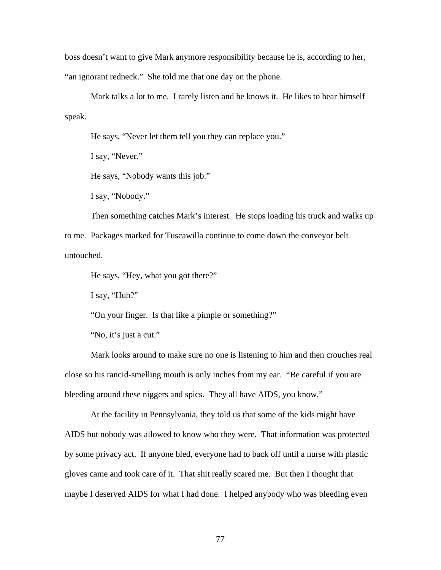boss doesn't want to give Mark anymore responsibility because he is, according to her, "an ignorant redneck." She told me that one day on the phone.

Mark talks a lot to me. I rarely listen and he knows it. He likes to hear himself speak.

He says, "Never let them tell you they can replace you."

I say, "Never."

He says, "Nobody wants this job."

I say, "Nobody."

 Then something catches Mark's interest. He stops loading his truck and walks up to me. Packages marked for Tuscawilla continue to come down the conveyor belt untouched.

He says, "Hey, what you got there?"

I say, "Huh?"

"On your finger. Is that like a pimple or something?"

"No, it's just a cut."

 Mark looks around to make sure no one is listening to him and then crouches real close so his rancid-smelling mouth is only inches from my ear. "Be careful if you are bleeding around these niggers and spics. They all have AIDS, you know."

 At the facility in Pennsylvania, they told us that some of the kids might have AIDS but nobody was allowed to know who they were. That information was protected by some privacy act. If anyone bled, everyone had to back off until a nurse with plastic gloves came and took care of it. That shit really scared me. But then I thought that maybe I deserved AIDS for what I had done. I helped anybody who was bleeding even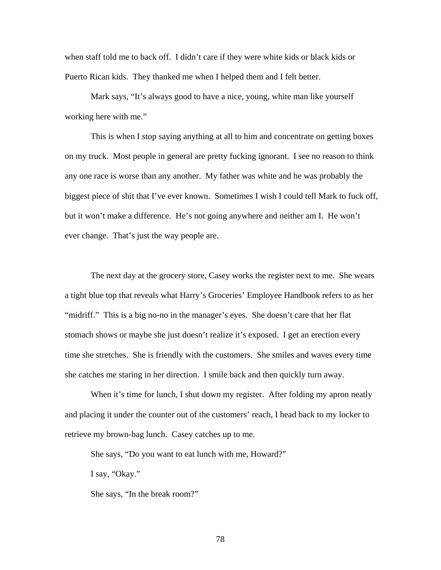when staff told me to back off. I didn't care if they were white kids or black kids or Puerto Rican kids. They thanked me when I helped them and I felt better.

 Mark says, "It's always good to have a nice, young, white man like yourself working here with me."

This is when I stop saying anything at all to him and concentrate on getting boxes on my truck. Most people in general are pretty fucking ignorant. I see no reason to think any one race is worse than any another. My father was white and he was probably the biggest piece of shit that I've ever known. Sometimes I wish I could tell Mark to fuck off, but it won't make a difference. He's not going anywhere and neither am I. He won't ever change. That's just the way people are.

 The next day at the grocery store, Casey works the register next to me. She wears a tight blue top that reveals what Harry's Groceries' Employee Handbook refers to as her "midriff." This is a big no-no in the manager's eyes. She doesn't care that her flat stomach shows or maybe she just doesn't realize it's exposed. I get an erection every time she stretches. She is friendly with the customers. She smiles and waves every time she catches me staring in her direction. I smile back and then quickly turn away.

When it's time for lunch, I shut down my register. After folding my apron neatly and placing it under the counter out of the customers' reach, I head back to my locker to retrieve my brown-bag lunch. Casey catches up to me.

She says, "Do you want to eat lunch with me, Howard?"

I say, "Okay."

She says, "In the break room?"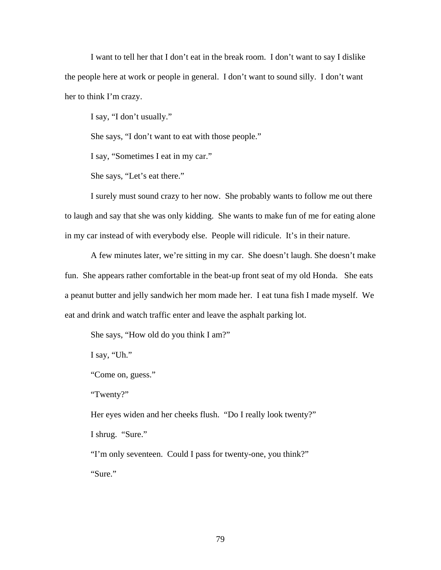I want to tell her that I don't eat in the break room. I don't want to say I dislike the people here at work or people in general. I don't want to sound silly. I don't want her to think I'm crazy.

I say, "I don't usually."

She says, "I don't want to eat with those people."

I say, "Sometimes I eat in my car."

She says, "Let's eat there."

 I surely must sound crazy to her now. She probably wants to follow me out there to laugh and say that she was only kidding. She wants to make fun of me for eating alone in my car instead of with everybody else. People will ridicule. It's in their nature.

 A few minutes later, we're sitting in my car. She doesn't laugh. She doesn't make fun. She appears rather comfortable in the beat-up front seat of my old Honda. She eats a peanut butter and jelly sandwich her mom made her. I eat tuna fish I made myself. We eat and drink and watch traffic enter and leave the asphalt parking lot.

She says, "How old do you think I am?"

I say, "Uh."

"Come on, guess."

"Twenty?"

Her eyes widen and her cheeks flush. "Do I really look twenty?"

I shrug. "Sure."

 "I'm only seventeen. Could I pass for twenty-one, you think?" "Sure."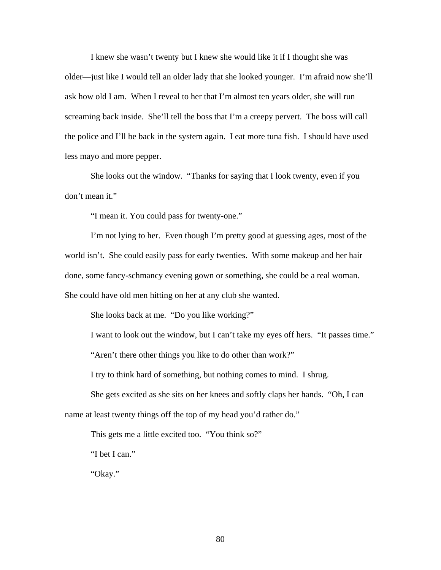I knew she wasn't twenty but I knew she would like it if I thought she was older—just like I would tell an older lady that she looked younger. I'm afraid now she'll ask how old I am. When I reveal to her that I'm almost ten years older, she will run screaming back inside. She'll tell the boss that I'm a creepy pervert. The boss will call the police and I'll be back in the system again. I eat more tuna fish. I should have used less mayo and more pepper.

 She looks out the window. "Thanks for saying that I look twenty, even if you don't mean it."

"I mean it. You could pass for twenty-one."

 I'm not lying to her. Even though I'm pretty good at guessing ages, most of the world isn't. She could easily pass for early twenties. With some makeup and her hair done, some fancy-schmancy evening gown or something, she could be a real woman. She could have old men hitting on her at any club she wanted.

She looks back at me. "Do you like working?"

I want to look out the window, but I can't take my eyes off hers. "It passes time."

"Aren't there other things you like to do other than work?"

I try to think hard of something, but nothing comes to mind. I shrug.

 She gets excited as she sits on her knees and softly claps her hands. "Oh, I can name at least twenty things off the top of my head you'd rather do."

This gets me a little excited too. "You think so?"

"I bet I can."

"Okay."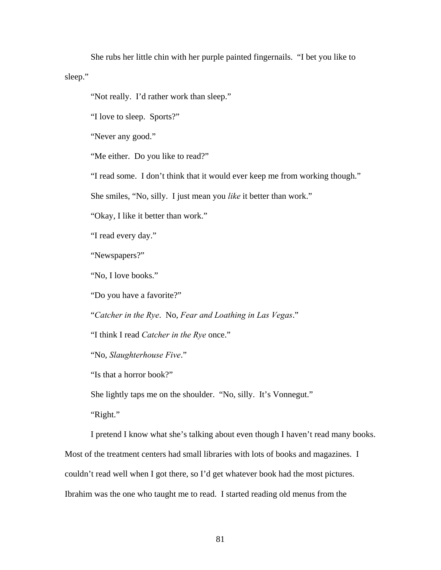She rubs her little chin with her purple painted fingernails. "I bet you like to sleep."

"Not really. I'd rather work than sleep."

"I love to sleep. Sports?"

"Never any good."

"Me either. Do you like to read?"

"I read some. I don't think that it would ever keep me from working though."

She smiles, "No, silly. I just mean you *like* it better than work."

"Okay, I like it better than work."

"I read every day."

"Newspapers?"

"No, I love books."

"Do you have a favorite?"

"*Catcher in the Rye*. No, *Fear and Loathing in Las Vegas*."

"I think I read *Catcher in the Rye* once."

"No, *Slaughterhouse Five*."

"Is that a horror book?"

She lightly taps me on the shoulder. "No, silly. It's Vonnegut."

"Right."

I pretend I know what she's talking about even though I haven't read many books.

Most of the treatment centers had small libraries with lots of books and magazines. I

couldn't read well when I got there, so I'd get whatever book had the most pictures.

Ibrahim was the one who taught me to read. I started reading old menus from the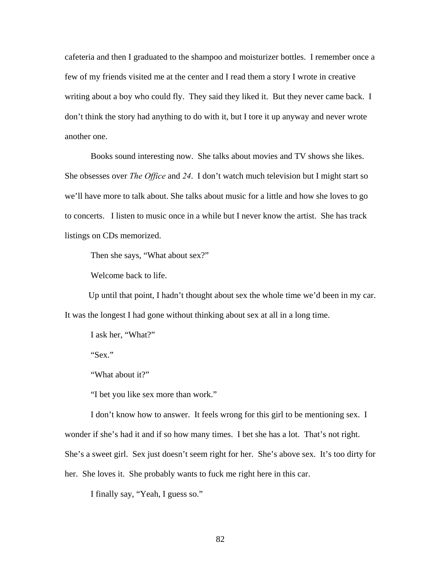cafeteria and then I graduated to the shampoo and moisturizer bottles. I remember once a few of my friends visited me at the center and I read them a story I wrote in creative writing about a boy who could fly. They said they liked it. But they never came back. I don't think the story had anything to do with it, but I tore it up anyway and never wrote another one.

Books sound interesting now. She talks about movies and TV shows she likes. She obsesses over *The Office* and *24*. I don't watch much television but I might start so we'll have more to talk about. She talks about music for a little and how she loves to go to concerts. I listen to music once in a while but I never know the artist. She has track listings on CDs memorized.

Then she says, "What about sex?"

Welcome back to life.

 Up until that point, I hadn't thought about sex the whole time we'd been in my car. It was the longest I had gone without thinking about sex at all in a long time.

I ask her, "What?"

"Sex."

"What about it?"

"I bet you like sex more than work."

 I don't know how to answer. It feels wrong for this girl to be mentioning sex. I wonder if she's had it and if so how many times. I bet she has a lot. That's not right. She's a sweet girl. Sex just doesn't seem right for her. She's above sex. It's too dirty for her. She loves it. She probably wants to fuck me right here in this car.

I finally say, "Yeah, I guess so."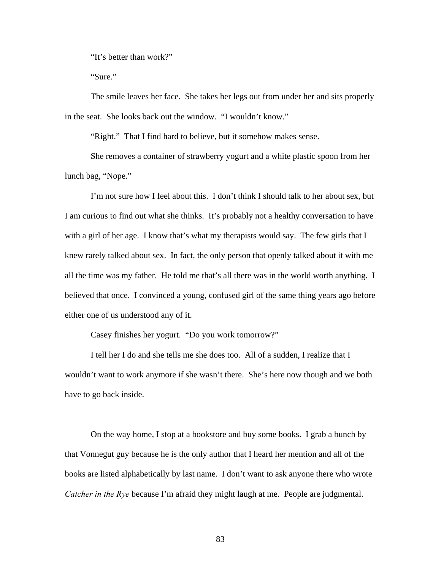"It's better than work?"

"Sure."

 The smile leaves her face. She takes her legs out from under her and sits properly in the seat. She looks back out the window. "I wouldn't know."

"Right." That I find hard to believe, but it somehow makes sense.

 She removes a container of strawberry yogurt and a white plastic spoon from her lunch bag, "Nope."

 I'm not sure how I feel about this. I don't think I should talk to her about sex, but I am curious to find out what she thinks. It's probably not a healthy conversation to have with a girl of her age. I know that's what my therapists would say. The few girls that I knew rarely talked about sex. In fact, the only person that openly talked about it with me all the time was my father. He told me that's all there was in the world worth anything. I believed that once. I convinced a young, confused girl of the same thing years ago before either one of us understood any of it.

Casey finishes her yogurt. "Do you work tomorrow?"

 I tell her I do and she tells me she does too. All of a sudden, I realize that I wouldn't want to work anymore if she wasn't there. She's here now though and we both have to go back inside.

 On the way home, I stop at a bookstore and buy some books. I grab a bunch by that Vonnegut guy because he is the only author that I heard her mention and all of the books are listed alphabetically by last name. I don't want to ask anyone there who wrote *Catcher in the Rye* because I'm afraid they might laugh at me. People are judgmental.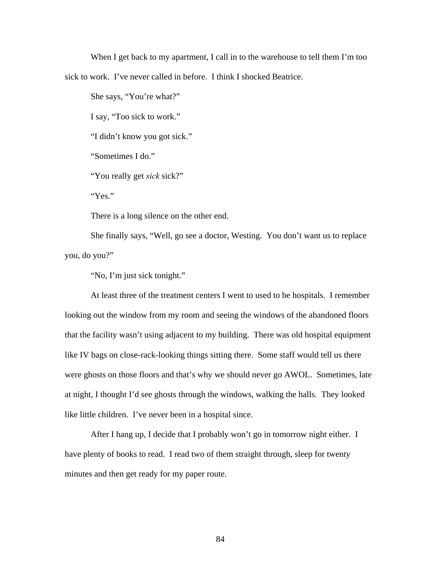When I get back to my apartment, I call in to the warehouse to tell them I'm too sick to work. I've never called in before. I think I shocked Beatrice.

 She says, "You're what?" I say, "Too sick to work." "I didn't know you got sick." "Sometimes I do."

"You really get *sick* sick?"

"Yes."

There is a long silence on the other end.

She finally says, "Well, go see a doctor, Westing. You don't want us to replace you, do you?"

"No, I'm just sick tonight."

 At least three of the treatment centers I went to used to be hospitals. I remember looking out the window from my room and seeing the windows of the abandoned floors that the facility wasn't using adjacent to my building. There was old hospital equipment like IV bags on close-rack-looking things sitting there. Some staff would tell us there were ghosts on those floors and that's why we should never go AWOL. Sometimes, late at night, I thought I'd see ghosts through the windows, walking the halls. They looked like little children. I've never been in a hospital since.

 After I hang up, I decide that I probably won't go in tomorrow night either. I have plenty of books to read. I read two of them straight through, sleep for twenty minutes and then get ready for my paper route.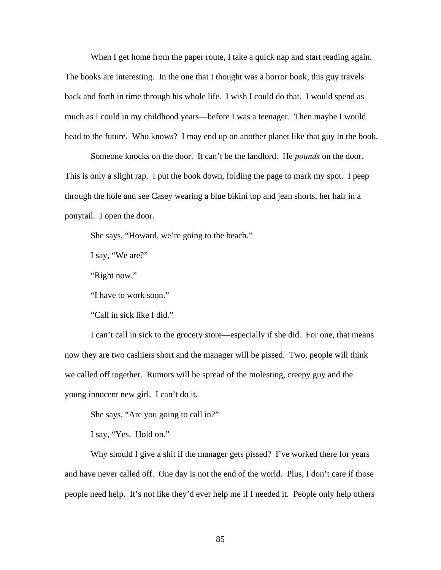When I get home from the paper route, I take a quick nap and start reading again. The books are interesting. In the one that I thought was a horror book, this guy travels back and forth in time through his whole life. I wish I could do that. I would spend as much as I could in my childhood years—before I was a teenager. Then maybe I would head to the future. Who knows? I may end up on another planet like that guy in the book.

Someone knocks on the door. It can't be the landlord. He *pounds* on the door. This is only a slight rap. I put the book down, folding the page to mark my spot. I peep through the hole and see Casey wearing a blue bikini top and jean shorts, her hair in a ponytail. I open the door.

She says, "Howard, we're going to the beach."

I say, "We are?"

"Right now."

"I have to work soon."

"Call in sick like I did."

 I can't call in sick to the grocery store—especially if she did. For one, that means now they are two cashiers short and the manager will be pissed. Two, people will think we called off together. Rumors will be spread of the molesting, creepy guy and the young innocent new girl. I can't do it.

She says, "Are you going to call in?"

I say, "Yes. Hold on."

Why should I give a shit if the manager gets pissed? I've worked there for years and have never called off. One day is not the end of the world. Plus, I don't care if those people need help. It's not like they'd ever help me if I needed it. People only help others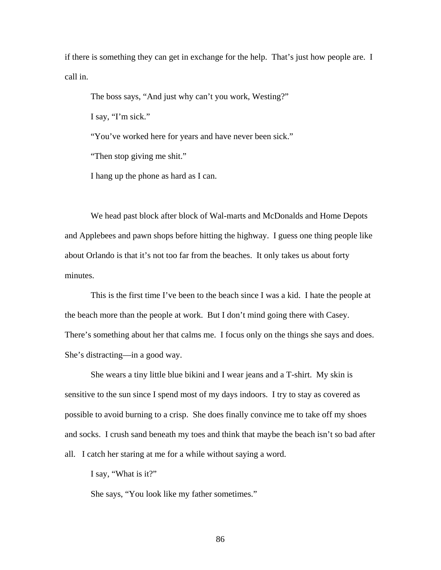if there is something they can get in exchange for the help. That's just how people are. I call in.

The boss says, "And just why can't you work, Westing?"

I say, "I'm sick."

"You've worked here for years and have never been sick."

"Then stop giving me shit."

I hang up the phone as hard as I can.

We head past block after block of Wal-marts and McDonalds and Home Depots and Applebees and pawn shops before hitting the highway. I guess one thing people like about Orlando is that it's not too far from the beaches. It only takes us about forty minutes.

This is the first time I've been to the beach since I was a kid. I hate the people at the beach more than the people at work. But I don't mind going there with Casey. There's something about her that calms me. I focus only on the things she says and does. She's distracting—in a good way.

 She wears a tiny little blue bikini and I wear jeans and a T-shirt. My skin is sensitive to the sun since I spend most of my days indoors. I try to stay as covered as possible to avoid burning to a crisp. She does finally convince me to take off my shoes and socks. I crush sand beneath my toes and think that maybe the beach isn't so bad after all. I catch her staring at me for a while without saying a word.

I say, "What is it?"

She says, "You look like my father sometimes."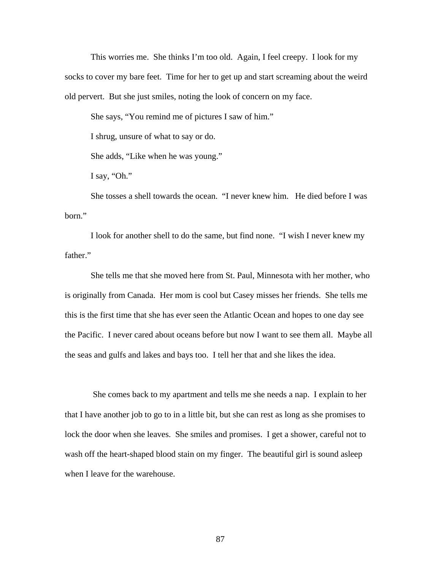This worries me. She thinks I'm too old. Again, I feel creepy. I look for my socks to cover my bare feet. Time for her to get up and start screaming about the weird old pervert. But she just smiles, noting the look of concern on my face.

She says, "You remind me of pictures I saw of him."

I shrug, unsure of what to say or do.

She adds, "Like when he was young."

I say, "Oh."

 She tosses a shell towards the ocean. "I never knew him. He died before I was born."

 I look for another shell to do the same, but find none. "I wish I never knew my father."

 She tells me that she moved here from St. Paul, Minnesota with her mother, who is originally from Canada. Her mom is cool but Casey misses her friends. She tells me this is the first time that she has ever seen the Atlantic Ocean and hopes to one day see the Pacific. I never cared about oceans before but now I want to see them all. Maybe all the seas and gulfs and lakes and bays too. I tell her that and she likes the idea.

 She comes back to my apartment and tells me she needs a nap. I explain to her that I have another job to go to in a little bit, but she can rest as long as she promises to lock the door when she leaves. She smiles and promises. I get a shower, careful not to wash off the heart-shaped blood stain on my finger. The beautiful girl is sound asleep when I leave for the warehouse.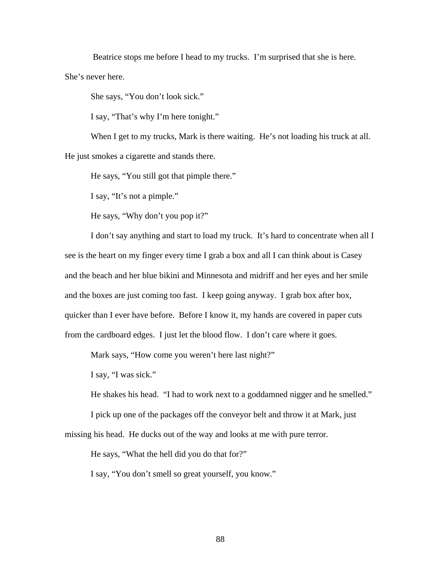Beatrice stops me before I head to my trucks. I'm surprised that she is here.

She's never here.

She says, "You don't look sick."

I say, "That's why I'm here tonight."

When I get to my trucks, Mark is there waiting. He's not loading his truck at all. He just smokes a cigarette and stands there.

He says, "You still got that pimple there."

I say, "It's not a pimple."

He says, "Why don't you pop it?"

I don't say anything and start to load my truck. It's hard to concentrate when all I see is the heart on my finger every time I grab a box and all I can think about is Casey and the beach and her blue bikini and Minnesota and midriff and her eyes and her smile and the boxes are just coming too fast. I keep going anyway. I grab box after box, quicker than I ever have before. Before I know it, my hands are covered in paper cuts from the cardboard edges. I just let the blood flow. I don't care where it goes.

Mark says, "How come you weren't here last night?"

I say, "I was sick."

He shakes his head. "I had to work next to a goddamned nigger and he smelled."

I pick up one of the packages off the conveyor belt and throw it at Mark, just

missing his head. He ducks out of the way and looks at me with pure terror.

He says, "What the hell did you do that for?"

I say, "You don't smell so great yourself, you know."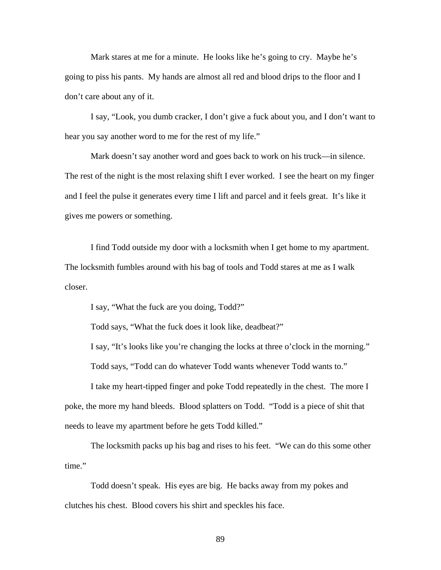Mark stares at me for a minute. He looks like he's going to cry. Maybe he's going to piss his pants. My hands are almost all red and blood drips to the floor and I don't care about any of it.

 I say, "Look, you dumb cracker, I don't give a fuck about you, and I don't want to hear you say another word to me for the rest of my life."

 Mark doesn't say another word and goes back to work on his truck—in silence. The rest of the night is the most relaxing shift I ever worked. I see the heart on my finger and I feel the pulse it generates every time I lift and parcel and it feels great. It's like it gives me powers or something.

 I find Todd outside my door with a locksmith when I get home to my apartment. The locksmith fumbles around with his bag of tools and Todd stares at me as I walk closer.

I say, "What the fuck are you doing, Todd?"

Todd says, "What the fuck does it look like, deadbeat?"

 I say, "It's looks like you're changing the locks at three o'clock in the morning." Todd says, "Todd can do whatever Todd wants whenever Todd wants to."

 I take my heart-tipped finger and poke Todd repeatedly in the chest. The more I poke, the more my hand bleeds. Blood splatters on Todd. "Todd is a piece of shit that needs to leave my apartment before he gets Todd killed."

 The locksmith packs up his bag and rises to his feet. "We can do this some other time."

 Todd doesn't speak. His eyes are big. He backs away from my pokes and clutches his chest. Blood covers his shirt and speckles his face.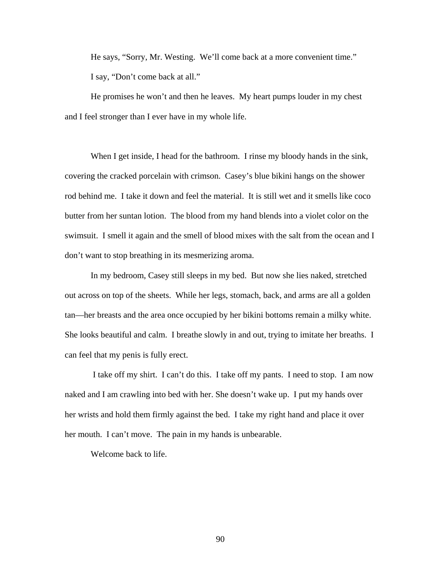He says, "Sorry, Mr. Westing. We'll come back at a more convenient time." I say, "Don't come back at all."

 He promises he won't and then he leaves. My heart pumps louder in my chest and I feel stronger than I ever have in my whole life.

When I get inside, I head for the bathroom. I rinse my bloody hands in the sink, covering the cracked porcelain with crimson. Casey's blue bikini hangs on the shower rod behind me. I take it down and feel the material. It is still wet and it smells like coco butter from her suntan lotion. The blood from my hand blends into a violet color on the swimsuit. I smell it again and the smell of blood mixes with the salt from the ocean and I don't want to stop breathing in its mesmerizing aroma.

In my bedroom, Casey still sleeps in my bed. But now she lies naked, stretched out across on top of the sheets. While her legs, stomach, back, and arms are all a golden tan—her breasts and the area once occupied by her bikini bottoms remain a milky white. She looks beautiful and calm. I breathe slowly in and out, trying to imitate her breaths. I can feel that my penis is fully erect.

 I take off my shirt. I can't do this. I take off my pants. I need to stop. I am now naked and I am crawling into bed with her. She doesn't wake up. I put my hands over her wrists and hold them firmly against the bed. I take my right hand and place it over her mouth. I can't move. The pain in my hands is unbearable.

Welcome back to life.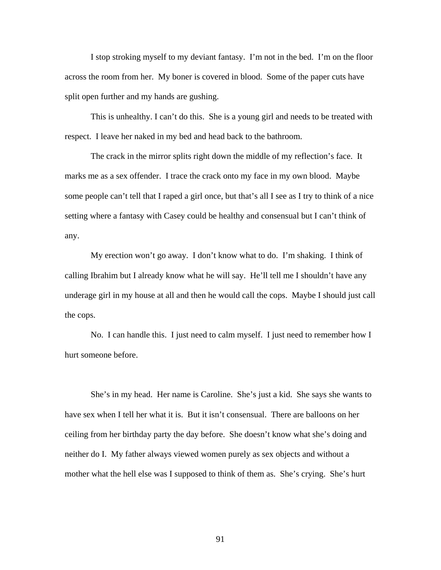I stop stroking myself to my deviant fantasy. I'm not in the bed. I'm on the floor across the room from her. My boner is covered in blood. Some of the paper cuts have split open further and my hands are gushing.

This is unhealthy. I can't do this. She is a young girl and needs to be treated with respect. I leave her naked in my bed and head back to the bathroom.

The crack in the mirror splits right down the middle of my reflection's face. It marks me as a sex offender. I trace the crack onto my face in my own blood. Maybe some people can't tell that I raped a girl once, but that's all I see as I try to think of a nice setting where a fantasy with Casey could be healthy and consensual but I can't think of any.

My erection won't go away. I don't know what to do. I'm shaking. I think of calling Ibrahim but I already know what he will say. He'll tell me I shouldn't have any underage girl in my house at all and then he would call the cops. Maybe I should just call the cops.

No. I can handle this. I just need to calm myself. I just need to remember how I hurt someone before.

She's in my head. Her name is Caroline. She's just a kid. She says she wants to have sex when I tell her what it is. But it isn't consensual. There are balloons on her ceiling from her birthday party the day before. She doesn't know what she's doing and neither do I. My father always viewed women purely as sex objects and without a mother what the hell else was I supposed to think of them as. She's crying. She's hurt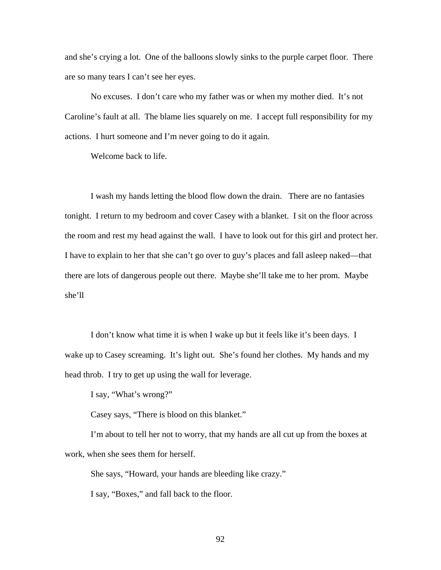and she's crying a lot. One of the balloons slowly sinks to the purple carpet floor. There are so many tears I can't see her eyes.

No excuses. I don't care who my father was or when my mother died. It's not Caroline's fault at all. The blame lies squarely on me. I accept full responsibility for my actions. I hurt someone and I'm never going to do it again.

Welcome back to life.

I wash my hands letting the blood flow down the drain. There are no fantasies tonight. I return to my bedroom and cover Casey with a blanket. I sit on the floor across the room and rest my head against the wall. I have to look out for this girl and protect her. I have to explain to her that she can't go over to guy's places and fall asleep naked—that there are lots of dangerous people out there. Maybe she'll take me to her prom. Maybe she'll

 I don't know what time it is when I wake up but it feels like it's been days. I wake up to Casey screaming. It's light out. She's found her clothes. My hands and my head throb. I try to get up using the wall for leverage.

I say, "What's wrong?"

Casey says, "There is blood on this blanket."

 I'm about to tell her not to worry, that my hands are all cut up from the boxes at work, when she sees them for herself.

She says, "Howard, your hands are bleeding like crazy."

I say, "Boxes," and fall back to the floor.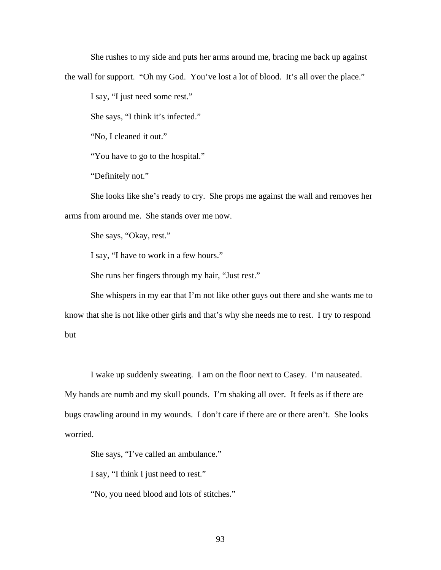She rushes to my side and puts her arms around me, bracing me back up against the wall for support. "Oh my God. You've lost a lot of blood. It's all over the place."

I say, "I just need some rest."

She says, "I think it's infected."

"No, I cleaned it out."

"You have to go to the hospital."

"Definitely not."

 She looks like she's ready to cry. She props me against the wall and removes her arms from around me. She stands over me now.

She says, "Okay, rest."

I say, "I have to work in a few hours."

She runs her fingers through my hair, "Just rest."

 She whispers in my ear that I'm not like other guys out there and she wants me to know that she is not like other girls and that's why she needs me to rest. I try to respond but

 I wake up suddenly sweating. I am on the floor next to Casey. I'm nauseated. My hands are numb and my skull pounds. I'm shaking all over. It feels as if there are bugs crawling around in my wounds. I don't care if there are or there aren't. She looks worried.

She says, "I've called an ambulance."

I say, "I think I just need to rest."

"No, you need blood and lots of stitches."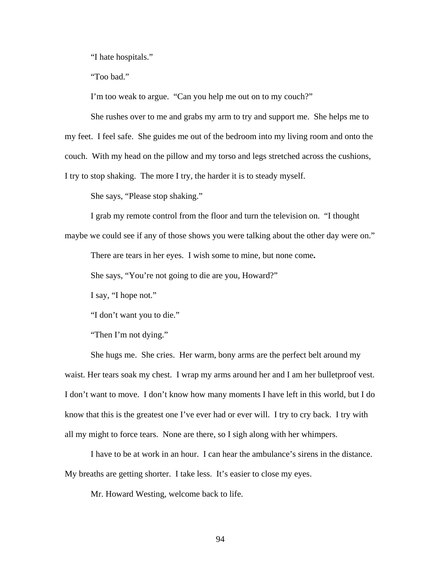"I hate hospitals."

"Too bad."

I'm too weak to argue. "Can you help me out on to my couch?"

 She rushes over to me and grabs my arm to try and support me. She helps me to my feet. I feel safe. She guides me out of the bedroom into my living room and onto the couch. With my head on the pillow and my torso and legs stretched across the cushions, I try to stop shaking. The more I try, the harder it is to steady myself.

She says, "Please stop shaking."

I grab my remote control from the floor and turn the television on. "I thought maybe we could see if any of those shows you were talking about the other day were on."

There are tears in her eyes. I wish some to mine, but none come**.** 

She says, "You're not going to die are you, Howard?"

I say, "I hope not."

"I don't want you to die."

"Then I'm not dying."

She hugs me. She cries. Her warm, bony arms are the perfect belt around my waist. Her tears soak my chest. I wrap my arms around her and I am her bulletproof vest. I don't want to move. I don't know how many moments I have left in this world, but I do know that this is the greatest one I've ever had or ever will. I try to cry back. I try with all my might to force tears. None are there, so I sigh along with her whimpers.

I have to be at work in an hour. I can hear the ambulance's sirens in the distance. My breaths are getting shorter. I take less. It's easier to close my eyes.

Mr. Howard Westing, welcome back to life.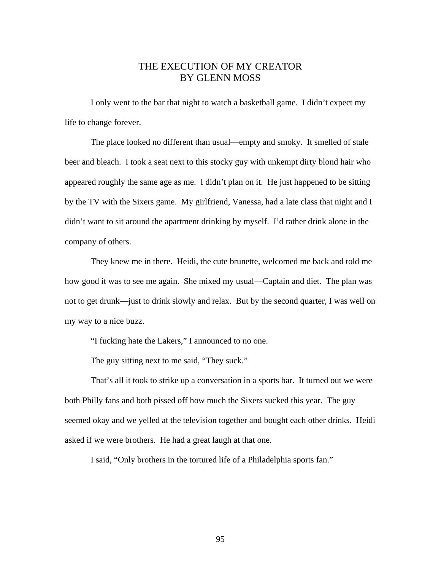## THE EXECUTION OF MY CREATOR BY GLENN MOSS

 I only went to the bar that night to watch a basketball game. I didn't expect my life to change forever.

 The place looked no different than usual—empty and smoky. It smelled of stale beer and bleach. I took a seat next to this stocky guy with unkempt dirty blond hair who appeared roughly the same age as me. I didn't plan on it. He just happened to be sitting by the TV with the Sixers game. My girlfriend, Vanessa, had a late class that night and I didn't want to sit around the apartment drinking by myself. I'd rather drink alone in the company of others.

 They knew me in there. Heidi, the cute brunette, welcomed me back and told me how good it was to see me again. She mixed my usual—Captain and diet. The plan was not to get drunk—just to drink slowly and relax. But by the second quarter, I was well on my way to a nice buzz.

"I fucking hate the Lakers," I announced to no one.

The guy sitting next to me said, "They suck."

 That's all it took to strike up a conversation in a sports bar. It turned out we were both Philly fans and both pissed off how much the Sixers sucked this year. The guy seemed okay and we yelled at the television together and bought each other drinks. Heidi asked if we were brothers. He had a great laugh at that one.

I said, "Only brothers in the tortured life of a Philadelphia sports fan."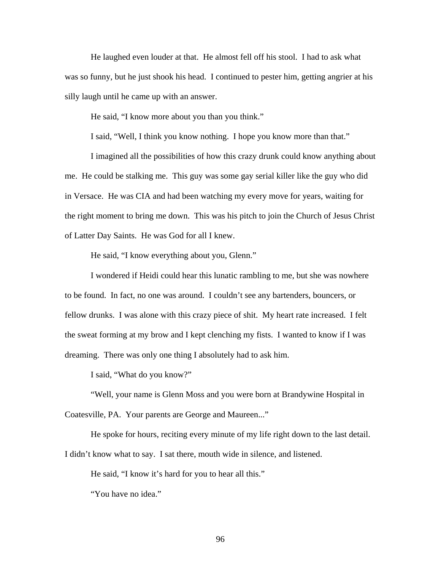He laughed even louder at that. He almost fell off his stool. I had to ask what was so funny, but he just shook his head. I continued to pester him, getting angrier at his silly laugh until he came up with an answer.

He said, "I know more about you than you think."

I said, "Well, I think you know nothing. I hope you know more than that."

 I imagined all the possibilities of how this crazy drunk could know anything about me. He could be stalking me. This guy was some gay serial killer like the guy who did in Versace. He was CIA and had been watching my every move for years, waiting for the right moment to bring me down. This was his pitch to join the Church of Jesus Christ of Latter Day Saints. He was God for all I knew.

He said, "I know everything about you, Glenn."

 I wondered if Heidi could hear this lunatic rambling to me, but she was nowhere to be found. In fact, no one was around. I couldn't see any bartenders, bouncers, or fellow drunks. I was alone with this crazy piece of shit. My heart rate increased. I felt the sweat forming at my brow and I kept clenching my fists. I wanted to know if I was dreaming. There was only one thing I absolutely had to ask him.

I said, "What do you know?"

 "Well, your name is Glenn Moss and you were born at Brandywine Hospital in Coatesville, PA. Your parents are George and Maureen..."

He spoke for hours, reciting every minute of my life right down to the last detail.

I didn't know what to say. I sat there, mouth wide in silence, and listened.

He said, "I know it's hard for you to hear all this."

"You have no idea."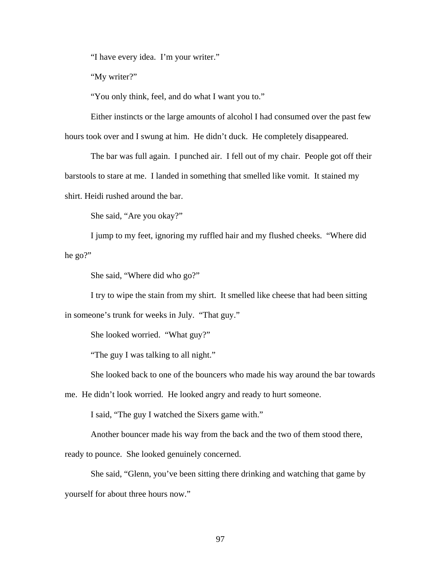"I have every idea. I'm your writer."

"My writer?"

"You only think, feel, and do what I want you to."

 Either instincts or the large amounts of alcohol I had consumed over the past few hours took over and I swung at him. He didn't duck. He completely disappeared.

 The bar was full again. I punched air. I fell out of my chair. People got off their barstools to stare at me. I landed in something that smelled like vomit. It stained my shirt. Heidi rushed around the bar.

She said, "Are you okay?"

 I jump to my feet, ignoring my ruffled hair and my flushed cheeks. "Where did he go?"

She said, "Where did who go?"

 I try to wipe the stain from my shirt. It smelled like cheese that had been sitting in someone's trunk for weeks in July. "That guy."

She looked worried. "What guy?"

"The guy I was talking to all night."

She looked back to one of the bouncers who made his way around the bar towards

me. He didn't look worried. He looked angry and ready to hurt someone.

I said, "The guy I watched the Sixers game with."

Another bouncer made his way from the back and the two of them stood there,

ready to pounce. She looked genuinely concerned.

 She said, "Glenn, you've been sitting there drinking and watching that game by yourself for about three hours now."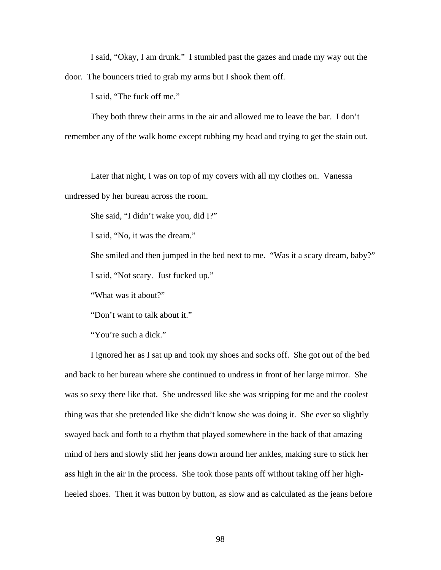I said, "Okay, I am drunk." I stumbled past the gazes and made my way out the door. The bouncers tried to grab my arms but I shook them off.

I said, "The fuck off me."

 They both threw their arms in the air and allowed me to leave the bar. I don't remember any of the walk home except rubbing my head and trying to get the stain out.

 Later that night, I was on top of my covers with all my clothes on. Vanessa undressed by her bureau across the room.

She said, "I didn't wake you, did I?"

I said, "No, it was the dream."

She smiled and then jumped in the bed next to me. "Was it a scary dream, baby?"

I said, "Not scary. Just fucked up."

"What was it about?"

"Don't want to talk about it."

"You're such a dick."

 I ignored her as I sat up and took my shoes and socks off. She got out of the bed and back to her bureau where she continued to undress in front of her large mirror. She was so sexy there like that. She undressed like she was stripping for me and the coolest thing was that she pretended like she didn't know she was doing it. She ever so slightly swayed back and forth to a rhythm that played somewhere in the back of that amazing mind of hers and slowly slid her jeans down around her ankles, making sure to stick her ass high in the air in the process. She took those pants off without taking off her highheeled shoes. Then it was button by button, as slow and as calculated as the jeans before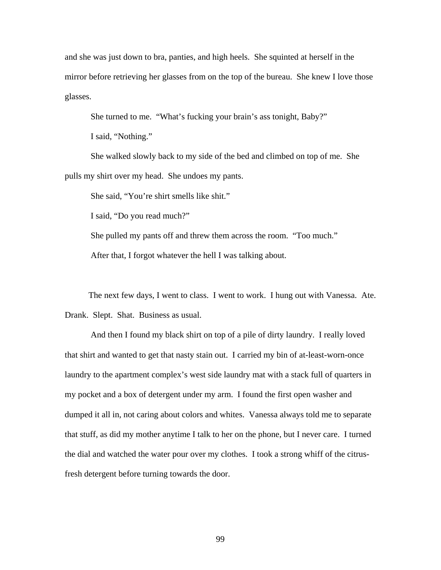and she was just down to bra, panties, and high heels. She squinted at herself in the mirror before retrieving her glasses from on the top of the bureau. She knew I love those glasses.

She turned to me. "What's fucking your brain's ass tonight, Baby?"

I said, "Nothing."

 She walked slowly back to my side of the bed and climbed on top of me. She pulls my shirt over my head. She undoes my pants.

She said, "You're shirt smells like shit."

I said, "Do you read much?"

 She pulled my pants off and threw them across the room. "Too much." After that, I forgot whatever the hell I was talking about.

 The next few days, I went to class. I went to work. I hung out with Vanessa. Ate. Drank. Slept. Shat. Business as usual.

 And then I found my black shirt on top of a pile of dirty laundry. I really loved that shirt and wanted to get that nasty stain out. I carried my bin of at-least-worn-once laundry to the apartment complex's west side laundry mat with a stack full of quarters in my pocket and a box of detergent under my arm. I found the first open washer and dumped it all in, not caring about colors and whites. Vanessa always told me to separate that stuff, as did my mother anytime I talk to her on the phone, but I never care. I turned the dial and watched the water pour over my clothes. I took a strong whiff of the citrusfresh detergent before turning towards the door.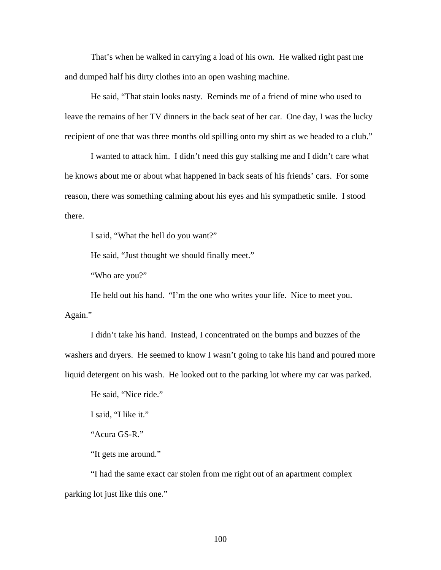That's when he walked in carrying a load of his own. He walked right past me and dumped half his dirty clothes into an open washing machine.

 He said, "That stain looks nasty. Reminds me of a friend of mine who used to leave the remains of her TV dinners in the back seat of her car. One day, I was the lucky recipient of one that was three months old spilling onto my shirt as we headed to a club."

 I wanted to attack him. I didn't need this guy stalking me and I didn't care what he knows about me or about what happened in back seats of his friends' cars. For some reason, there was something calming about his eyes and his sympathetic smile. I stood there.

I said, "What the hell do you want?"

He said, "Just thought we should finally meet."

"Who are you?"

He held out his hand. "I'm the one who writes your life. Nice to meet you.

Again."

 I didn't take his hand. Instead, I concentrated on the bumps and buzzes of the washers and dryers. He seemed to know I wasn't going to take his hand and poured more liquid detergent on his wash. He looked out to the parking lot where my car was parked.

He said, "Nice ride."

I said, "I like it."

"Acura GS-R."

"It gets me around."

 "I had the same exact car stolen from me right out of an apartment complex parking lot just like this one."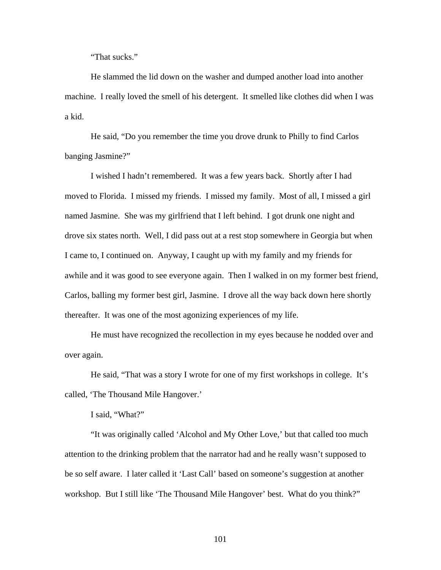"That sucks."

 He slammed the lid down on the washer and dumped another load into another machine. I really loved the smell of his detergent. It smelled like clothes did when I was a kid.

 He said, "Do you remember the time you drove drunk to Philly to find Carlos banging Jasmine?"

 I wished I hadn't remembered. It was a few years back. Shortly after I had moved to Florida. I missed my friends. I missed my family. Most of all, I missed a girl named Jasmine. She was my girlfriend that I left behind. I got drunk one night and drove six states north. Well, I did pass out at a rest stop somewhere in Georgia but when I came to, I continued on. Anyway, I caught up with my family and my friends for awhile and it was good to see everyone again. Then I walked in on my former best friend, Carlos, balling my former best girl, Jasmine. I drove all the way back down here shortly thereafter. It was one of the most agonizing experiences of my life.

 He must have recognized the recollection in my eyes because he nodded over and over again.

 He said, "That was a story I wrote for one of my first workshops in college. It's called, 'The Thousand Mile Hangover.'

I said, "What?"

 "It was originally called 'Alcohol and My Other Love,' but that called too much attention to the drinking problem that the narrator had and he really wasn't supposed to be so self aware. I later called it 'Last Call' based on someone's suggestion at another workshop. But I still like 'The Thousand Mile Hangover' best. What do you think?"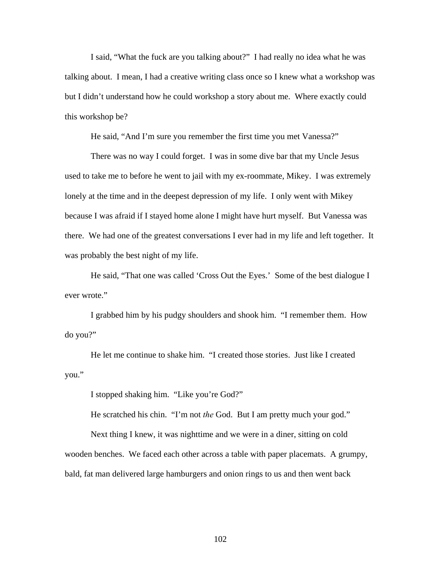I said, "What the fuck are you talking about?" I had really no idea what he was talking about. I mean, I had a creative writing class once so I knew what a workshop was but I didn't understand how he could workshop a story about me. Where exactly could this workshop be?

He said, "And I'm sure you remember the first time you met Vanessa?"

 There was no way I could forget. I was in some dive bar that my Uncle Jesus used to take me to before he went to jail with my ex-roommate, Mikey. I was extremely lonely at the time and in the deepest depression of my life. I only went with Mikey because I was afraid if I stayed home alone I might have hurt myself. But Vanessa was there. We had one of the greatest conversations I ever had in my life and left together. It was probably the best night of my life.

 He said, "That one was called 'Cross Out the Eyes.' Some of the best dialogue I ever wrote."

 I grabbed him by his pudgy shoulders and shook him. "I remember them. How do you?"

 He let me continue to shake him. "I created those stories. Just like I created you."

I stopped shaking him. "Like you're God?"

He scratched his chin. "I'm not *the* God. But I am pretty much your god."

 Next thing I knew, it was nighttime and we were in a diner, sitting on cold wooden benches. We faced each other across a table with paper placemats. A grumpy, bald, fat man delivered large hamburgers and onion rings to us and then went back

102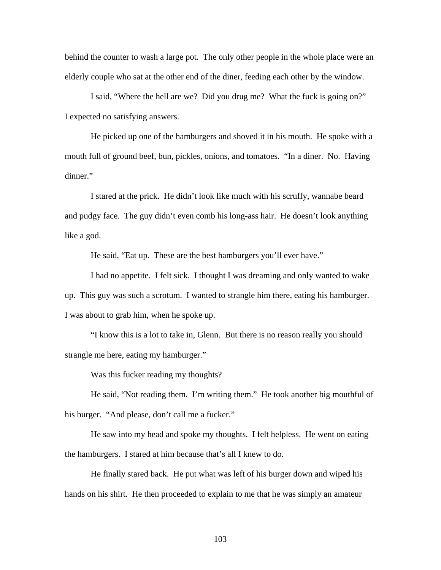behind the counter to wash a large pot. The only other people in the whole place were an elderly couple who sat at the other end of the diner, feeding each other by the window.

 I said, "Where the hell are we? Did you drug me? What the fuck is going on?" I expected no satisfying answers.

 He picked up one of the hamburgers and shoved it in his mouth. He spoke with a mouth full of ground beef, bun, pickles, onions, and tomatoes. "In a diner. No. Having dinner."

 I stared at the prick. He didn't look like much with his scruffy, wannabe beard and pudgy face. The guy didn't even comb his long-ass hair. He doesn't look anything like a god.

He said, "Eat up. These are the best hamburgers you'll ever have."

 I had no appetite. I felt sick. I thought I was dreaming and only wanted to wake up. This guy was such a scrotum. I wanted to strangle him there, eating his hamburger. I was about to grab him, when he spoke up.

 "I know this is a lot to take in, Glenn. But there is no reason really you should strangle me here, eating my hamburger."

Was this fucker reading my thoughts?

 He said, "Not reading them. I'm writing them." He took another big mouthful of his burger. "And please, don't call me a fucker."

 He saw into my head and spoke my thoughts. I felt helpless. He went on eating the hamburgers. I stared at him because that's all I knew to do.

 He finally stared back. He put what was left of his burger down and wiped his hands on his shirt. He then proceeded to explain to me that he was simply an amateur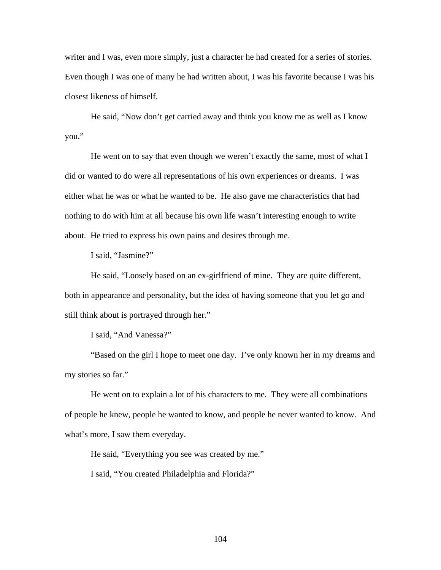writer and I was, even more simply, just a character he had created for a series of stories. Even though I was one of many he had written about, I was his favorite because I was his closest likeness of himself.

 He said, "Now don't get carried away and think you know me as well as I know you."

 He went on to say that even though we weren't exactly the same, most of what I did or wanted to do were all representations of his own experiences or dreams. I was either what he was or what he wanted to be. He also gave me characteristics that had nothing to do with him at all because his own life wasn't interesting enough to write about. He tried to express his own pains and desires through me.

I said, "Jasmine?"

 He said, "Loosely based on an ex-girlfriend of mine. They are quite different, both in appearance and personality, but the idea of having someone that you let go and still think about is portrayed through her."

I said, "And Vanessa?"

 "Based on the girl I hope to meet one day. I've only known her in my dreams and my stories so far."

 He went on to explain a lot of his characters to me. They were all combinations of people he knew, people he wanted to know, and people he never wanted to know. And what's more, I saw them everyday.

He said, "Everything you see was created by me."

I said, "You created Philadelphia and Florida?"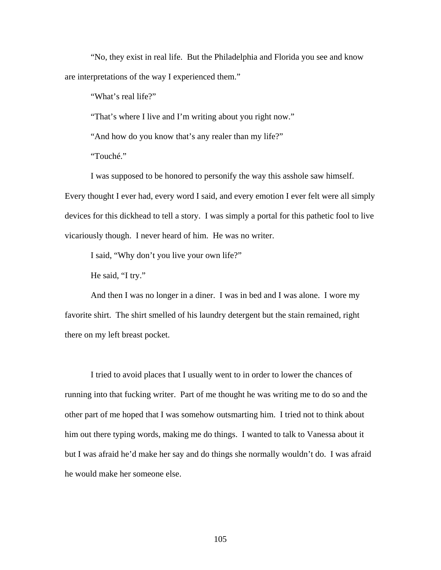"No, they exist in real life. But the Philadelphia and Florida you see and know are interpretations of the way I experienced them."

"What's real life?"

"That's where I live and I'm writing about you right now."

"And how do you know that's any realer than my life?"

"Touché."

 I was supposed to be honored to personify the way this asshole saw himself. Every thought I ever had, every word I said, and every emotion I ever felt were all simply devices for this dickhead to tell a story. I was simply a portal for this pathetic fool to live vicariously though. I never heard of him. He was no writer.

I said, "Why don't you live your own life?"

He said, "I try."

 And then I was no longer in a diner. I was in bed and I was alone. I wore my favorite shirt. The shirt smelled of his laundry detergent but the stain remained, right there on my left breast pocket.

 I tried to avoid places that I usually went to in order to lower the chances of running into that fucking writer. Part of me thought he was writing me to do so and the other part of me hoped that I was somehow outsmarting him. I tried not to think about him out there typing words, making me do things. I wanted to talk to Vanessa about it but I was afraid he'd make her say and do things she normally wouldn't do. I was afraid he would make her someone else.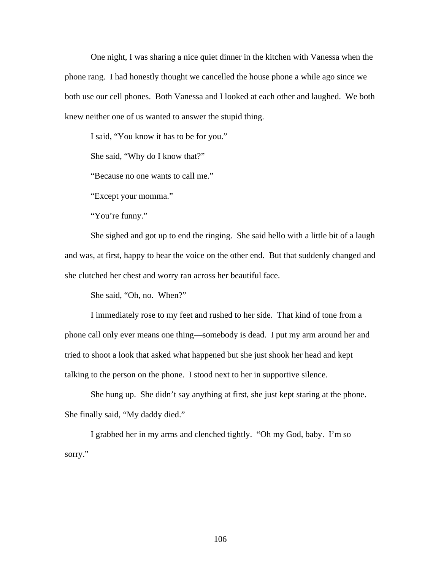One night, I was sharing a nice quiet dinner in the kitchen with Vanessa when the phone rang. I had honestly thought we cancelled the house phone a while ago since we both use our cell phones. Both Vanessa and I looked at each other and laughed. We both knew neither one of us wanted to answer the stupid thing.

I said, "You know it has to be for you."

She said, "Why do I know that?"

"Because no one wants to call me."

"Except your momma."

"You're funny."

 She sighed and got up to end the ringing. She said hello with a little bit of a laugh and was, at first, happy to hear the voice on the other end. But that suddenly changed and she clutched her chest and worry ran across her beautiful face.

She said, "Oh, no. When?"

 I immediately rose to my feet and rushed to her side. That kind of tone from a phone call only ever means one thing—somebody is dead. I put my arm around her and tried to shoot a look that asked what happened but she just shook her head and kept talking to the person on the phone. I stood next to her in supportive silence.

 She hung up. She didn't say anything at first, she just kept staring at the phone. She finally said, "My daddy died."

 I grabbed her in my arms and clenched tightly. "Oh my God, baby. I'm so sorry."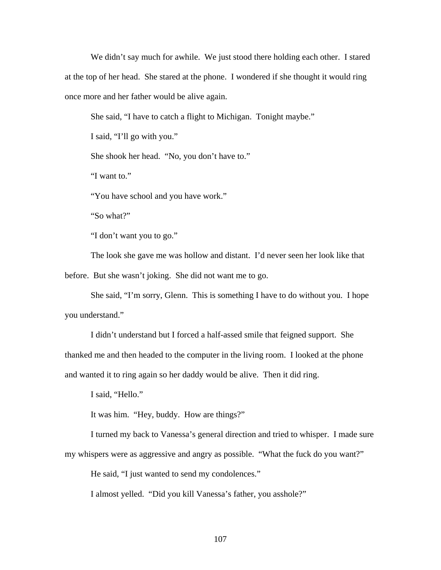We didn't say much for awhile. We just stood there holding each other. I stared at the top of her head. She stared at the phone. I wondered if she thought it would ring once more and her father would be alive again.

She said, "I have to catch a flight to Michigan. Tonight maybe."

I said, "I'll go with you."

She shook her head. "No, you don't have to."

"I want to."

"You have school and you have work."

"So what?"

"I don't want you to go."

 The look she gave me was hollow and distant. I'd never seen her look like that before. But she wasn't joking. She did not want me to go.

 She said, "I'm sorry, Glenn. This is something I have to do without you. I hope you understand."

 I didn't understand but I forced a half-assed smile that feigned support. She thanked me and then headed to the computer in the living room. I looked at the phone and wanted it to ring again so her daddy would be alive. Then it did ring.

I said, "Hello."

It was him. "Hey, buddy. How are things?"

 I turned my back to Vanessa's general direction and tried to whisper. I made sure my whispers were as aggressive and angry as possible. "What the fuck do you want?"

He said, "I just wanted to send my condolences."

I almost yelled. "Did you kill Vanessa's father, you asshole?"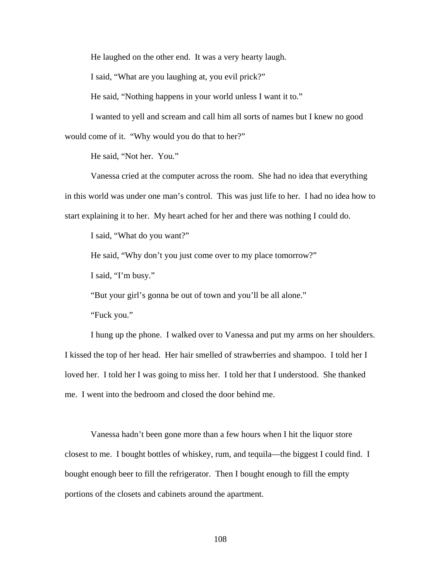He laughed on the other end. It was a very hearty laugh.

I said, "What are you laughing at, you evil prick?"

He said, "Nothing happens in your world unless I want it to."

 I wanted to yell and scream and call him all sorts of names but I knew no good would come of it. "Why would you do that to her?"

He said, "Not her. You."

 Vanessa cried at the computer across the room. She had no idea that everything in this world was under one man's control. This was just life to her. I had no idea how to start explaining it to her. My heart ached for her and there was nothing I could do.

I said, "What do you want?"

He said, "Why don't you just come over to my place tomorrow?"

I said, "I'm busy."

"But your girl's gonna be out of town and you'll be all alone."

"Fuck you."

 I hung up the phone. I walked over to Vanessa and put my arms on her shoulders. I kissed the top of her head. Her hair smelled of strawberries and shampoo. I told her I loved her. I told her I was going to miss her. I told her that I understood. She thanked me. I went into the bedroom and closed the door behind me.

 Vanessa hadn't been gone more than a few hours when I hit the liquor store closest to me. I bought bottles of whiskey, rum, and tequila—the biggest I could find. I bought enough beer to fill the refrigerator. Then I bought enough to fill the empty portions of the closets and cabinets around the apartment.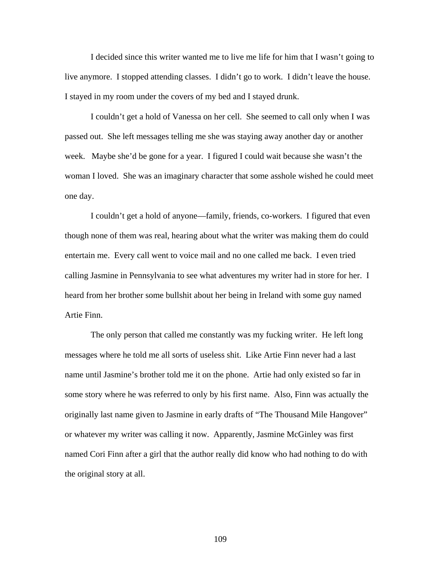I decided since this writer wanted me to live me life for him that I wasn't going to live anymore. I stopped attending classes. I didn't go to work. I didn't leave the house. I stayed in my room under the covers of my bed and I stayed drunk.

 I couldn't get a hold of Vanessa on her cell. She seemed to call only when I was passed out. She left messages telling me she was staying away another day or another week. Maybe she'd be gone for a year. I figured I could wait because she wasn't the woman I loved. She was an imaginary character that some asshole wished he could meet one day.

 I couldn't get a hold of anyone—family, friends, co-workers. I figured that even though none of them was real, hearing about what the writer was making them do could entertain me. Every call went to voice mail and no one called me back. I even tried calling Jasmine in Pennsylvania to see what adventures my writer had in store for her. I heard from her brother some bullshit about her being in Ireland with some guy named Artie Finn.

 The only person that called me constantly was my fucking writer. He left long messages where he told me all sorts of useless shit. Like Artie Finn never had a last name until Jasmine's brother told me it on the phone. Artie had only existed so far in some story where he was referred to only by his first name. Also, Finn was actually the originally last name given to Jasmine in early drafts of "The Thousand Mile Hangover" or whatever my writer was calling it now. Apparently, Jasmine McGinley was first named Cori Finn after a girl that the author really did know who had nothing to do with the original story at all.

109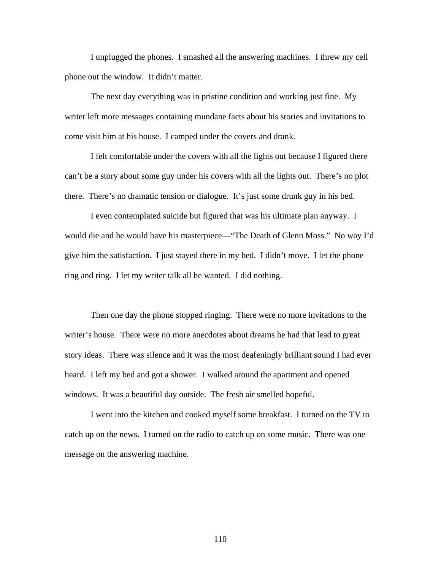I unplugged the phones. I smashed all the answering machines. I threw my cell phone out the window. It didn't matter.

 The next day everything was in pristine condition and working just fine. My writer left more messages containing mundane facts about his stories and invitations to come visit him at his house. I camped under the covers and drank.

 I felt comfortable under the covers with all the lights out because I figured there can't be a story about some guy under his covers with all the lights out. There's no plot there. There's no dramatic tension or dialogue. It's just some drunk guy in his bed.

 I even contemplated suicide but figured that was his ultimate plan anyway. I would die and he would have his masterpiece—"The Death of Glenn Moss." No way I'd give him the satisfaction. I just stayed there in my bed. I didn't move. I let the phone ring and ring. I let my writer talk all he wanted. I did nothing.

 Then one day the phone stopped ringing. There were no more invitations to the writer's house. There were no more anecdotes about dreams he had that lead to great story ideas. There was silence and it was the most deafeningly brilliant sound I had ever heard. I left my bed and got a shower. I walked around the apartment and opened windows. It was a beautiful day outside. The fresh air smelled hopeful.

 I went into the kitchen and cooked myself some breakfast. I turned on the TV to catch up on the news. I turned on the radio to catch up on some music. There was one message on the answering machine.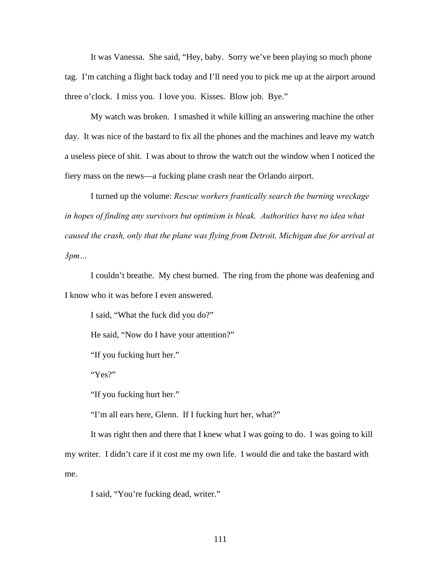It was Vanessa. She said, "Hey, baby. Sorry we've been playing so much phone tag. I'm catching a flight back today and I'll need you to pick me up at the airport around three o'clock. I miss you. I love you. Kisses. Blow job. Bye."

 My watch was broken. I smashed it while killing an answering machine the other day. It was nice of the bastard to fix all the phones and the machines and leave my watch a useless piece of shit. I was about to throw the watch out the window when I noticed the fiery mass on the news—a fucking plane crash near the Orlando airport.

 I turned up the volume: *Rescue workers frantically search the burning wreckage*  in hopes of finding any survivors but optimism is bleak. Authorities have no idea what *caused the crash, only that the plane was flying from Detroit, Michigan due for arrival at 3pm…* 

I couldn't breathe. My chest burned. The ring from the phone was deafening and I know who it was before I even answered.

I said, "What the fuck did you do?"

He said, "Now do I have your attention?"

"If you fucking hurt her."

"Yes?"

"If you fucking hurt her."

"I'm all ears here, Glenn. If I fucking hurt her, what?"

 It was right then and there that I knew what I was going to do. I was going to kill my writer. I didn't care if it cost me my own life. I would die and take the bastard with me.

I said, "You're fucking dead, writer."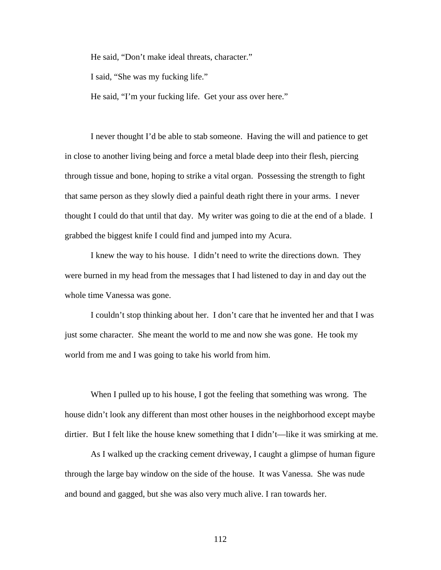He said, "Don't make ideal threats, character."

I said, "She was my fucking life."

He said, "I'm your fucking life. Get your ass over here."

 I never thought I'd be able to stab someone. Having the will and patience to get in close to another living being and force a metal blade deep into their flesh, piercing through tissue and bone, hoping to strike a vital organ. Possessing the strength to fight that same person as they slowly died a painful death right there in your arms. I never thought I could do that until that day. My writer was going to die at the end of a blade. I grabbed the biggest knife I could find and jumped into my Acura.

 I knew the way to his house. I didn't need to write the directions down. They were burned in my head from the messages that I had listened to day in and day out the whole time Vanessa was gone.

 I couldn't stop thinking about her. I don't care that he invented her and that I was just some character. She meant the world to me and now she was gone. He took my world from me and I was going to take his world from him.

 When I pulled up to his house, I got the feeling that something was wrong. The house didn't look any different than most other houses in the neighborhood except maybe dirtier. But I felt like the house knew something that I didn't—like it was smirking at me.

 As I walked up the cracking cement driveway, I caught a glimpse of human figure through the large bay window on the side of the house. It was Vanessa. She was nude and bound and gagged, but she was also very much alive. I ran towards her.

112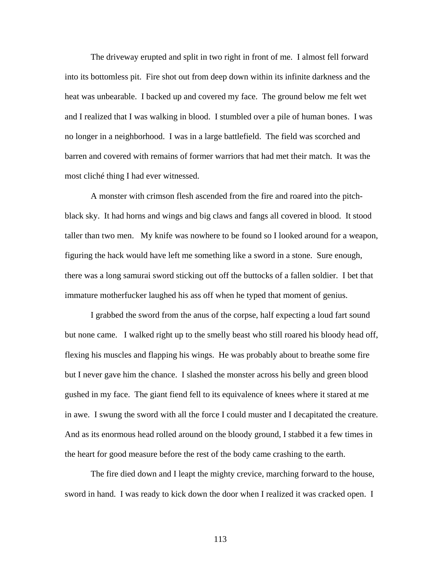The driveway erupted and split in two right in front of me. I almost fell forward into its bottomless pit. Fire shot out from deep down within its infinite darkness and the heat was unbearable. I backed up and covered my face. The ground below me felt wet and I realized that I was walking in blood. I stumbled over a pile of human bones. I was no longer in a neighborhood. I was in a large battlefield. The field was scorched and barren and covered with remains of former warriors that had met their match. It was the most cliché thing I had ever witnessed.

 A monster with crimson flesh ascended from the fire and roared into the pitchblack sky. It had horns and wings and big claws and fangs all covered in blood. It stood taller than two men. My knife was nowhere to be found so I looked around for a weapon, figuring the hack would have left me something like a sword in a stone. Sure enough, there was a long samurai sword sticking out off the buttocks of a fallen soldier. I bet that immature motherfucker laughed his ass off when he typed that moment of genius.

 I grabbed the sword from the anus of the corpse, half expecting a loud fart sound but none came. I walked right up to the smelly beast who still roared his bloody head off, flexing his muscles and flapping his wings. He was probably about to breathe some fire but I never gave him the chance. I slashed the monster across his belly and green blood gushed in my face. The giant fiend fell to its equivalence of knees where it stared at me in awe. I swung the sword with all the force I could muster and I decapitated the creature. And as its enormous head rolled around on the bloody ground, I stabbed it a few times in the heart for good measure before the rest of the body came crashing to the earth.

 The fire died down and I leapt the mighty crevice, marching forward to the house, sword in hand. I was ready to kick down the door when I realized it was cracked open. I

113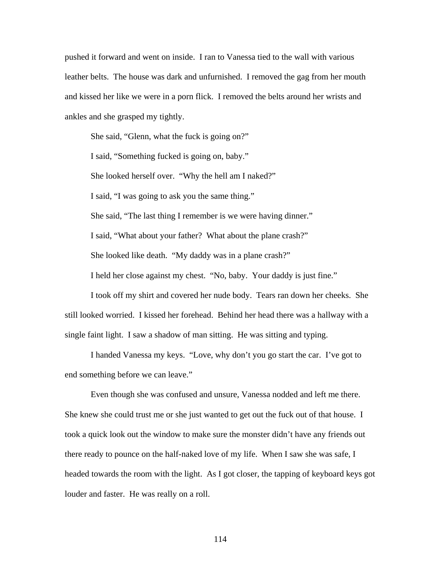pushed it forward and went on inside. I ran to Vanessa tied to the wall with various leather belts. The house was dark and unfurnished. I removed the gag from her mouth and kissed her like we were in a porn flick. I removed the belts around her wrists and ankles and she grasped my tightly.

 She said, "Glenn, what the fuck is going on?" I said, "Something fucked is going on, baby." She looked herself over. "Why the hell am I naked?" I said, "I was going to ask you the same thing." She said, "The last thing I remember is we were having dinner." I said, "What about your father? What about the plane crash?" She looked like death. "My daddy was in a plane crash?" I held her close against my chest. "No, baby. Your daddy is just fine."

 I took off my shirt and covered her nude body. Tears ran down her cheeks. She still looked worried. I kissed her forehead. Behind her head there was a hallway with a single faint light. I saw a shadow of man sitting. He was sitting and typing.

 I handed Vanessa my keys. "Love, why don't you go start the car. I've got to end something before we can leave."

 Even though she was confused and unsure, Vanessa nodded and left me there. She knew she could trust me or she just wanted to get out the fuck out of that house. I took a quick look out the window to make sure the monster didn't have any friends out there ready to pounce on the half-naked love of my life. When I saw she was safe, I headed towards the room with the light. As I got closer, the tapping of keyboard keys got louder and faster. He was really on a roll.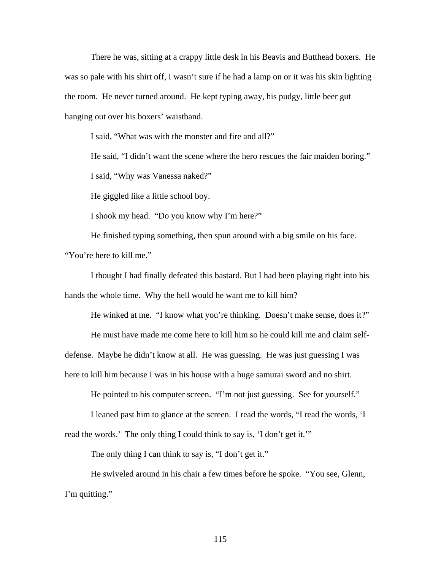There he was, sitting at a crappy little desk in his Beavis and Butthead boxers. He was so pale with his shirt off, I wasn't sure if he had a lamp on or it was his skin lighting the room. He never turned around. He kept typing away, his pudgy, little beer gut hanging out over his boxers' waistband.

I said, "What was with the monster and fire and all?"

He said, "I didn't want the scene where the hero rescues the fair maiden boring."

I said, "Why was Vanessa naked?"

He giggled like a little school boy.

I shook my head. "Do you know why I'm here?"

 He finished typing something, then spun around with a big smile on his face. "You're here to kill me."

 I thought I had finally defeated this bastard. But I had been playing right into his hands the whole time. Why the hell would he want me to kill him?

He winked at me. "I know what you're thinking. Doesn't make sense, does it?"

He must have made me come here to kill him so he could kill me and claim self-

defense. Maybe he didn't know at all. He was guessing. He was just guessing I was

here to kill him because I was in his house with a huge samurai sword and no shirt.

He pointed to his computer screen. "I'm not just guessing. See for yourself."

 I leaned past him to glance at the screen. I read the words, "I read the words, 'I read the words.' The only thing I could think to say is, 'I don't get it.'"

The only thing I can think to say is, "I don't get it."

 He swiveled around in his chair a few times before he spoke. "You see, Glenn, I'm quitting."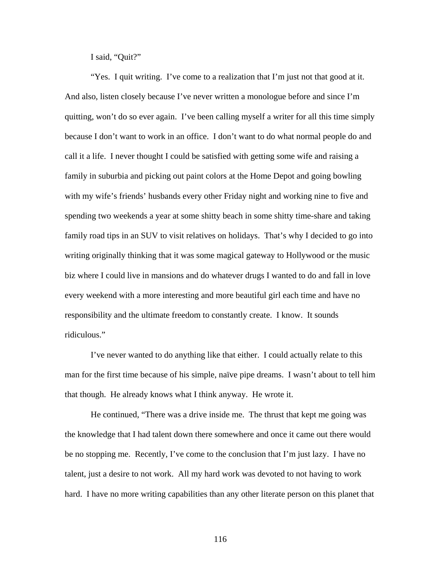I said, "Quit?"

 "Yes. I quit writing. I've come to a realization that I'm just not that good at it. And also, listen closely because I've never written a monologue before and since I'm quitting, won't do so ever again. I've been calling myself a writer for all this time simply because I don't want to work in an office. I don't want to do what normal people do and call it a life. I never thought I could be satisfied with getting some wife and raising a family in suburbia and picking out paint colors at the Home Depot and going bowling with my wife's friends' husbands every other Friday night and working nine to five and spending two weekends a year at some shitty beach in some shitty time-share and taking family road tips in an SUV to visit relatives on holidays. That's why I decided to go into writing originally thinking that it was some magical gateway to Hollywood or the music biz where I could live in mansions and do whatever drugs I wanted to do and fall in love every weekend with a more interesting and more beautiful girl each time and have no responsibility and the ultimate freedom to constantly create. I know. It sounds ridiculous."

 I've never wanted to do anything like that either. I could actually relate to this man for the first time because of his simple, naïve pipe dreams. I wasn't about to tell him that though. He already knows what I think anyway. He wrote it.

 He continued, "There was a drive inside me. The thrust that kept me going was the knowledge that I had talent down there somewhere and once it came out there would be no stopping me. Recently, I've come to the conclusion that I'm just lazy. I have no talent, just a desire to not work. All my hard work was devoted to not having to work hard. I have no more writing capabilities than any other literate person on this planet that

116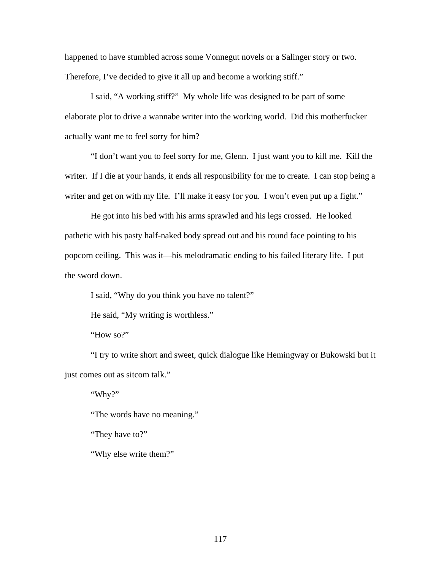happened to have stumbled across some Vonnegut novels or a Salinger story or two. Therefore, I've decided to give it all up and become a working stiff."

 I said, "A working stiff?" My whole life was designed to be part of some elaborate plot to drive a wannabe writer into the working world. Did this motherfucker actually want me to feel sorry for him?

 "I don't want you to feel sorry for me, Glenn. I just want you to kill me. Kill the writer. If I die at your hands, it ends all responsibility for me to create. I can stop being a writer and get on with my life. I'll make it easy for you. I won't even put up a fight."

 He got into his bed with his arms sprawled and his legs crossed. He looked pathetic with his pasty half-naked body spread out and his round face pointing to his popcorn ceiling. This was it—his melodramatic ending to his failed literary life. I put the sword down.

I said, "Why do you think you have no talent?"

He said, "My writing is worthless."

"How so?"

 "I try to write short and sweet, quick dialogue like Hemingway or Bukowski but it just comes out as sitcom talk."

"Why?"

"The words have no meaning."

"They have to?"

"Why else write them?"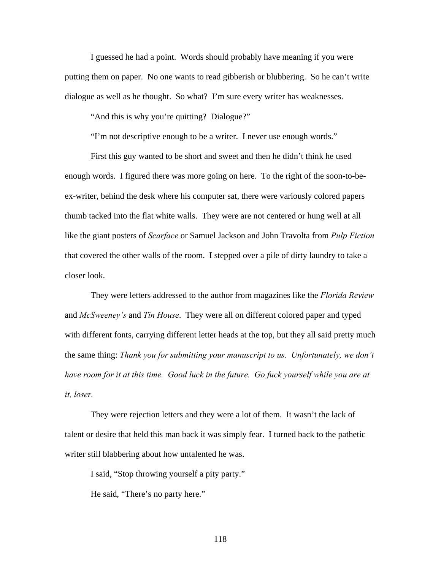I guessed he had a point. Words should probably have meaning if you were putting them on paper. No one wants to read gibberish or blubbering. So he can't write dialogue as well as he thought. So what? I'm sure every writer has weaknesses.

"And this is why you're quitting? Dialogue?"

"I'm not descriptive enough to be a writer. I never use enough words."

 First this guy wanted to be short and sweet and then he didn't think he used enough words. I figured there was more going on here. To the right of the soon-to-beex-writer, behind the desk where his computer sat, there were variously colored papers thumb tacked into the flat white walls. They were are not centered or hung well at all like the giant posters of *Scarface* or Samuel Jackson and John Travolta from *Pulp Fiction* that covered the other walls of the room. I stepped over a pile of dirty laundry to take a closer look.

 They were letters addressed to the author from magazines like the *Florida Review*  and *McSweeney's* and *Tin House*. They were all on different colored paper and typed with different fonts, carrying different letter heads at the top, but they all said pretty much the same thing: *Thank you for submitting your manuscript to us. Unfortunately, we don't*  have room for it at this time. Good luck in the future. Go fuck yourself while you are at *it, loser.*

 They were rejection letters and they were a lot of them. It wasn't the lack of talent or desire that held this man back it was simply fear. I turned back to the pathetic writer still blabbering about how untalented he was.

I said, "Stop throwing yourself a pity party."

He said, "There's no party here."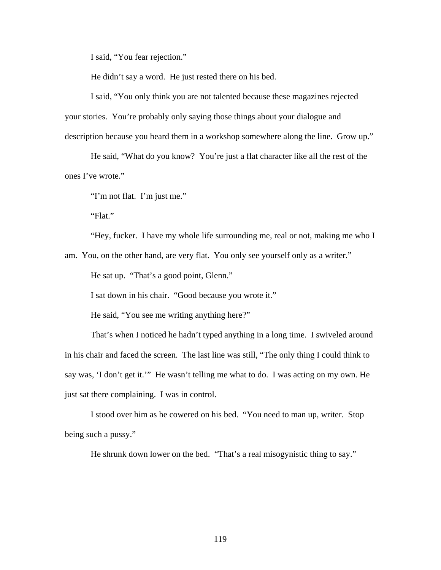I said, "You fear rejection."

He didn't say a word. He just rested there on his bed.

 I said, "You only think you are not talented because these magazines rejected your stories. You're probably only saying those things about your dialogue and description because you heard them in a workshop somewhere along the line. Grow up."

 He said, "What do you know? You're just a flat character like all the rest of the ones I've wrote."

"I'm not flat. I'm just me."

"Flat."

"Hey, fucker. I have my whole life surrounding me, real or not, making me who I

am. You, on the other hand, are very flat. You only see yourself only as a writer."

He sat up. "That's a good point, Glenn."

I sat down in his chair. "Good because you wrote it."

He said, "You see me writing anything here?"

 That's when I noticed he hadn't typed anything in a long time. I swiveled around in his chair and faced the screen. The last line was still, "The only thing I could think to say was, 'I don't get it.'" He wasn't telling me what to do. I was acting on my own. He just sat there complaining. I was in control.

 I stood over him as he cowered on his bed. "You need to man up, writer. Stop being such a pussy."

He shrunk down lower on the bed. "That's a real misogynistic thing to say."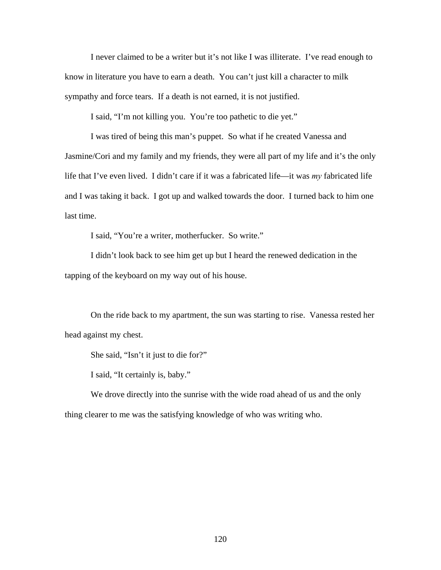I never claimed to be a writer but it's not like I was illiterate. I've read enough to know in literature you have to earn a death. You can't just kill a character to milk sympathy and force tears. If a death is not earned, it is not justified.

I said, "I'm not killing you. You're too pathetic to die yet."

 I was tired of being this man's puppet. So what if he created Vanessa and Jasmine/Cori and my family and my friends, they were all part of my life and it's the only life that I've even lived. I didn't care if it was a fabricated life—it was *my* fabricated life and I was taking it back. I got up and walked towards the door. I turned back to him one last time.

I said, "You're a writer, motherfucker. So write."

 I didn't look back to see him get up but I heard the renewed dedication in the tapping of the keyboard on my way out of his house.

 On the ride back to my apartment, the sun was starting to rise. Vanessa rested her head against my chest.

She said, "Isn't it just to die for?"

I said, "It certainly is, baby."

 We drove directly into the sunrise with the wide road ahead of us and the only thing clearer to me was the satisfying knowledge of who was writing who.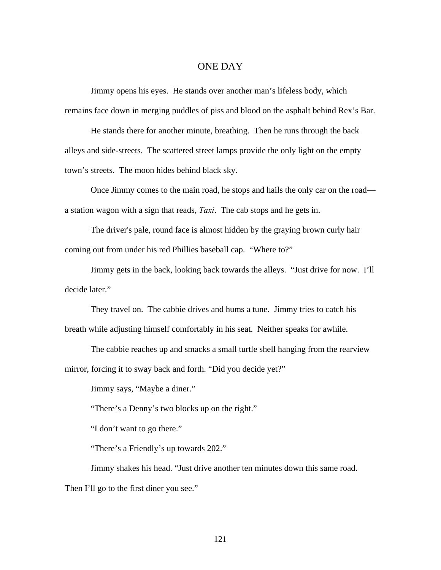## ONE DAY

 Jimmy opens his eyes. He stands over another man's lifeless body, which remains face down in merging puddles of piss and blood on the asphalt behind Rex's Bar.

 He stands there for another minute, breathing. Then he runs through the back alleys and side-streets. The scattered street lamps provide the only light on the empty town's streets. The moon hides behind black sky.

 Once Jimmy comes to the main road, he stops and hails the only car on the road a station wagon with a sign that reads, *Taxi*. The cab stops and he gets in.

 The driver's pale, round face is almost hidden by the graying brown curly hair coming out from under his red Phillies baseball cap. "Where to?"

 Jimmy gets in the back, looking back towards the alleys. "Just drive for now. I'll decide later."

 They travel on. The cabbie drives and hums a tune. Jimmy tries to catch his breath while adjusting himself comfortably in his seat. Neither speaks for awhile.

The cabbie reaches up and smacks a small turtle shell hanging from the rearview mirror, forcing it to sway back and forth. "Did you decide yet?"

Jimmy says, "Maybe a diner."

"There's a Denny's two blocks up on the right."

"I don't want to go there."

"There's a Friendly's up towards 202."

 Jimmy shakes his head. "Just drive another ten minutes down this same road. Then I'll go to the first diner you see."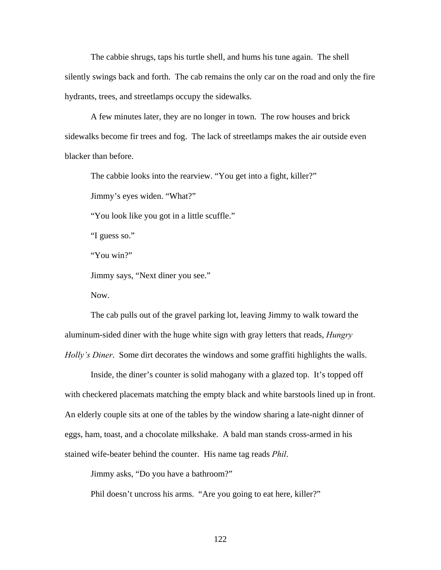The cabbie shrugs, taps his turtle shell, and hums his tune again. The shell silently swings back and forth. The cab remains the only car on the road and only the fire hydrants, trees, and streetlamps occupy the sidewalks.

A few minutes later, they are no longer in town. The row houses and brick sidewalks become fir trees and fog. The lack of streetlamps makes the air outside even blacker than before.

The cabbie looks into the rearview. "You get into a fight, killer?"

Jimmy's eyes widen. "What?"

"You look like you got in a little scuffle."

"I guess so."

"You win?"

Jimmy says, "Next diner you see."

Now.

The cab pulls out of the gravel parking lot, leaving Jimmy to walk toward the aluminum-sided diner with the huge white sign with gray letters that reads, *Hungry Holly's Diner*. Some dirt decorates the windows and some graffiti highlights the walls.

Inside, the diner's counter is solid mahogany with a glazed top. It's topped off with checkered placemats matching the empty black and white barstools lined up in front. An elderly couple sits at one of the tables by the window sharing a late-night dinner of eggs, ham, toast, and a chocolate milkshake. A bald man stands cross-armed in his stained wife-beater behind the counter. His name tag reads *Phil*.

Jimmy asks, "Do you have a bathroom?"

Phil doesn't uncross his arms. "Are you going to eat here, killer?"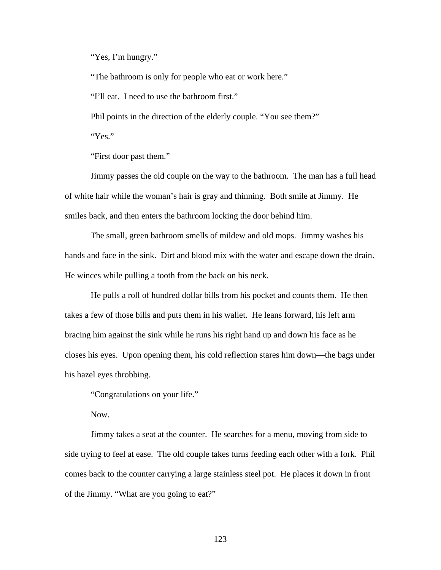"Yes, I'm hungry."

"The bathroom is only for people who eat or work here."

"I'll eat. I need to use the bathroom first."

Phil points in the direction of the elderly couple. "You see them?"

"Yes."

"First door past them."

Jimmy passes the old couple on the way to the bathroom. The man has a full head of white hair while the woman's hair is gray and thinning. Both smile at Jimmy. He smiles back, and then enters the bathroom locking the door behind him.

The small, green bathroom smells of mildew and old mops. Jimmy washes his hands and face in the sink. Dirt and blood mix with the water and escape down the drain. He winces while pulling a tooth from the back on his neck.

He pulls a roll of hundred dollar bills from his pocket and counts them. He then takes a few of those bills and puts them in his wallet. He leans forward, his left arm bracing him against the sink while he runs his right hand up and down his face as he closes his eyes. Upon opening them, his cold reflection stares him down—the bags under his hazel eyes throbbing.

"Congratulations on your life."

Now.

Jimmy takes a seat at the counter. He searches for a menu, moving from side to side trying to feel at ease. The old couple takes turns feeding each other with a fork. Phil comes back to the counter carrying a large stainless steel pot. He places it down in front of the Jimmy. "What are you going to eat?"

123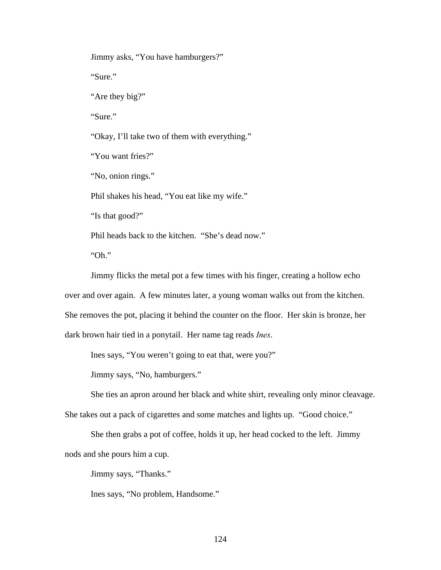Jimmy asks, "You have hamburgers?" "Sure." "Are they big?" "Sure." "Okay, I'll take two of them with everything." "You want fries?" "No, onion rings." Phil shakes his head, "You eat like my wife." "Is that good?" Phil heads back to the kitchen. "She's dead now." "Oh."

Jimmy flicks the metal pot a few times with his finger, creating a hollow echo over and over again. A few minutes later, a young woman walks out from the kitchen. She removes the pot, placing it behind the counter on the floor. Her skin is bronze, her dark brown hair tied in a ponytail. Her name tag reads *Ines*.

Ines says, "You weren't going to eat that, were you?"

Jimmy says, "No, hamburgers."

She ties an apron around her black and white shirt, revealing only minor cleavage.

She takes out a pack of cigarettes and some matches and lights up. "Good choice."

She then grabs a pot of coffee, holds it up, her head cocked to the left. Jimmy nods and she pours him a cup.

Jimmy says, "Thanks."

Ines says, "No problem, Handsome."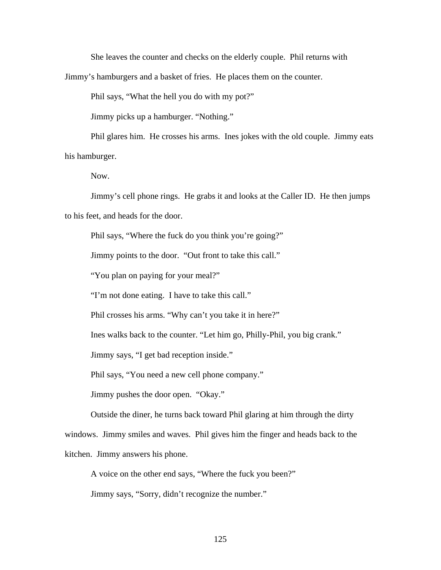She leaves the counter and checks on the elderly couple. Phil returns with

Jimmy's hamburgers and a basket of fries. He places them on the counter.

Phil says, "What the hell you do with my pot?"

Jimmy picks up a hamburger. "Nothing."

Phil glares him. He crosses his arms. Ines jokes with the old couple. Jimmy eats his hamburger.

Now.

Jimmy's cell phone rings. He grabs it and looks at the Caller ID. He then jumps to his feet, and heads for the door.

Phil says, "Where the fuck do you think you're going?"

Jimmy points to the door. "Out front to take this call."

"You plan on paying for your meal?"

"I'm not done eating. I have to take this call."

Phil crosses his arms. "Why can't you take it in here?"

Ines walks back to the counter. "Let him go, Philly-Phil, you big crank."

Jimmy says, "I get bad reception inside."

Phil says, "You need a new cell phone company."

Jimmy pushes the door open. "Okay."

Outside the diner, he turns back toward Phil glaring at him through the dirty windows. Jimmy smiles and waves. Phil gives him the finger and heads back to the kitchen. Jimmy answers his phone.

A voice on the other end says, "Where the fuck you been?"

Jimmy says, "Sorry, didn't recognize the number."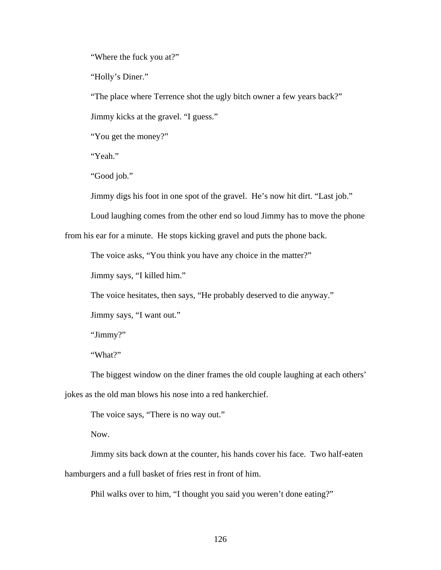"Where the fuck you at?"

"Holly's Diner."

"The place where Terrence shot the ugly bitch owner a few years back?"

Jimmy kicks at the gravel. "I guess."

"You get the money?"

"Yeah."

"Good job."

Jimmy digs his foot in one spot of the gravel. He's now hit dirt. "Last job."

Loud laughing comes from the other end so loud Jimmy has to move the phone

from his ear for a minute. He stops kicking gravel and puts the phone back.

The voice asks, "You think you have any choice in the matter?"

Jimmy says, "I killed him."

The voice hesitates, then says, "He probably deserved to die anyway."

Jimmy says, "I want out."

"Jimmy?"

"What?"

 The biggest window on the diner frames the old couple laughing at each others' jokes as the old man blows his nose into a red hankerchief.

The voice says, "There is no way out."

Now.

 Jimmy sits back down at the counter, his hands cover his face. Two half-eaten hamburgers and a full basket of fries rest in front of him.

Phil walks over to him, "I thought you said you weren't done eating?"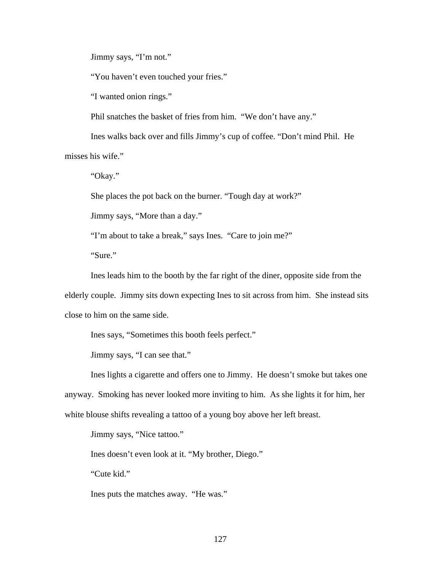Jimmy says, "I'm not."

"You haven't even touched your fries."

"I wanted onion rings."

Phil snatches the basket of fries from him. "We don't have any."

 Ines walks back over and fills Jimmy's cup of coffee. "Don't mind Phil. He misses his wife."

"Okay."

She places the pot back on the burner. "Tough day at work?"

Jimmy says, "More than a day."

"I'm about to take a break," says Ines. "Care to join me?"

"Sure."

 Ines leads him to the booth by the far right of the diner, opposite side from the elderly couple. Jimmy sits down expecting Ines to sit across from him. She instead sits close to him on the same side.

Ines says, "Sometimes this booth feels perfect."

Jimmy says, "I can see that."

 Ines lights a cigarette and offers one to Jimmy. He doesn't smoke but takes one anyway. Smoking has never looked more inviting to him. As she lights it for him, her white blouse shifts revealing a tattoo of a young boy above her left breast.

Jimmy says, "Nice tattoo."

Ines doesn't even look at it. "My brother, Diego."

"Cute kid."

Ines puts the matches away. "He was."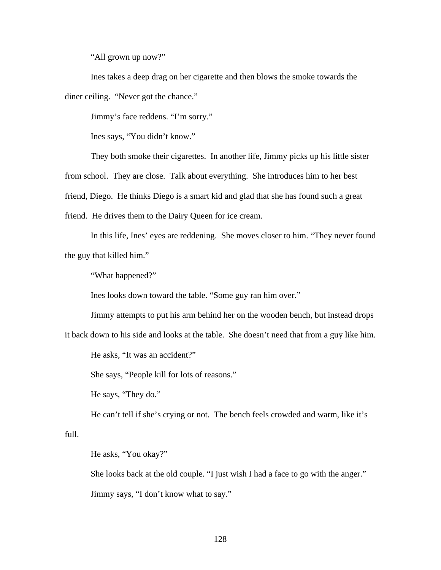"All grown up now?"

Ines takes a deep drag on her cigarette and then blows the smoke towards the diner ceiling. "Never got the chance."

Jimmy's face reddens. "I'm sorry."

Ines says, "You didn't know."

 They both smoke their cigarettes. In another life, Jimmy picks up his little sister from school. They are close. Talk about everything. She introduces him to her best friend, Diego. He thinks Diego is a smart kid and glad that she has found such a great friend. He drives them to the Dairy Queen for ice cream.

 In this life, Ines' eyes are reddening. She moves closer to him. "They never found the guy that killed him."

"What happened?"

Ines looks down toward the table. "Some guy ran him over."

 Jimmy attempts to put his arm behind her on the wooden bench, but instead drops it back down to his side and looks at the table. She doesn't need that from a guy like him.

He asks, "It was an accident?"

She says, "People kill for lots of reasons."

He says, "They do."

He can't tell if she's crying or not. The bench feels crowded and warm, like it's

full.

He asks, "You okay?"

She looks back at the old couple. "I just wish I had a face to go with the anger."

Jimmy says, "I don't know what to say."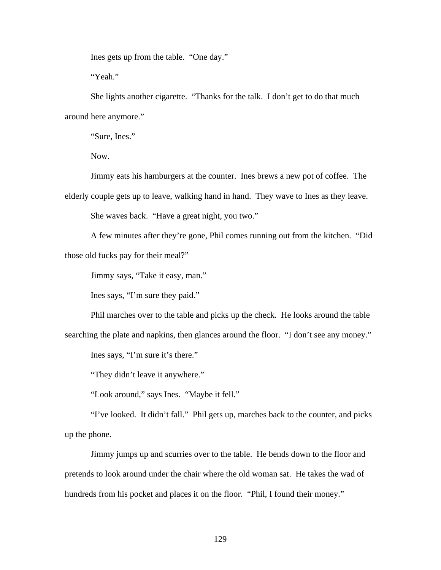Ines gets up from the table. "One day."

"Yeah."

 She lights another cigarette. "Thanks for the talk. I don't get to do that much around here anymore."

"Sure, Ines."

Now.

 Jimmy eats his hamburgers at the counter. Ines brews a new pot of coffee. The elderly couple gets up to leave, walking hand in hand. They wave to Ines as they leave.

She waves back. "Have a great night, you two."

 A few minutes after they're gone, Phil comes running out from the kitchen. "Did those old fucks pay for their meal?"

Jimmy says, "Take it easy, man."

Ines says, "I'm sure they paid."

 Phil marches over to the table and picks up the check. He looks around the table searching the plate and napkins, then glances around the floor. "I don't see any money."

Ines says, "I'm sure it's there."

"They didn't leave it anywhere."

"Look around," says Ines. "Maybe it fell."

 "I've looked. It didn't fall." Phil gets up, marches back to the counter, and picks up the phone.

 Jimmy jumps up and scurries over to the table. He bends down to the floor and pretends to look around under the chair where the old woman sat. He takes the wad of hundreds from his pocket and places it on the floor. "Phil, I found their money."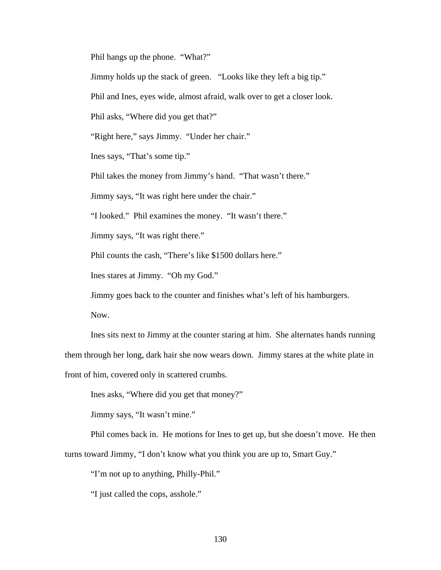Phil hangs up the phone. "What?"

Jimmy holds up the stack of green. "Looks like they left a big tip."

Phil and Ines, eyes wide, almost afraid, walk over to get a closer look.

Phil asks, "Where did you get that?"

"Right here," says Jimmy. "Under her chair."

Ines says, "That's some tip."

Phil takes the money from Jimmy's hand. "That wasn't there."

Jimmy says, "It was right here under the chair."

"I looked." Phil examines the money. "It wasn't there."

Jimmy says, "It was right there."

Phil counts the cash, "There's like \$1500 dollars here."

Ines stares at Jimmy. "Oh my God."

Jimmy goes back to the counter and finishes what's left of his hamburgers.

Now.

 Ines sits next to Jimmy at the counter staring at him. She alternates hands running them through her long, dark hair she now wears down. Jimmy stares at the white plate in front of him, covered only in scattered crumbs.

Ines asks, "Where did you get that money?"

Jimmy says, "It wasn't mine."

 Phil comes back in. He motions for Ines to get up, but she doesn't move. He then turns toward Jimmy, "I don't know what you think you are up to, Smart Guy."

"I'm not up to anything, Philly-Phil."

"I just called the cops, asshole."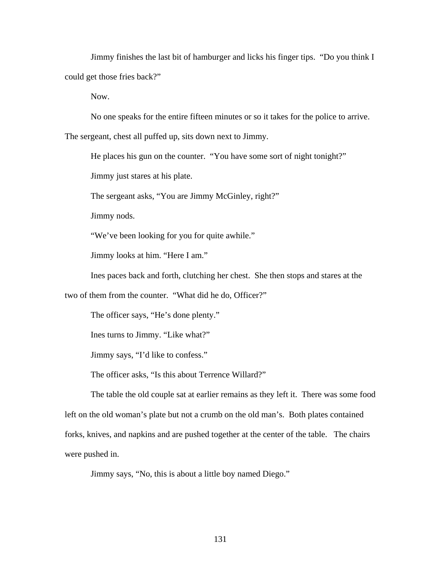Jimmy finishes the last bit of hamburger and licks his finger tips. "Do you think I could get those fries back?"

Now.

No one speaks for the entire fifteen minutes or so it takes for the police to arrive.

The sergeant, chest all puffed up, sits down next to Jimmy.

He places his gun on the counter. "You have some sort of night tonight?"

Jimmy just stares at his plate.

The sergeant asks, "You are Jimmy McGinley, right?"

Jimmy nods.

"We've been looking for you for quite awhile."

Jimmy looks at him. "Here I am."

Ines paces back and forth, clutching her chest. She then stops and stares at the

two of them from the counter. "What did he do, Officer?"

The officer says, "He's done plenty."

Ines turns to Jimmy. "Like what?"

Jimmy says, "I'd like to confess."

The officer asks, "Is this about Terrence Willard?"

 The table the old couple sat at earlier remains as they left it. There was some food left on the old woman's plate but not a crumb on the old man's. Both plates contained forks, knives, and napkins and are pushed together at the center of the table. The chairs were pushed in.

Jimmy says, "No, this is about a little boy named Diego."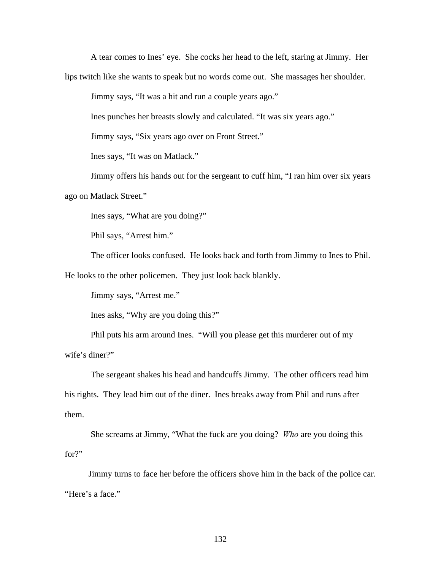A tear comes to Ines' eye. She cocks her head to the left, staring at Jimmy. Her lips twitch like she wants to speak but no words come out. She massages her shoulder.

Jimmy says, "It was a hit and run a couple years ago."

Ines punches her breasts slowly and calculated. "It was six years ago."

Jimmy says, "Six years ago over on Front Street."

Ines says, "It was on Matlack."

 Jimmy offers his hands out for the sergeant to cuff him, "I ran him over six years ago on Matlack Street."

Ines says, "What are you doing?"

Phil says, "Arrest him."

The officer looks confused. He looks back and forth from Jimmy to Ines to Phil.

He looks to the other policemen. They just look back blankly.

Jimmy says, "Arrest me."

Ines asks, "Why are you doing this?"

 Phil puts his arm around Ines. "Will you please get this murderer out of my wife's diner?"

 The sergeant shakes his head and handcuffs Jimmy. The other officers read him his rights. They lead him out of the diner. Ines breaks away from Phil and runs after them.

 She screams at Jimmy, "What the fuck are you doing? *Who* are you doing this for?"

 Jimmy turns to face her before the officers shove him in the back of the police car. "Here's a face."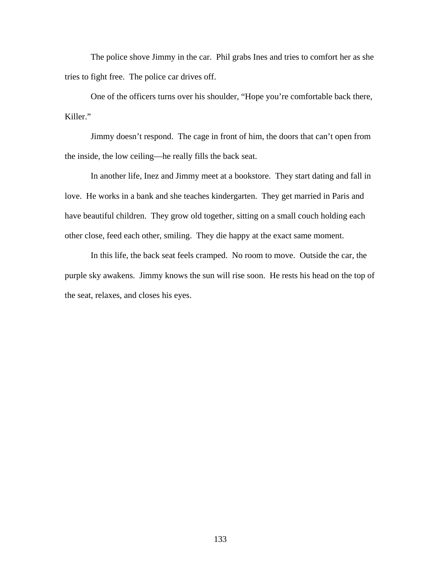The police shove Jimmy in the car. Phil grabs Ines and tries to comfort her as she tries to fight free. The police car drives off.

 One of the officers turns over his shoulder, "Hope you're comfortable back there, Killer."

 Jimmy doesn't respond. The cage in front of him, the doors that can't open from the inside, the low ceiling—he really fills the back seat.

In another life, Inez and Jimmy meet at a bookstore. They start dating and fall in love. He works in a bank and she teaches kindergarten. They get married in Paris and have beautiful children. They grow old together, sitting on a small couch holding each other close, feed each other, smiling. They die happy at the exact same moment.

 In this life, the back seat feels cramped. No room to move. Outside the car, the purple sky awakens. Jimmy knows the sun will rise soon. He rests his head on the top of the seat, relaxes, and closes his eyes.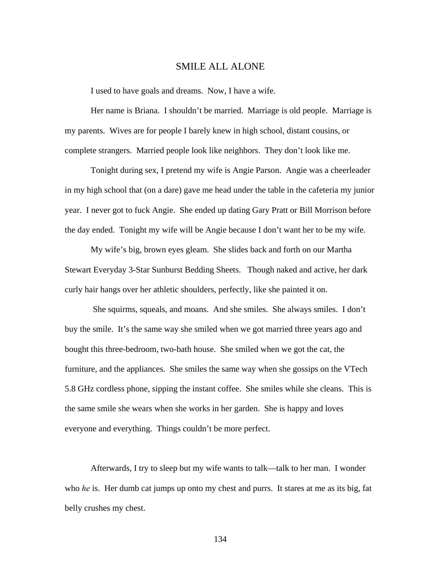## SMILE ALL ALONE

I used to have goals and dreams. Now, I have a wife.

Her name is Briana. I shouldn't be married. Marriage is old people. Marriage is my parents. Wives are for people I barely knew in high school, distant cousins, or complete strangers. Married people look like neighbors. They don't look like me.

Tonight during sex, I pretend my wife is Angie Parson. Angie was a cheerleader in my high school that (on a dare) gave me head under the table in the cafeteria my junior year. I never got to fuck Angie. She ended up dating Gary Pratt or Bill Morrison before the day ended. Tonight my wife will be Angie because I don't want her to be my wife.

My wife's big, brown eyes gleam. She slides back and forth on our Martha Stewart Everyday 3-Star Sunburst Bedding Sheets. Though naked and active, her dark curly hair hangs over her athletic shoulders, perfectly, like she painted it on.

 She squirms, squeals, and moans. And she smiles. She always smiles. I don't buy the smile. It's the same way she smiled when we got married three years ago and bought this three-bedroom, two-bath house. She smiled when we got the cat, the furniture, and the appliances. She smiles the same way when she gossips on the VTech 5.8 GHz cordless phone, sipping the instant coffee. She smiles while she cleans. This is the same smile she wears when she works in her garden. She is happy and loves everyone and everything. Things couldn't be more perfect.

Afterwards, I try to sleep but my wife wants to talk—talk to her man. I wonder who *he* is. Her dumb cat jumps up onto my chest and purrs. It stares at me as its big, fat belly crushes my chest.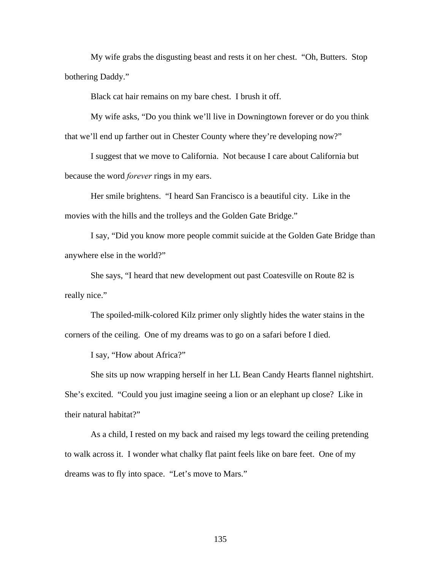My wife grabs the disgusting beast and rests it on her chest. "Oh, Butters. Stop bothering Daddy."

Black cat hair remains on my bare chest. I brush it off.

My wife asks, "Do you think we'll live in Downingtown forever or do you think that we'll end up farther out in Chester County where they're developing now?"

I suggest that we move to California. Not because I care about California but because the word *forever* rings in my ears.

Her smile brightens. "I heard San Francisco is a beautiful city. Like in the movies with the hills and the trolleys and the Golden Gate Bridge."

I say, "Did you know more people commit suicide at the Golden Gate Bridge than anywhere else in the world?"

She says, "I heard that new development out past Coatesville on Route 82 is really nice."

The spoiled-milk-colored Kilz primer only slightly hides the water stains in the corners of the ceiling. One of my dreams was to go on a safari before I died.

I say, "How about Africa?"

She sits up now wrapping herself in her LL Bean Candy Hearts flannel nightshirt. She's excited. "Could you just imagine seeing a lion or an elephant up close? Like in their natural habitat?"

As a child, I rested on my back and raised my legs toward the ceiling pretending to walk across it. I wonder what chalky flat paint feels like on bare feet. One of my dreams was to fly into space. "Let's move to Mars."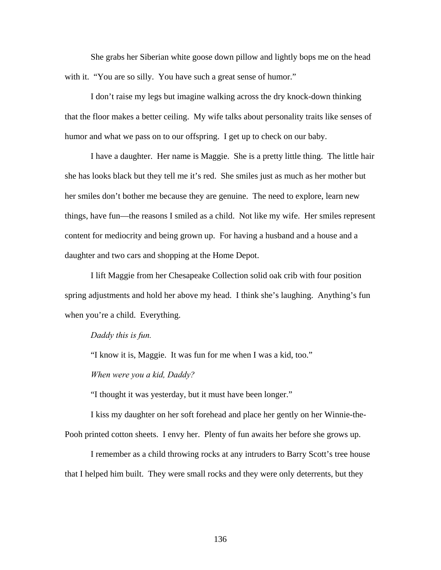She grabs her Siberian white goose down pillow and lightly bops me on the head with it. "You are so silly. You have such a great sense of humor."

I don't raise my legs but imagine walking across the dry knock-down thinking that the floor makes a better ceiling. My wife talks about personality traits like senses of humor and what we pass on to our offspring. I get up to check on our baby.

I have a daughter. Her name is Maggie. She is a pretty little thing. The little hair she has looks black but they tell me it's red. She smiles just as much as her mother but her smiles don't bother me because they are genuine. The need to explore, learn new things, have fun—the reasons I smiled as a child. Not like my wife. Her smiles represent content for mediocrity and being grown up. For having a husband and a house and a daughter and two cars and shopping at the Home Depot.

I lift Maggie from her Chesapeake Collection solid oak crib with four position spring adjustments and hold her above my head. I think she's laughing. Anything's fun when you're a child. Everything.

*Daddy this is fun.*

"I know it is, Maggie. It was fun for me when I was a kid, too."

*When were you a kid, Daddy?* 

"I thought it was yesterday, but it must have been longer."

I kiss my daughter on her soft forehead and place her gently on her Winnie-the-Pooh printed cotton sheets. I envy her. Plenty of fun awaits her before she grows up.

I remember as a child throwing rocks at any intruders to Barry Scott's tree house that I helped him built. They were small rocks and they were only deterrents, but they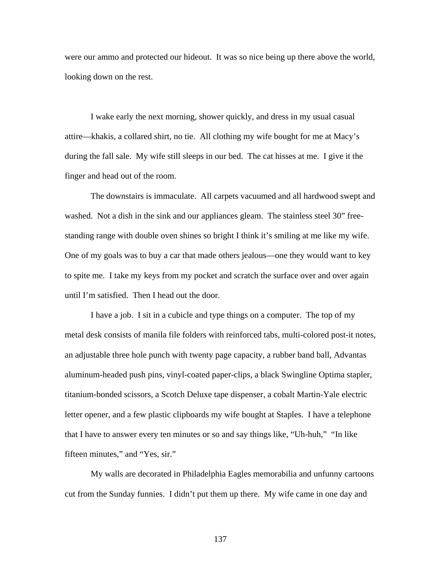were our ammo and protected our hideout. It was so nice being up there above the world, looking down on the rest.

I wake early the next morning, shower quickly, and dress in my usual casual attire—khakis, a collared shirt, no tie. All clothing my wife bought for me at Macy's during the fall sale. My wife still sleeps in our bed. The cat hisses at me. I give it the finger and head out of the room.

The downstairs is immaculate. All carpets vacuumed and all hardwood swept and washed. Not a dish in the sink and our appliances gleam. The stainless steel 30" freestanding range with double oven shines so bright I think it's smiling at me like my wife. One of my goals was to buy a car that made others jealous—one they would want to key to spite me. I take my keys from my pocket and scratch the surface over and over again until I'm satisfied. Then I head out the door.

I have a job. I sit in a cubicle and type things on a computer. The top of my metal desk consists of manila file folders with reinforced tabs, multi-colored post-it notes, an adjustable three hole punch with twenty page capacity, a rubber band ball, Advantas aluminum-headed push pins, vinyl-coated paper-clips, a black Swingline Optima stapler, titanium-bonded scissors, a Scotch Deluxe tape dispenser, a cobalt Martin-Yale electric letter opener, and a few plastic clipboards my wife bought at Staples. I have a telephone that I have to answer every ten minutes or so and say things like, "Uh-huh," "In like fifteen minutes," and "Yes, sir."

My walls are decorated in Philadelphia Eagles memorabilia and unfunny cartoons cut from the Sunday funnies. I didn't put them up there. My wife came in one day and

137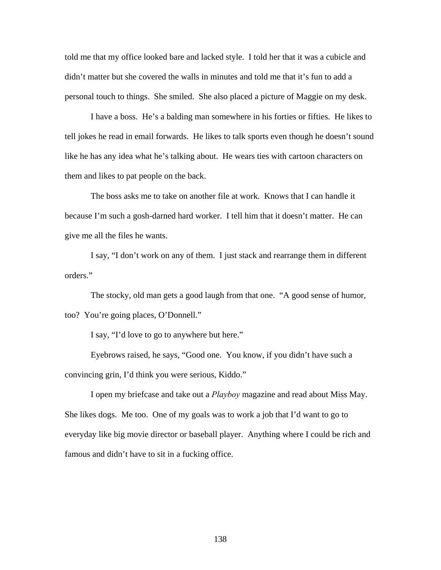told me that my office looked bare and lacked style. I told her that it was a cubicle and didn't matter but she covered the walls in minutes and told me that it's fun to add a personal touch to things. She smiled. She also placed a picture of Maggie on my desk.

I have a boss. He's a balding man somewhere in his forties or fifties. He likes to tell jokes he read in email forwards. He likes to talk sports even though he doesn't sound like he has any idea what he's talking about. He wears ties with cartoon characters on them and likes to pat people on the back.

The boss asks me to take on another file at work. Knows that I can handle it because I'm such a gosh-darned hard worker. I tell him that it doesn't matter. He can give me all the files he wants.

I say, "I don't work on any of them. I just stack and rearrange them in different orders."

The stocky, old man gets a good laugh from that one. "A good sense of humor, too? You're going places, O'Donnell."

I say, "I'd love to go to anywhere but here."

Eyebrows raised, he says, "Good one. You know, if you didn't have such a convincing grin, I'd think you were serious, Kiddo."

I open my briefcase and take out a *Playboy* magazine and read about Miss May. She likes dogs. Me too. One of my goals was to work a job that I'd want to go to everyday like big movie director or baseball player. Anything where I could be rich and famous and didn't have to sit in a fucking office.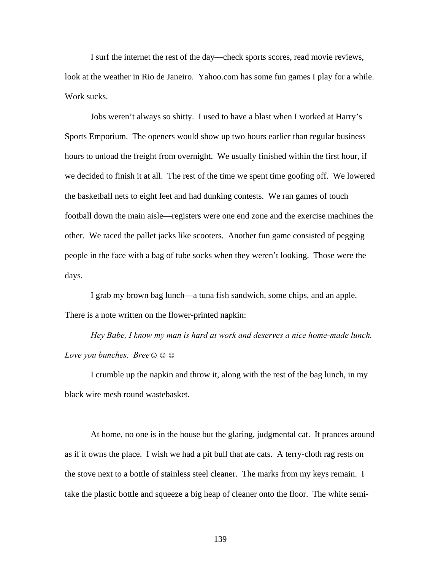I surf the internet the rest of the day—check sports scores, read movie reviews, look at the weather in Rio de Janeiro. Yahoo.com has some fun games I play for a while. Work sucks.

Jobs weren't always so shitty. I used to have a blast when I worked at Harry's Sports Emporium. The openers would show up two hours earlier than regular business hours to unload the freight from overnight. We usually finished within the first hour, if we decided to finish it at all. The rest of the time we spent time goofing off. We lowered the basketball nets to eight feet and had dunking contests. We ran games of touch football down the main aisle—registers were one end zone and the exercise machines the other. We raced the pallet jacks like scooters. Another fun game consisted of pegging people in the face with a bag of tube socks when they weren't looking. Those were the days.

I grab my brown bag lunch—a tuna fish sandwich, some chips, and an apple. There is a note written on the flower-printed napkin:

*Hey Babe, I know my man is hard at work and deserves a nice home-made lunch. Love you bunches. Bree* ☺ ☺ ☺

I crumble up the napkin and throw it, along with the rest of the bag lunch, in my black wire mesh round wastebasket.

At home, no one is in the house but the glaring, judgmental cat. It prances around as if it owns the place. I wish we had a pit bull that ate cats. A terry-cloth rag rests on the stove next to a bottle of stainless steel cleaner. The marks from my keys remain. I take the plastic bottle and squeeze a big heap of cleaner onto the floor. The white semi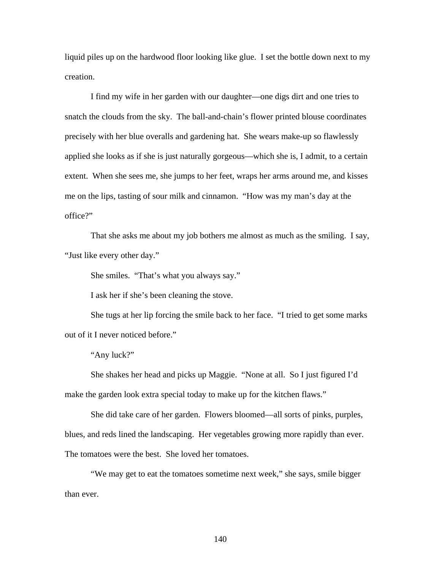liquid piles up on the hardwood floor looking like glue. I set the bottle down next to my creation.

I find my wife in her garden with our daughter—one digs dirt and one tries to snatch the clouds from the sky. The ball-and-chain's flower printed blouse coordinates precisely with her blue overalls and gardening hat. She wears make-up so flawlessly applied she looks as if she is just naturally gorgeous—which she is, I admit, to a certain extent. When she sees me, she jumps to her feet, wraps her arms around me, and kisses me on the lips, tasting of sour milk and cinnamon. "How was my man's day at the office?"

That she asks me about my job bothers me almost as much as the smiling. I say, "Just like every other day."

She smiles. "That's what you always say."

I ask her if she's been cleaning the stove.

She tugs at her lip forcing the smile back to her face. "I tried to get some marks out of it I never noticed before."

"Any luck?"

She shakes her head and picks up Maggie. "None at all. So I just figured I'd make the garden look extra special today to make up for the kitchen flaws."

She did take care of her garden. Flowers bloomed—all sorts of pinks, purples, blues, and reds lined the landscaping. Her vegetables growing more rapidly than ever. The tomatoes were the best. She loved her tomatoes.

"We may get to eat the tomatoes sometime next week," she says, smile bigger than ever.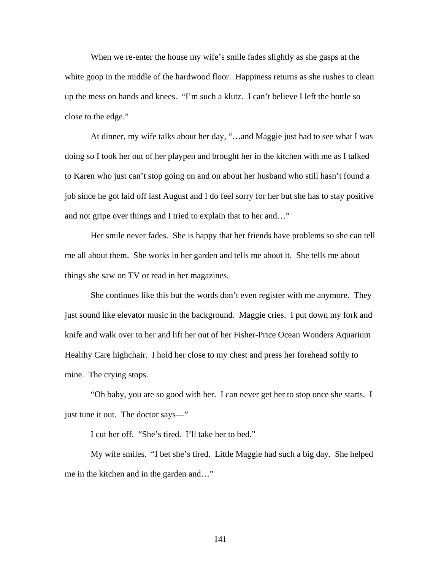When we re-enter the house my wife's smile fades slightly as she gasps at the white goop in the middle of the hardwood floor. Happiness returns as she rushes to clean up the mess on hands and knees. "I'm such a klutz. I can't believe I left the bottle so close to the edge."

At dinner, my wife talks about her day, "…and Maggie just had to see what I was doing so I took her out of her playpen and brought her in the kitchen with me as I talked to Karen who just can't stop going on and on about her husband who still hasn't found a job since he got laid off last August and I do feel sorry for her but she has to stay positive and not gripe over things and I tried to explain that to her and…"

Her smile never fades. She is happy that her friends have problems so she can tell me all about them. She works in her garden and tells me about it. She tells me about things she saw on TV or read in her magazines.

She continues like this but the words don't even register with me anymore. They just sound like elevator music in the background. Maggie cries. I put down my fork and knife and walk over to her and lift her out of her Fisher-Price Ocean Wonders Aquarium Healthy Care highchair. I hold her close to my chest and press her forehead softly to mine. The crying stops.

"Oh baby, you are so good with her. I can never get her to stop once she starts. I just tune it out. The doctor says—"

I cut her off. "She's tired. I'll take her to bed."

My wife smiles. "I bet she's tired. Little Maggie had such a big day. She helped me in the kitchen and in the garden and…"

141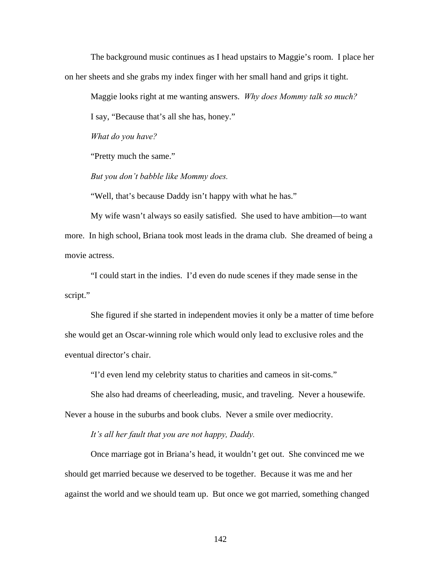The background music continues as I head upstairs to Maggie's room. I place her on her sheets and she grabs my index finger with her small hand and grips it tight.

Maggie looks right at me wanting answers. *Why does Mommy talk so much?* 

I say, "Because that's all she has, honey."

*What do you have?* 

"Pretty much the same."

 *But you don't babble like Mommy does.* 

"Well, that's because Daddy isn't happy with what he has."

My wife wasn't always so easily satisfied. She used to have ambition—to want more. In high school, Briana took most leads in the drama club. She dreamed of being a movie actress.

"I could start in the indies. I'd even do nude scenes if they made sense in the script."

She figured if she started in independent movies it only be a matter of time before she would get an Oscar-winning role which would only lead to exclusive roles and the eventual director's chair.

"I'd even lend my celebrity status to charities and cameos in sit-coms."

She also had dreams of cheerleading, music, and traveling. Never a housewife. Never a house in the suburbs and book clubs. Never a smile over mediocrity.

*It's all her fault that you are not happy, Daddy.*

 Once marriage got in Briana's head, it wouldn't get out. She convinced me we should get married because we deserved to be together. Because it was me and her against the world and we should team up. But once we got married, something changed

142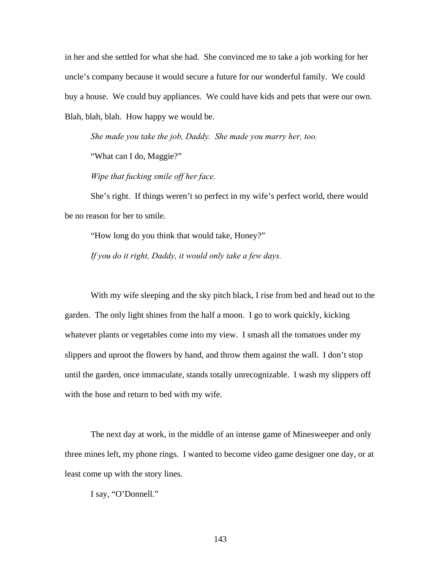in her and she settled for what she had. She convinced me to take a job working for her uncle's company because it would secure a future for our wonderful family. We could buy a house. We could buy appliances. We could have kids and pets that were our own. Blah, blah, blah. How happy we would be.

*She made you take the job, Daddy. She made you marry her, too.* 

"What can I do, Maggie?"

*Wipe that fucking smile off her face.*

She's right. If things weren't so perfect in my wife's perfect world, there would be no reason for her to smile.

"How long do you think that would take, Honey?"

*If you do it right, Daddy, it would only take a few days.* 

With my wife sleeping and the sky pitch black, I rise from bed and head out to the garden. The only light shines from the half a moon. I go to work quickly, kicking whatever plants or vegetables come into my view. I smash all the tomatoes under my slippers and uproot the flowers by hand, and throw them against the wall. I don't stop until the garden, once immaculate, stands totally unrecognizable. I wash my slippers off with the hose and return to bed with my wife.

The next day at work, in the middle of an intense game of Minesweeper and only three mines left, my phone rings. I wanted to become video game designer one day, or at least come up with the story lines.

I say, "O'Donnell."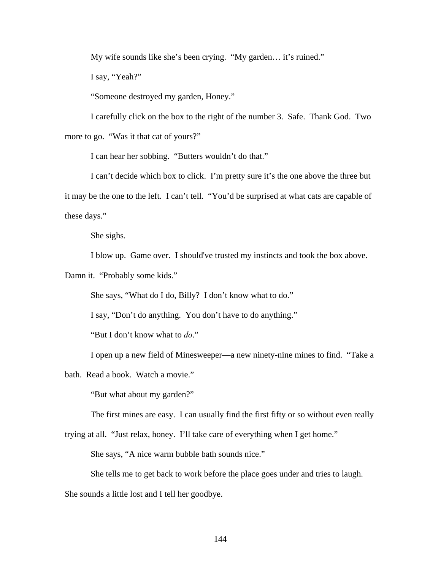My wife sounds like she's been crying. "My garden… it's ruined."

I say, "Yeah?"

"Someone destroyed my garden, Honey."

 I carefully click on the box to the right of the number 3. Safe. Thank God. Two more to go. "Was it that cat of yours?"

I can hear her sobbing. "Butters wouldn't do that."

I can't decide which box to click. I'm pretty sure it's the one above the three but it may be the one to the left. I can't tell. "You'd be surprised at what cats are capable of these days."

She sighs.

I blow up. Game over. I should've trusted my instincts and took the box above.

Damn it. "Probably some kids."

She says, "What do I do, Billy? I don't know what to do."

I say, "Don't do anything. You don't have to do anything."

"But I don't know what to *do*."

 I open up a new field of Minesweeper—a new ninety-nine mines to find. "Take a bath. Read a book. Watch a movie."

"But what about my garden?"

The first mines are easy. I can usually find the first fifty or so without even really

trying at all. "Just relax, honey. I'll take care of everything when I get home."

She says, "A nice warm bubble bath sounds nice."

She tells me to get back to work before the place goes under and tries to laugh.

She sounds a little lost and I tell her goodbye.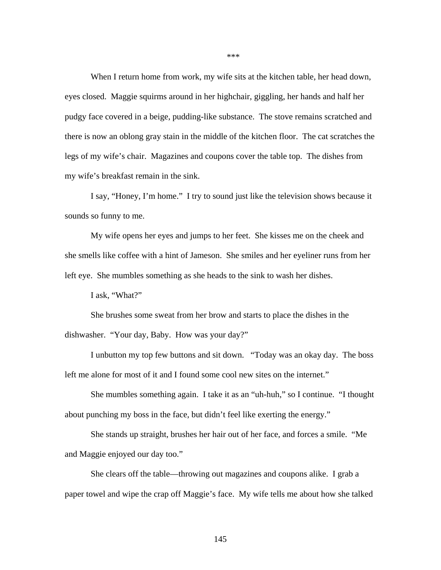When I return home from work, my wife sits at the kitchen table, her head down, eyes closed. Maggie squirms around in her highchair, giggling, her hands and half her pudgy face covered in a beige, pudding-like substance. The stove remains scratched and there is now an oblong gray stain in the middle of the kitchen floor. The cat scratches the legs of my wife's chair. Magazines and coupons cover the table top. The dishes from my wife's breakfast remain in the sink.

 I say, "Honey, I'm home." I try to sound just like the television shows because it sounds so funny to me.

 My wife opens her eyes and jumps to her feet. She kisses me on the cheek and she smells like coffee with a hint of Jameson. She smiles and her eyeliner runs from her left eye. She mumbles something as she heads to the sink to wash her dishes.

I ask, "What?"

 She brushes some sweat from her brow and starts to place the dishes in the dishwasher. "Your day, Baby. How was your day?"

 I unbutton my top few buttons and sit down. "Today was an okay day. The boss left me alone for most of it and I found some cool new sites on the internet."

 She mumbles something again. I take it as an "uh-huh," so I continue. "I thought about punching my boss in the face, but didn't feel like exerting the energy."

 She stands up straight, brushes her hair out of her face, and forces a smile. "Me and Maggie enjoyed our day too."

 She clears off the table—throwing out magazines and coupons alike. I grab a paper towel and wipe the crap off Maggie's face. My wife tells me about how she talked

\*\*\*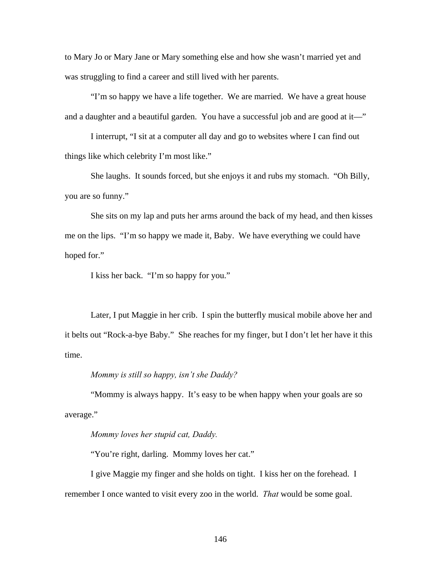to Mary Jo or Mary Jane or Mary something else and how she wasn't married yet and was struggling to find a career and still lived with her parents.

 "I'm so happy we have a life together. We are married. We have a great house and a daughter and a beautiful garden. You have a successful job and are good at it—"

 I interrupt, "I sit at a computer all day and go to websites where I can find out things like which celebrity I'm most like."

 She laughs. It sounds forced, but she enjoys it and rubs my stomach. "Oh Billy, you are so funny."

 She sits on my lap and puts her arms around the back of my head, and then kisses me on the lips. "I'm so happy we made it, Baby. We have everything we could have hoped for."

I kiss her back. "I'm so happy for you."

 Later, I put Maggie in her crib. I spin the butterfly musical mobile above her and it belts out "Rock-a-bye Baby." She reaches for my finger, but I don't let her have it this time.

## *Mommy is still so happy, isn't she Daddy?*

 "Mommy is always happy. It's easy to be when happy when your goals are so average."

*Mommy loves her stupid cat, Daddy.* 

"You're right, darling. Mommy loves her cat."

I give Maggie my finger and she holds on tight. I kiss her on the forehead. I remember I once wanted to visit every zoo in the world. *That* would be some goal.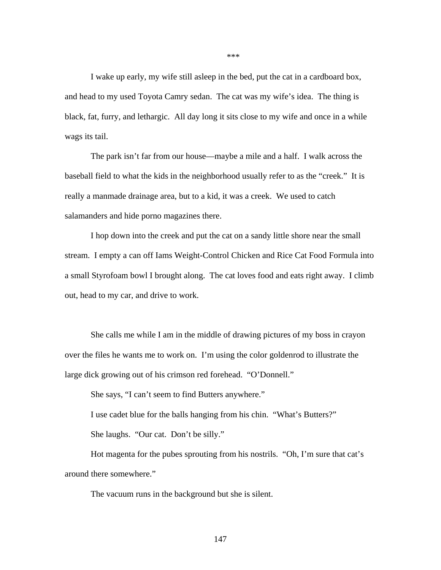I wake up early, my wife still asleep in the bed, put the cat in a cardboard box, and head to my used Toyota Camry sedan. The cat was my wife's idea. The thing is black, fat, furry, and lethargic. All day long it sits close to my wife and once in a while wags its tail.

 The park isn't far from our house—maybe a mile and a half. I walk across the baseball field to what the kids in the neighborhood usually refer to as the "creek." It is really a manmade drainage area, but to a kid, it was a creek. We used to catch salamanders and hide porno magazines there.

 I hop down into the creek and put the cat on a sandy little shore near the small stream. I empty a can off Iams Weight-Control Chicken and Rice Cat Food Formula into a small Styrofoam bowl I brought along. The cat loves food and eats right away. I climb out, head to my car, and drive to work.

 She calls me while I am in the middle of drawing pictures of my boss in crayon over the files he wants me to work on. I'm using the color goldenrod to illustrate the large dick growing out of his crimson red forehead. "O'Donnell."

She says, "I can't seem to find Butters anywhere."

I use cadet blue for the balls hanging from his chin. "What's Butters?" She laughs. "Our cat. Don't be silly."

Hot magenta for the pubes sprouting from his nostrils. "Oh, I'm sure that cat's around there somewhere."

The vacuum runs in the background but she is silent.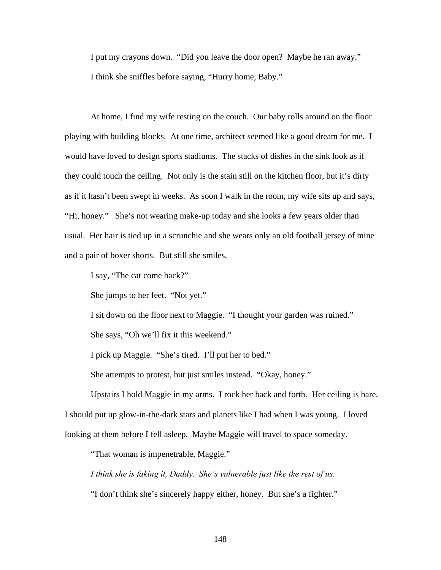I put my crayons down. "Did you leave the door open? Maybe he ran away." I think she sniffles before saying, "Hurry home, Baby."

At home, I find my wife resting on the couch. Our baby rolls around on the floor playing with building blocks. At one time, architect seemed like a good dream for me. I would have loved to design sports stadiums. The stacks of dishes in the sink look as if they could touch the ceiling. Not only is the stain still on the kitchen floor, but it's dirty as if it hasn't been swept in weeks. As soon I walk in the room, my wife sits up and says, "Hi, honey." She's not wearing make-up today and she looks a few years older than usual. Her hair is tied up in a scrunchie and she wears only an old football jersey of mine and a pair of boxer shorts. But still she smiles.

I say, "The cat come back?"

She jumps to her feet. "Not yet."

I sit down on the floor next to Maggie. "I thought your garden was ruined."

She says, "Oh we'll fix it this weekend."

I pick up Maggie. "She's tired. I'll put her to bed."

She attempts to protest, but just smiles instead. "Okay, honey."

Upstairs I hold Maggie in my arms. I rock her back and forth. Her ceiling is bare. I should put up glow-in-the-dark stars and planets like I had when I was young. I loved looking at them before I fell asleep. Maybe Maggie will travel to space someday.

"That woman is impenetrable, Maggie."

*I think she is faking it, Daddy. She's vulnerable just like the rest of us.*  "I don't think she's sincerely happy either, honey. But she's a fighter."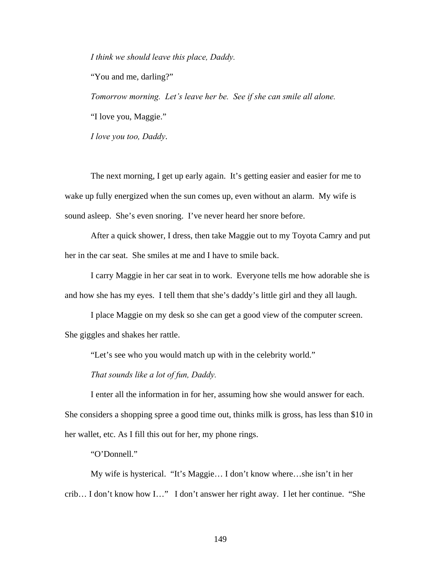*I think we should leave this place, Daddy.*

"You and me, darling?"

*Tomorrow morning. Let's leave her be. See if she can smile all alone.* 

"I love you, Maggie."

*I love you too, Daddy*.

The next morning, I get up early again. It's getting easier and easier for me to wake up fully energized when the sun comes up, even without an alarm. My wife is sound asleep. She's even snoring. I've never heard her snore before.

 After a quick shower, I dress, then take Maggie out to my Toyota Camry and put her in the car seat. She smiles at me and I have to smile back.

I carry Maggie in her car seat in to work. Everyone tells me how adorable she is and how she has my eyes. I tell them that she's daddy's little girl and they all laugh.

I place Maggie on my desk so she can get a good view of the computer screen. She giggles and shakes her rattle.

"Let's see who you would match up with in the celebrity world."

*That sounds like a lot of fun, Daddy.* 

I enter all the information in for her, assuming how she would answer for each. She considers a shopping spree a good time out, thinks milk is gross, has less than \$10 in her wallet, etc. As I fill this out for her, my phone rings.

"O'Donnell."

 My wife is hysterical. "It's Maggie… I don't know where…she isn't in her crib… I don't know how I…" I don't answer her right away. I let her continue. "She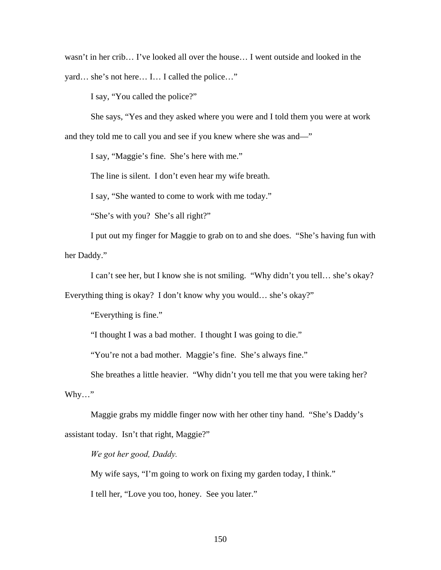wasn't in her crib… I've looked all over the house… I went outside and looked in the yard… she's not here… I… I called the police…"

I say, "You called the police?"

 She says, "Yes and they asked where you were and I told them you were at work and they told me to call you and see if you knew where she was and—"

I say, "Maggie's fine. She's here with me."

The line is silent. I don't even hear my wife breath.

I say, "She wanted to come to work with me today."

"She's with you? She's all right?"

 I put out my finger for Maggie to grab on to and she does. "She's having fun with her Daddy."

I can't see her, but I know she is not smiling. "Why didn't you tell… she's okay?

Everything thing is okay? I don't know why you would… she's okay?"

"Everything is fine."

"I thought I was a bad mother. I thought I was going to die."

"You're not a bad mother. Maggie's fine. She's always fine."

She breathes a little heavier. "Why didn't you tell me that you were taking her?

Why…"

 Maggie grabs my middle finger now with her other tiny hand. "She's Daddy's assistant today. Isn't that right, Maggie?"

*We got her good, Daddy.*

My wife says, "I'm going to work on fixing my garden today, I think."

I tell her, "Love you too, honey. See you later."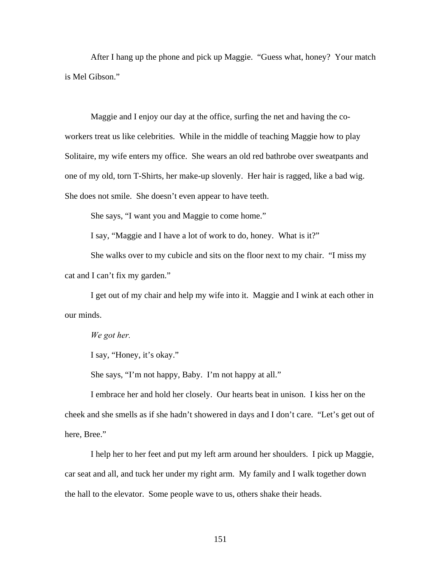After I hang up the phone and pick up Maggie. "Guess what, honey? Your match is Mel Gibson."

 Maggie and I enjoy our day at the office, surfing the net and having the coworkers treat us like celebrities. While in the middle of teaching Maggie how to play Solitaire, my wife enters my office. She wears an old red bathrobe over sweatpants and one of my old, torn T-Shirts, her make-up slovenly. Her hair is ragged, like a bad wig. She does not smile. She doesn't even appear to have teeth.

She says, "I want you and Maggie to come home."

I say, "Maggie and I have a lot of work to do, honey. What is it?"

 She walks over to my cubicle and sits on the floor next to my chair. "I miss my cat and I can't fix my garden."

 I get out of my chair and help my wife into it. Maggie and I wink at each other in our minds.

*We got her.*

I say, "Honey, it's okay."

She says, "I'm not happy, Baby. I'm not happy at all."

 I embrace her and hold her closely. Our hearts beat in unison. I kiss her on the cheek and she smells as if she hadn't showered in days and I don't care. "Let's get out of here, Bree."

 I help her to her feet and put my left arm around her shoulders. I pick up Maggie, car seat and all, and tuck her under my right arm. My family and I walk together down the hall to the elevator. Some people wave to us, others shake their heads.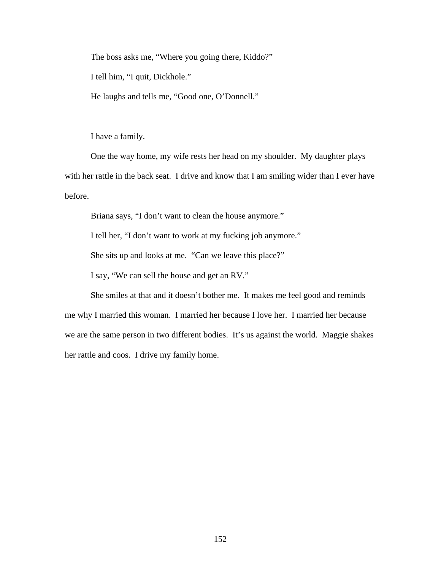The boss asks me, "Where you going there, Kiddo?" I tell him, "I quit, Dickhole." He laughs and tells me, "Good one, O'Donnell."

I have a family.

One the way home, my wife rests her head on my shoulder. My daughter plays with her rattle in the back seat. I drive and know that I am smiling wider than I ever have before.

Briana says, "I don't want to clean the house anymore."

I tell her, "I don't want to work at my fucking job anymore."

She sits up and looks at me. "Can we leave this place?"

I say, "We can sell the house and get an RV."

 She smiles at that and it doesn't bother me. It makes me feel good and reminds me why I married this woman. I married her because I love her. I married her because we are the same person in two different bodies. It's us against the world. Maggie shakes her rattle and coos. I drive my family home.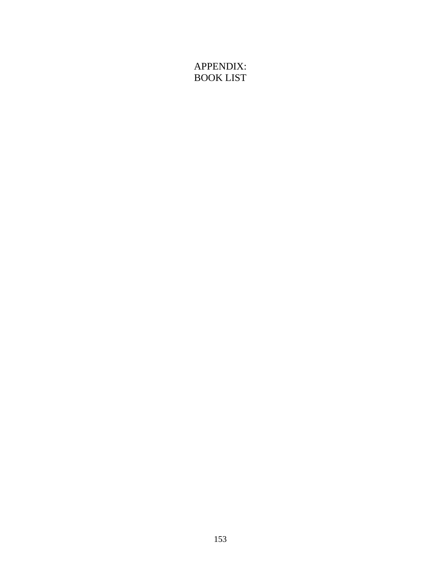## APPENDIX: BOOK LIST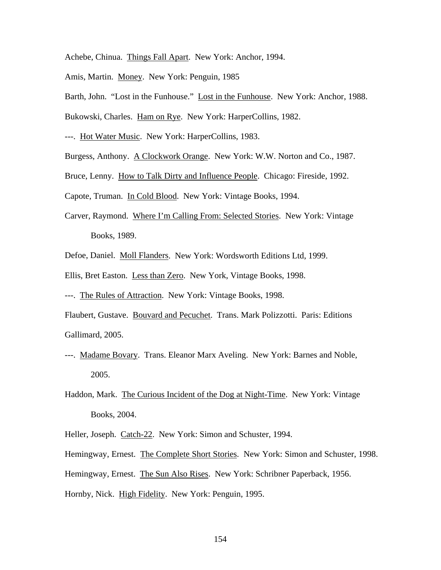Achebe, Chinua. Things Fall Apart. New York: Anchor, 1994.

Amis, Martin. Money. New York: Penguin, 1985

Barth, John. "Lost in the Funhouse." Lost in the Funhouse. New York: Anchor, 1988.

Bukowski, Charles. Ham on Rye. New York: HarperCollins, 1982.

---. Hot Water Music. New York: HarperCollins, 1983.

Burgess, Anthony. A Clockwork Orange. New York: W.W. Norton and Co., 1987.

Bruce, Lenny. How to Talk Dirty and Influence People. Chicago: Fireside, 1992.

Capote, Truman. In Cold Blood. New York: Vintage Books, 1994.

- Carver, Raymond. Where I'm Calling From: Selected Stories. New York: Vintage Books, 1989.
- Defoe, Daniel. Moll Flanders. New York: Wordsworth Editions Ltd, 1999.

Ellis, Bret Easton. Less than Zero. New York, Vintage Books, 1998.

---. The Rules of Attraction. New York: Vintage Books, 1998.

Flaubert, Gustave. Bouvard and Pecuchet. Trans. Mark Polizzotti. Paris: Editions Gallimard, 2005.

- ---. Madame Bovary. Trans. Eleanor Marx Aveling. New York: Barnes and Noble, 2005.
- Haddon, Mark. The Curious Incident of the Dog at Night-Time. New York: Vintage Books, 2004.

Heller, Joseph. Catch-22. New York: Simon and Schuster, 1994.

Hemingway, Ernest. The Complete Short Stories. New York: Simon and Schuster, 1998. Hemingway, Ernest. The Sun Also Rises. New York: Schribner Paperback, 1956.

Hornby, Nick. High Fidelity. New York: Penguin, 1995.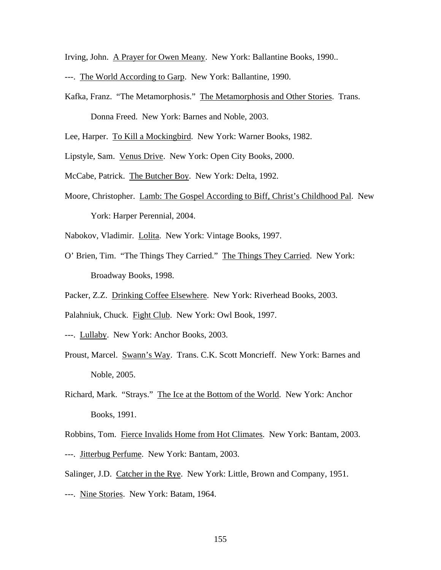Irving, John. A Prayer for Owen Meany. New York: Ballantine Books, 1990..

- ---. The World According to Garp. New York: Ballantine, 1990.
- Kafka, Franz. "The Metamorphosis." The Metamorphosis and Other Stories. Trans.

Donna Freed. New York: Barnes and Noble, 2003.

Lee, Harper. To Kill a Mockingbird. New York: Warner Books, 1982.

Lipstyle, Sam. Venus Drive. New York: Open City Books, 2000.

McCabe, Patrick. The Butcher Boy. New York: Delta, 1992.

Moore, Christopher. Lamb: The Gospel According to Biff, Christ's Childhood Pal. New York: Harper Perennial, 2004.

Nabokov, Vladimir. Lolita. New York: Vintage Books, 1997.

O' Brien, Tim. "The Things They Carried." The Things They Carried. New York: Broadway Books, 1998.

Packer, Z.Z. Drinking Coffee Elsewhere. New York: Riverhead Books, 2003.

Palahniuk, Chuck. Fight Club. New York: Owl Book, 1997.

---. Lullaby. New York: Anchor Books, 2003.

- Proust, Marcel. Swann's Way. Trans. C.K. Scott Moncrieff. New York: Barnes and Noble, 2005.
- Richard, Mark. "Strays." The Ice at the Bottom of the World. New York: Anchor Books, 1991.

Robbins, Tom. Fierce Invalids Home from Hot Climates. New York: Bantam, 2003. ---. Jitterbug Perfume. New York: Bantam, 2003.

Salinger, J.D. Catcher in the Rye. New York: Little, Brown and Company, 1951.

---. Nine Stories. New York: Batam, 1964.